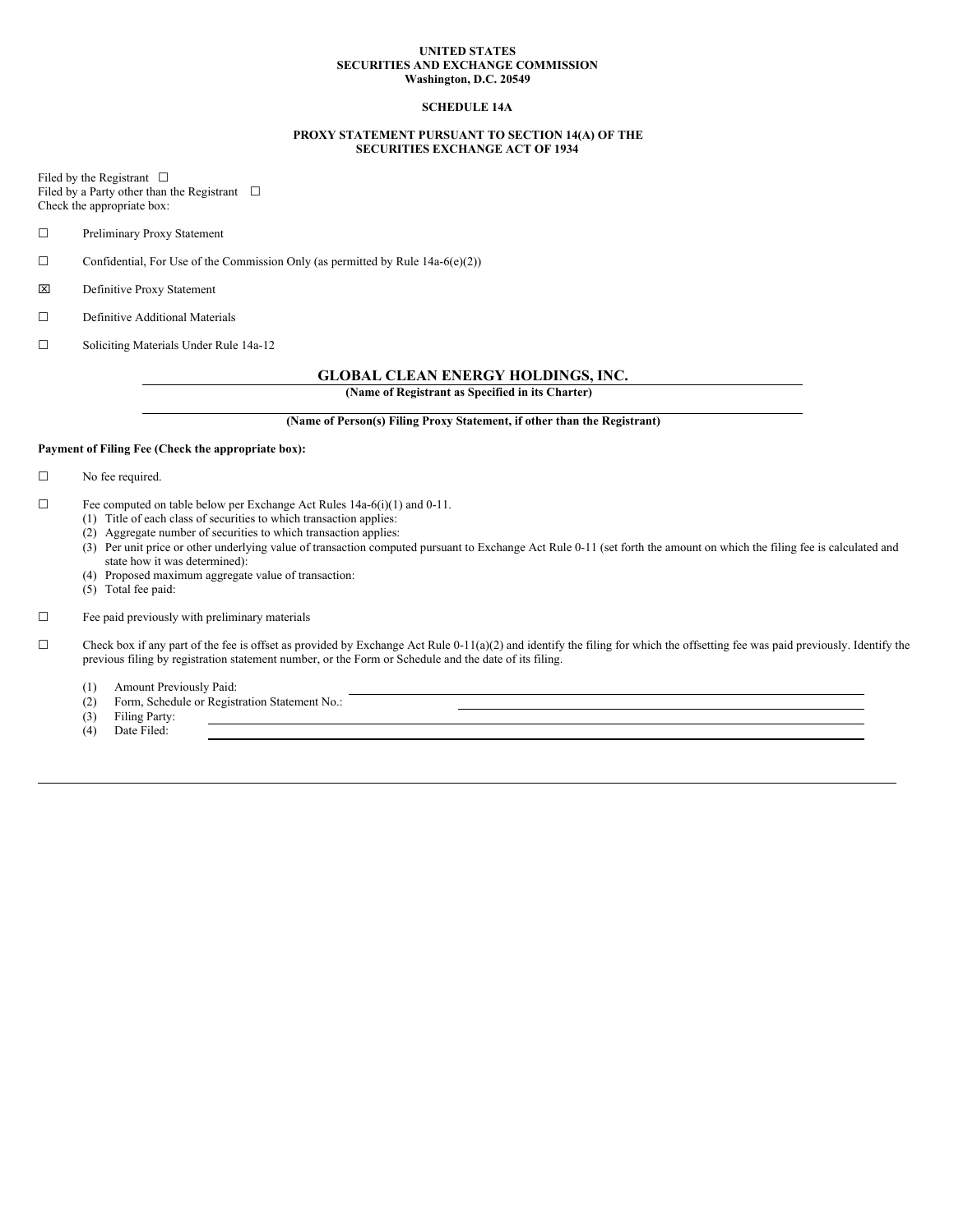#### **UNITED STATES SECURITIES AND EXCHANGE COMMISSION Washington, D.C. 20549**

## **SCHEDULE 14A**

### **PROXY STATEMENT PURSUANT TO SECTION 14(A) OF THE SECURITIES EXCHANGE ACT OF 1934**

Filed by the Registrant  $\Box$ Filed by a Party other than the Registrant  $\Box$ Check the appropriate box:

☐ Preliminary Proxy Statement

 $\Box$  Confidential, For Use of the Commission Only (as permitted by Rule 14a-6(e)(2))

x Definitive Proxy Statement

☐ Definitive Additional Materials

☐ Soliciting Materials Under Rule 14a-12

# **GLOBAL CLEAN ENERGY HOLDINGS, INC.**

**(Name of Registrant as Specified in its Charter)**

**(Name of Person(s) Filing Proxy Statement, if other than the Registrant)**

#### **Payment of Filing Fee (Check the appropriate box):**

☐ No fee required.

- $\Box$  Fee computed on table below per Exchange Act Rules 14a-6(i)(1) and 0-11.
	- (1) Title of each class of securities to which transaction applies:
	- (2) Aggregate number of securities to which transaction applies:
	- (3) Per unit price or other underlying value of transaction computed pursuant to Exchange Act Rule 0-11 (set forth the amount on which the filing fee is calculated and state how it was determined):
	- (4) Proposed maximum aggregate value of transaction:
	- $(5)$  Total fee paid:

# ☐ Fee paid previously with preliminary materials

 $\Box$  Check box if any part of the fee is offset as provided by Exchange Act Rule 0-11(a)(2) and identify the filing for which the offsetting fee was paid previously. Identify the previous filing by registration statement number, or the Form or Schedule and the date of its filing.

(1) Amount Previously Paid:

(2) Form, Schedule or Registration Statement No.:

(3) Filing Party:<br>(4) Date Filed:

Date Filed: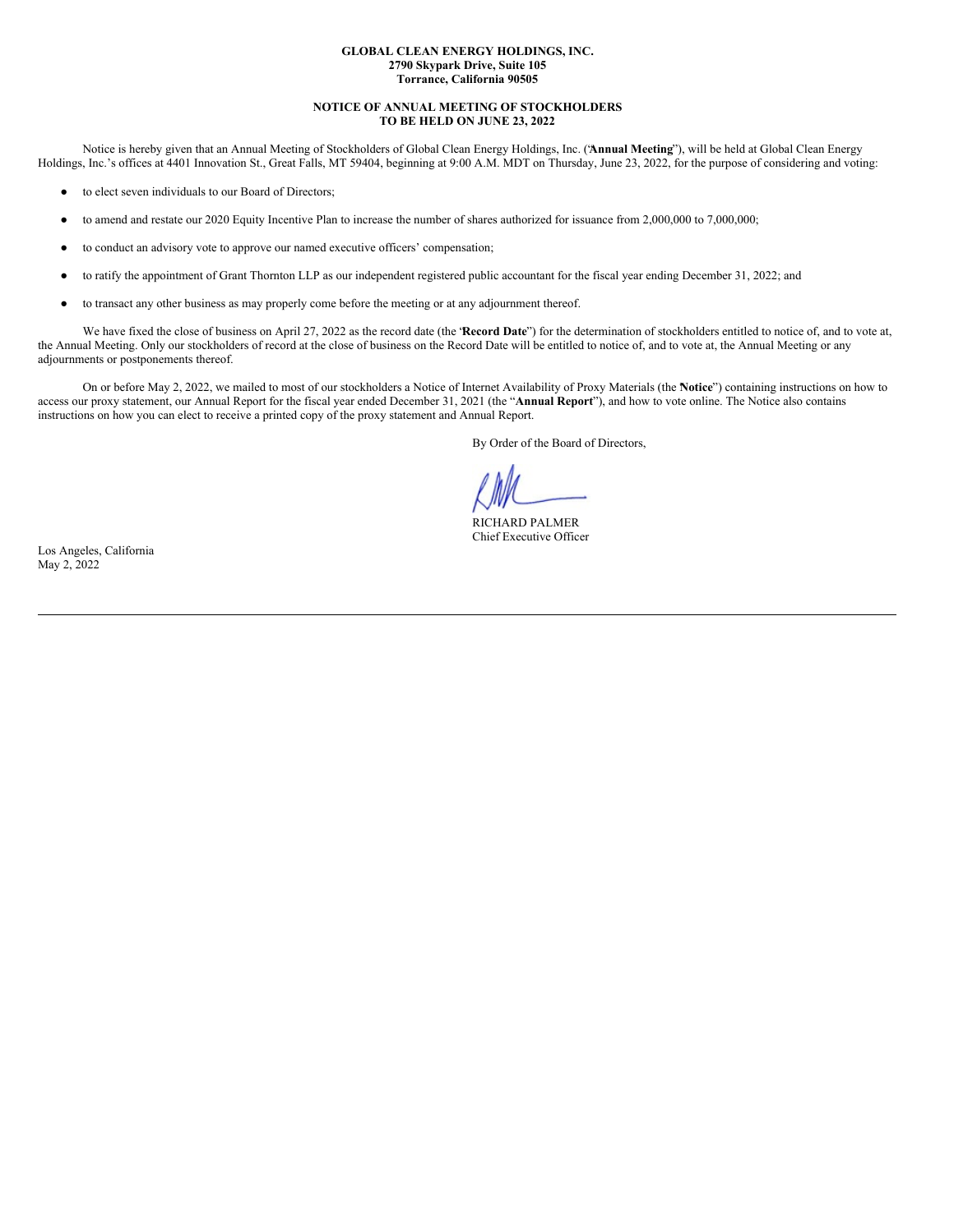#### **GLOBAL CLEAN ENERGY HOLDINGS, INC. 2790 Skypark Drive, Suite 105 Torrance, California 90505**

### **NOTICE OF ANNUAL MEETING OF STOCKHOLDERS TO BE HELD ON JUNE 23, 2022**

Notice is hereby given that an Annual Meeting of Stockholders of Global Clean Energy Holdings, Inc. ("**Annual Meeting**"), will be held at Global Clean Energy Holdings, Inc.'s offices at 4401 Innovation St., Great Falls, MT 59404, beginning at 9:00 A.M. MDT on Thursday, June 23, 2022, for the purpose of considering and voting:

- to elect seven individuals to our Board of Directors;
- to amend and restate our 2020 Equity Incentive Plan to increase the number of shares authorized for issuance from 2,000,000 to 7,000,000;
- to conduct an advisory vote to approve our named executive officers' compensation;
- to ratify the appointment of Grant Thornton LLP as our independent registered public accountant for the fiscal year ending December 31, 2022; and
- to transact any other business as may properly come before the meeting or at any adjournment thereof.

We have fixed the close of business on April 27, 2022 as the record date (the "**Record Date**") for the determination of stockholders entitled to notice of, and to vote at, the Annual Meeting. Only our stockholders of record at the close of business on the Record Date will be entitled to notice of, and to vote at, the Annual Meeting or any adjournments or postponements thereof.

On or before May 2, 2022, we mailed to most of our stockholders a Notice of Internet Availability of Proxy Materials (the "**Notice**") containing instructions on how to access our proxy statement, our Annual Report for the fiscal year ended December 31, 2021 (the "**Annual Report**"), and how to vote online. The Notice also contains instructions on how you can elect to receive a printed copy of the proxy statement and Annual Report.

By Order of the Board of Directors,

RICHARD PALMER Chief Executive Officer

Los Angeles, California May 2, 2022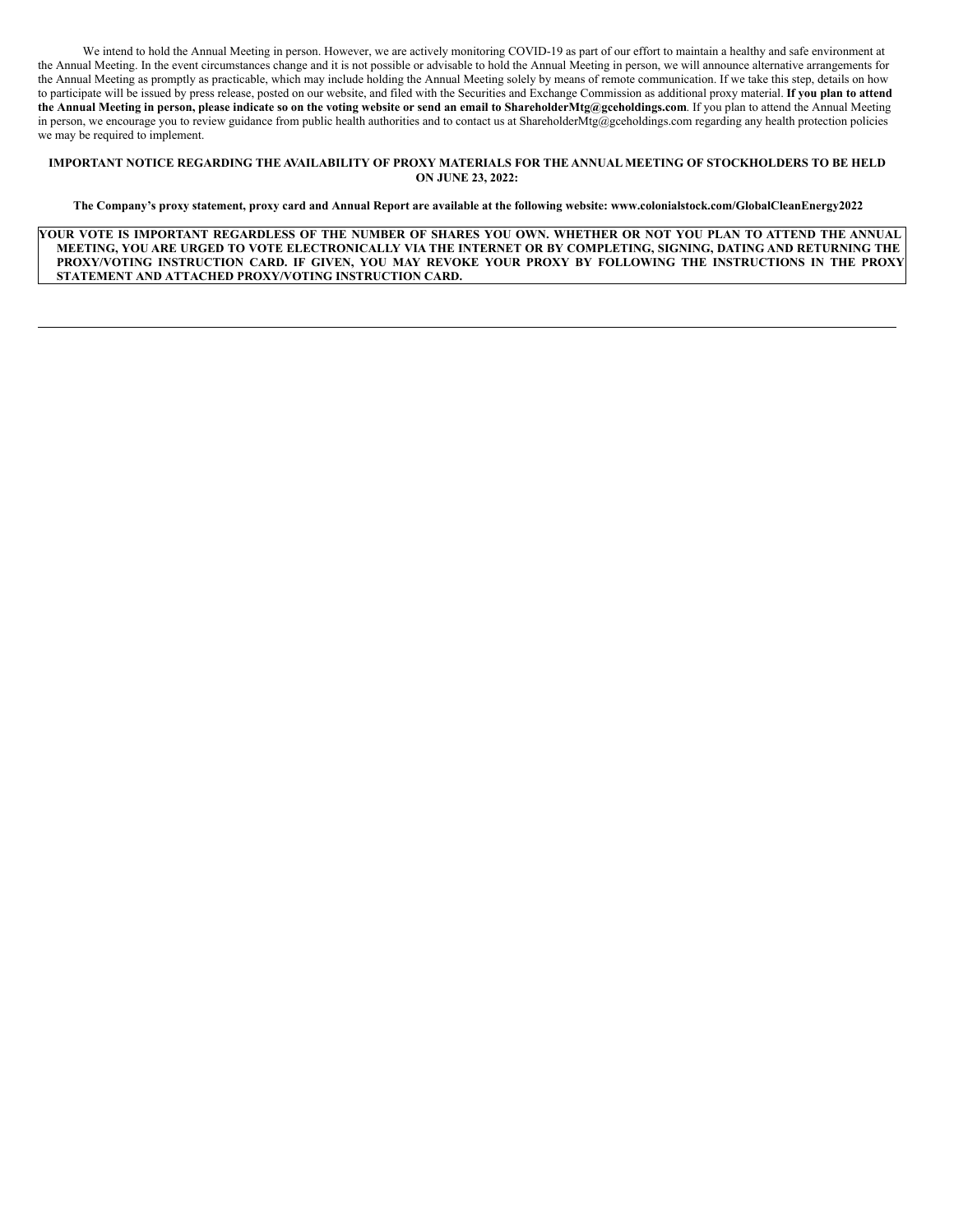We intend to hold the Annual Meeting in person. However, we are actively monitoring COVID-19 as part of our effort to maintain a healthy and safe environment at the Annual Meeting. In the event circumstances change and it is not possible or advisable to hold the Annual Meeting in person, we will announce alternative arrangements for the Annual Meeting as promptly as practicable, which may include holding the Annual Meeting solely by means of remote communication. If we take this step, details on how to participate will be issued by press release, posted on our website, and filed with the Securities and Exchange Commission as additional proxy material. **If you plan to attend** the Annual Meeting in person, please indicate so on the voting website or send an email to ShareholderMtg@gceholdings.com. If you plan to attend the Annual Meeting in person, we encourage you to review guidance from public health authorities and to contact us at ShareholderMtg@gceholdings.com regarding any health protection policies we may be required to implement.

### IMPORTANT NOTICE REGARDING THE AVAILABILITY OF PROXY MATERIALS FOR THE ANNUAL MEETING OF STOCKHOLDERS TO BE HELD **ON JUNE 23, 2022:**

The Company's proxy statement, proxy card and Annual Report are available at the following website: www.colonialstock.com/GlobalCleanEnergy2022

YOUR VOTE IS IMPORTANT REGARDLESS OF THE NUMBER OF SHARES YOU OWN. WHETHER OR NOT YOU PLAN TO ATTEND THE ANNUAL MEETING, YOU ARE URGED TO VOTE ELECTRONICALLY VIA THE INTERNET OR BY COMPLETING, SIGNING, DATING AND RETURNING THE PROXY/VOTING INSTRUCTION CARD. IF GIVEN, YOU MAY REVOKE YOUR PROXY BY FOLLOWING THE INSTRUCTIONS IN THE PROXY **STATEMENT AND ATTACHED PROXY/VOTING INSTRUCTION CARD.**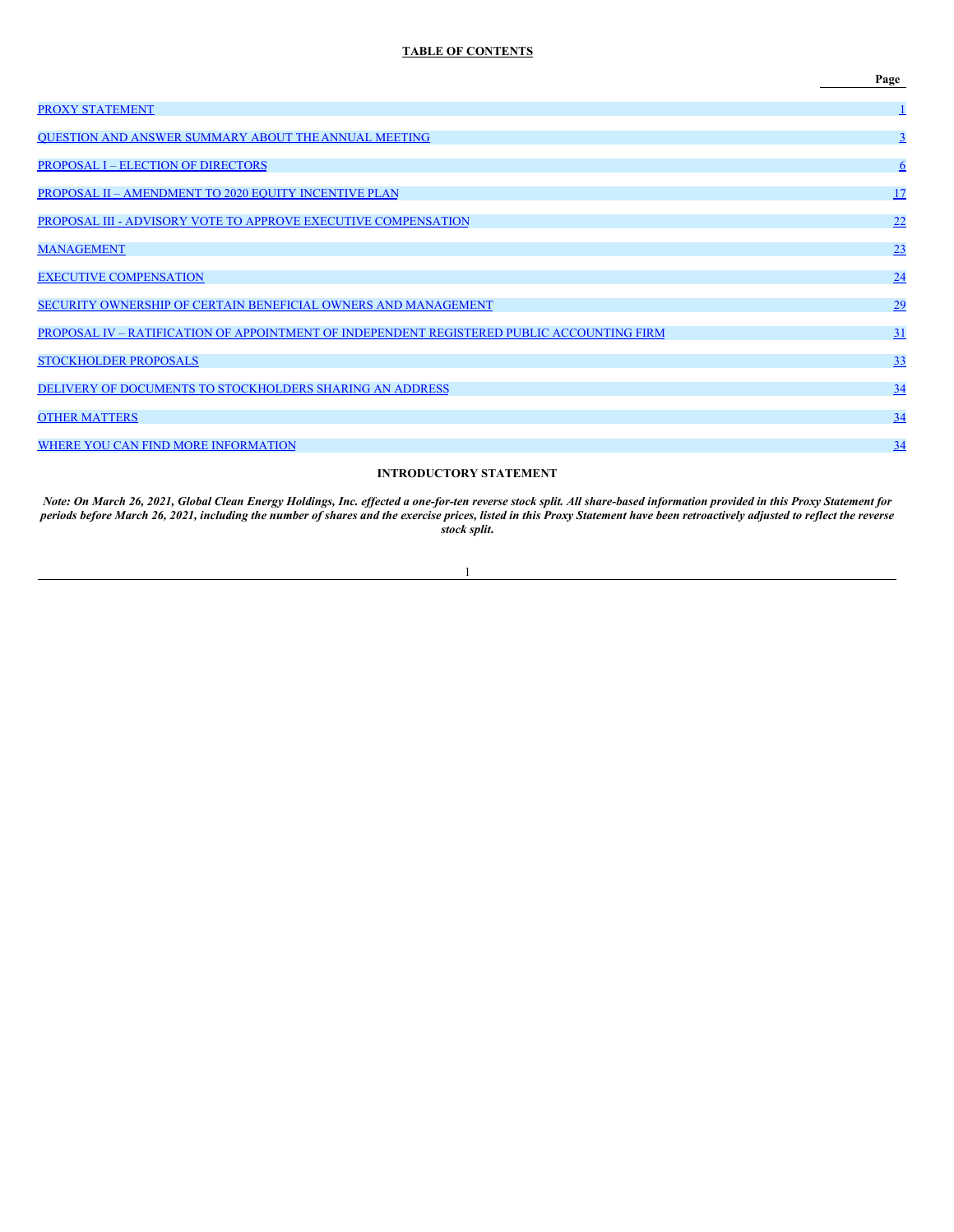# **TABLE OF CONTENTS**

|                                                                                            | Page            |
|--------------------------------------------------------------------------------------------|-----------------|
| <b>PROXY STATEMENT</b>                                                                     | $\perp$         |
| QUESTION AND ANSWER SUMMARY ABOUT THE ANNUAL MEETING                                       | $\overline{3}$  |
| <b>PROPOSAL I – ELECTION OF DIRECTORS</b>                                                  | $6\overline{6}$ |
| PROPOSAL II - AMENDMENT TO 2020 EQUITY INCENTIVE PLAN                                      | 17              |
| PROPOSAL III - ADVISORY VOTE TO APPROVE EXECUTIVE COMPENSATION                             | 22              |
| <b>MANAGEMENT</b>                                                                          | 23              |
| <b>EXECUTIVE COMPENSATION</b>                                                              | 24              |
| SECURITY OWNERSHIP OF CERTAIN BENEFICIAL OWNERS AND MANAGEMENT                             | 29              |
| PROPOSAL IV - RATIFICATION OF APPOINTMENT OF INDEPENDENT REGISTERED PUBLIC ACCOUNTING FIRM | 31              |
| <b>STOCKHOLDER PROPOSALS</b>                                                               | 33              |
| DELIVERY OF DOCUMENTS TO STOCKHOLDERS SHARING AN ADDRESS                                   | $\frac{34}{5}$  |
| <b>OTHER MATTERS</b>                                                                       | 34              |
| WHERE YOU CAN FIND MORE INFORMATION                                                        | 34              |
|                                                                                            |                 |

# **INTRODUCTORY STATEMENT**

Note: On March 26, 2021, Global Clean Energy Holdings, Inc. effected a one-for-ten reverse stock split. All share-based information provided in this Proxy Statement for periods before March 26, 2021, including the number of shares and the exercise prices, listed in this Proxy Statement have been retroactively adjusted to reflect the reverse *stock split***.**

1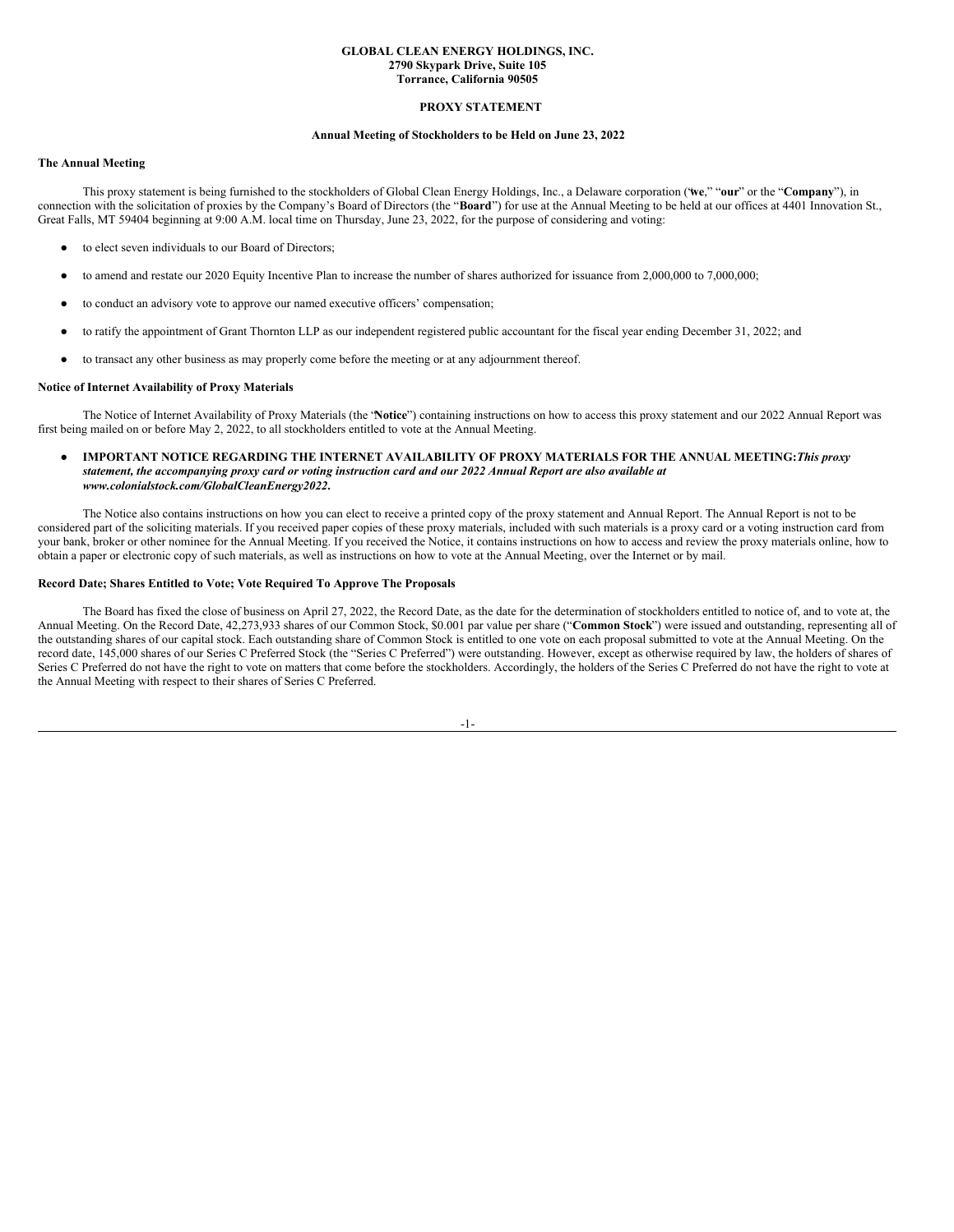#### **GLOBAL CLEAN ENERGY HOLDINGS, INC. 2790 Skypark Drive, Suite 105 Torrance, California 90505**

#### <span id="page-4-0"></span>**PROXY STATEMENT**

#### **Annual Meeting of Stockholders to be Held on June 23, 2022**

### **The Annual Meeting**

This proxy statement is being furnished to the stockholders of Global Clean Energy Holdings, Inc., a Delaware corporation ("**we**," "**our**" or the "**Company**"), in connection with the solicitation of proxies by the Company's Board of Directors (the "**Board**") for use at the Annual Meeting to be held at our offices at 4401 Innovation St., Great Falls, MT 59404 beginning at 9:00 A.M. local time on Thursday, June 23, 2022, for the purpose of considering and voting:

- to elect seven individuals to our Board of Directors;
- to amend and restate our 2020 Equity Incentive Plan to increase the number of shares authorized for issuance from 2,000,000 to 7,000,000;
- to conduct an advisory vote to approve our named executive officers' compensation;
- to ratify the appointment of Grant Thornton LLP as our independent registered public accountant for the fiscal year ending December 31, 2022; and
- to transact any other business as may properly come before the meeting or at any adjournment thereof.

#### **Notice of Internet Availability of Proxy Materials**

The Notice of Internet Availability of Proxy Materials (the "**Notice**") containing instructions on how to access this proxy statement and our 2022 Annual Report was first being mailed on or before May 2, 2022, to all stockholders entitled to vote at the Annual Meeting.

● **IMPORTANT NOTICE REGARDING THE INTERNET AVAILABILITY OF PROXY MATERIALS FOR THE ANNUAL MEETING:***This proxy* statement, the accompanying proxy card or voting instruction card and our 2022 Annual Report are also available at *www.colonialstock.com/GlobalCleanEnergy2022***.**

The Notice also contains instructions on how you can elect to receive a printed copy of the proxy statement and Annual Report. The Annual Report is not to be considered part of the soliciting materials. If you received paper copies of these proxy materials, included with such materials is a proxy card or a voting instruction card from your bank, broker or other nominee for the Annual Meeting. If you received the Notice, it contains instructions on how to access and review the proxy materials online, how to obtain a paper or electronic copy of such materials, as well as instructions on how to vote at the Annual Meeting, over the Internet or by mail.

#### **Record Date; Shares Entitled to Vote; Vote Required To Approve The Proposals**

The Board has fixed the close of business on April 27, 2022, the Record Date, as the date for the determination of stockholders entitled to notice of, and to vote at, the Annual Meeting. On the Record Date, 42,273,933 shares of our Common Stock, \$0.001 par value per share ("**Common Stock**") were issued and outstanding, representing all of the outstanding shares of our capital stock. Each outstanding share of Common Stock is entitled to one vote on each proposal submitted to vote at the Annual Meeting. On the record date, 145,000 shares of our Series C Preferred Stock (the "Series C Preferred") were outstanding. However, except as otherwise required by law, the holders of shares of Series C Preferred do not have the right to vote on matters that come before the stockholders. Accordingly, the holders of the Series C Preferred do not have the right to vote at the Annual Meeting with respect to their shares of Series C Preferred.

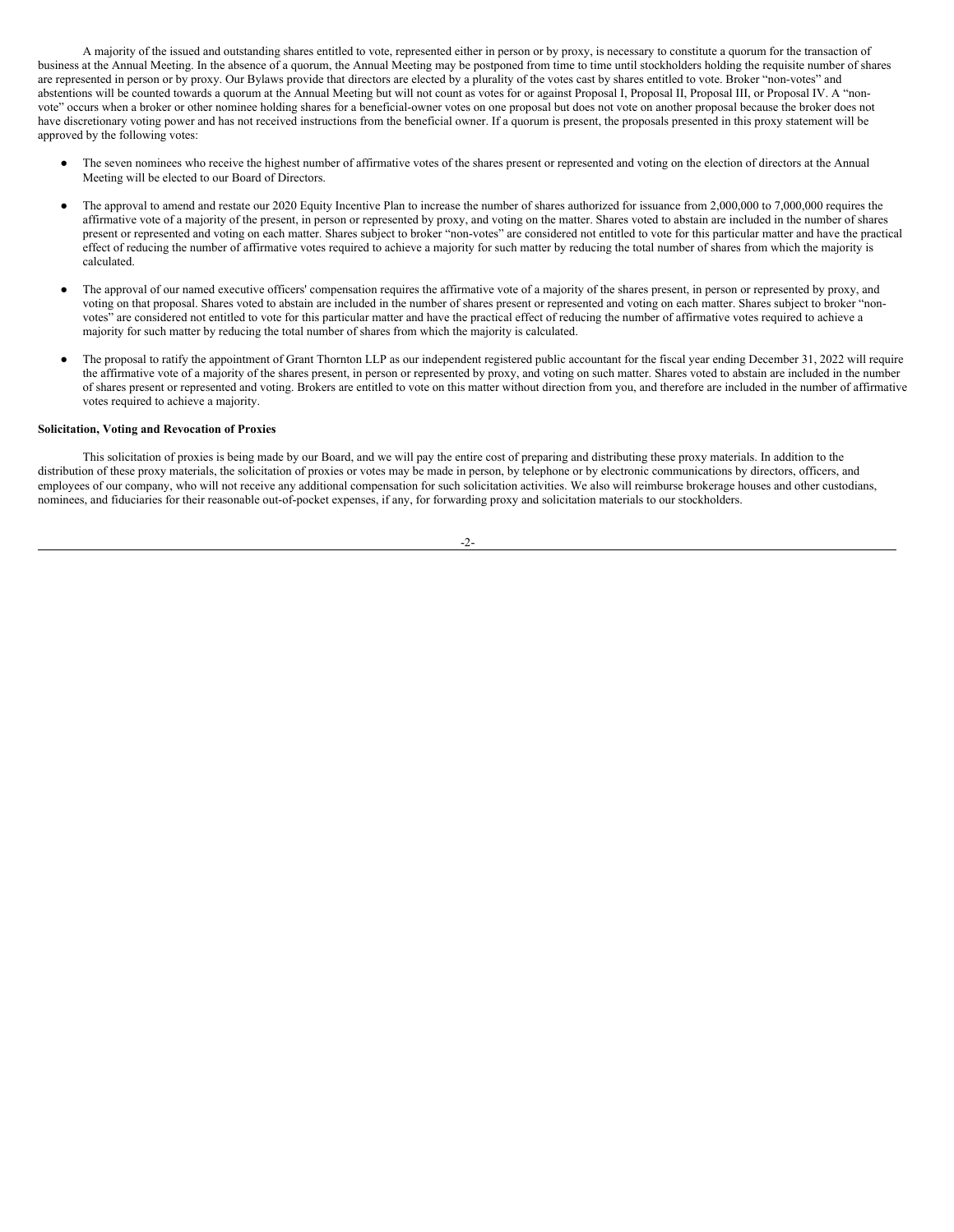A majority of the issued and outstanding shares entitled to vote, represented either in person or by proxy, is necessary to constitute a quorum for the transaction of business at the Annual Meeting. In the absence of a quorum, the Annual Meeting may be postponed from time to time until stockholders holding the requisite number of shares are represented in person or by proxy. Our Bylaws provide that directors are elected by a plurality of the votes cast by shares entitled to vote. Broker "non-votes" and abstentions will be counted towards a quorum at the Annual Meeting but will not count as votes for or against Proposal I, Proposal II, Proposal III, or Proposal IV. A "nonvote" occurs when a broker or other nominee holding shares for a beneficial-owner votes on one proposal but does not vote on another proposal because the broker does not have discretionary voting power and has not received instructions from the beneficial owner. If a quorum is present, the proposals presented in this proxy statement will be approved by the following votes:

- The seven nominees who receive the highest number of affirmative votes of the shares present or represented and voting on the election of directors at the Annual Meeting will be elected to our Board of Directors.
- The approval to amend and restate our 2020 Equity Incentive Plan to increase the number of shares authorized for issuance from 2,000,000 to 7,000,000 requires the affirmative vote of a majority of the present, in person or represented by proxy, and voting on the matter. Shares voted to abstain are included in the number of shares present or represented and voting on each matter. Shares subject to broker "non-votes" are considered not entitled to vote for this particular matter and have the practical effect of reducing the number of affirmative votes required to achieve a majority for such matter by reducing the total number of shares from which the majority is calculated.
- The approval of our named executive officers' compensation requires the affirmative vote of a majority of the shares present, in person or represented by proxy, and voting on that proposal. Shares voted to abstain are included in the number of shares present or represented and voting on each matter. Shares subject to broker "nonvotes" are considered not entitled to vote for this particular matter and have the practical effect of reducing the number of affirmative votes required to achieve a majority for such matter by reducing the total number of shares from which the majority is calculated.
- The proposal to ratify the appointment of Grant Thornton LLP as our independent registered public accountant for the fiscal year ending December 31, 2022 will require the affirmative vote of a majority of the shares present, in person or represented by proxy, and voting on such matter. Shares voted to abstain are included in the number of shares present or represented and voting. Brokers are entitled to vote on this matter without direction from you, and therefore are included in the number of affirmative votes required to achieve a majority.

#### **Solicitation, Voting and Revocation of Proxies**

This solicitation of proxies is being made by our Board, and we will pay the entire cost of preparing and distributing these proxy materials. In addition to the distribution of these proxy materials, the solicitation of proxies or votes may be made in person, by telephone or by electronic communications by directors, officers, and employees of our company, who will not receive any additional compensation for such solicitation activities. We also will reimburse brokerage houses and other custodians, nominees, and fiduciaries for their reasonable out-of-pocket expenses, if any, for forwarding proxy and solicitation materials to our stockholders.

$$
-2-
$$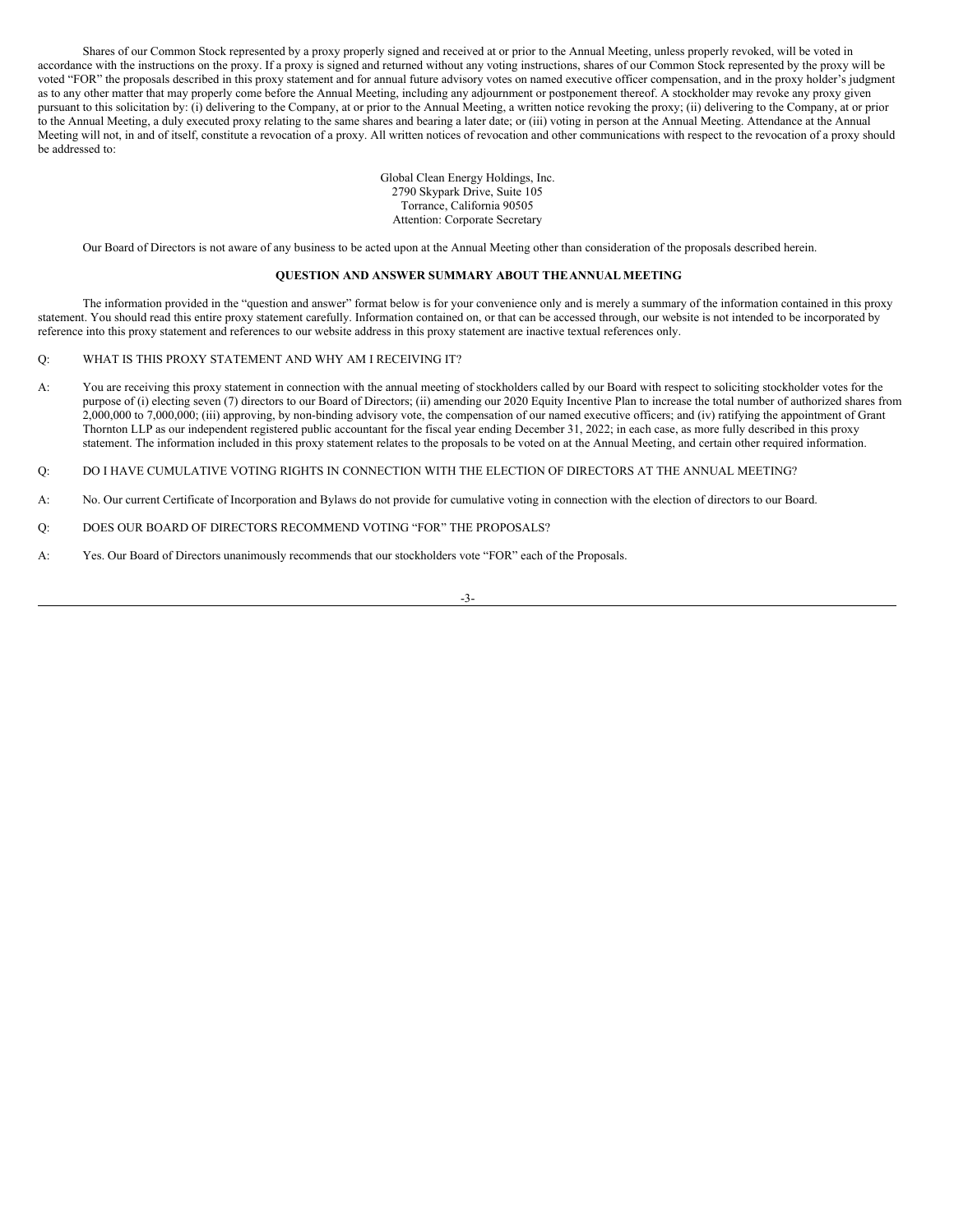Shares of our Common Stock represented by a proxy properly signed and received at or prior to the Annual Meeting, unless properly revoked, will be voted in accordance with the instructions on the proxy. If a proxy is signed and returned without any voting instructions, shares of our Common Stock represented by the proxy will be voted "FOR" the proposals described in this proxy statement and for annual future advisory votes on named executive officer compensation, and in the proxy holder's judgment as to any other matter that may properly come before the Annual Meeting, including any adjournment or postponement thereof. A stockholder may revoke any proxy given pursuant to this solicitation by: (i) delivering to the Company, at or prior to the Annual Meeting, a written notice revoking the proxy; (ii) delivering to the Company, at or prior to the Annual Meeting, a duly executed proxy relating to the same shares and bearing a later date; or (iii) voting in person at the Annual Meeting. Attendance at the Annual Meeting will not, in and of itself, constitute a revocation of a proxy. All written notices of revocation and other communications with respect to the revocation of a proxy should be addressed to:

> Global Clean Energy Holdings, Inc. 2790 Skypark Drive, Suite 105 Torrance, California 90505 Attention: Corporate Secretary

Our Board of Directors is not aware of any business to be acted upon at the Annual Meeting other than consideration of the proposals described herein.

#### <span id="page-6-0"></span>**QUESTION AND ANSWER SUMMARY ABOUT THEANNUAL MEETING**

The information provided in the "question and answer" format below is for your convenience only and is merely a summary of the information contained in this proxy statement. You should read this entire proxy statement carefully. Information contained on, or that can be accessed through, our website is not intended to be incorporated by reference into this proxy statement and references to our website address in this proxy statement are inactive textual references only.

#### Q: WHAT IS THIS PROXY STATEMENT AND WHY AM I RECEIVING IT?

A: You are receiving this proxy statement in connection with the annual meeting of stockholders called by our Board with respect to soliciting stockholder votes for the purpose of (i) electing seven (7) directors to our Board of Directors; (ii) amending our 2020 Equity Incentive Plan to increase the total number of authorized shares from 2,000,000 to 7,000,000; (iii) approving, by non-binding advisory vote, the compensation of our named executive officers; and (iv) ratifying the appointment of Grant Thornton LLP as our independent registered public accountant for the fiscal year ending December 31, 2022; in each case, as more fully described in this proxy statement. The information included in this proxy statement relates to the proposals to be voted on at the Annual Meeting, and certain other required information.

Q: DO I HAVE CUMULATIVE VOTING RIGHTS IN CONNECTION WITH THE ELECTION OF DIRECTORS AT THE ANNUAL MEETING?

- A: No. Our current Certificate of Incorporation and Bylaws do not provide for cumulative voting in connection with the election of directors to our Board.
- Q: DOES OUR BOARD OF DIRECTORS RECOMMEND VOTING "FOR" THE PROPOSALS?
- A: Yes. Our Board of Directors unanimously recommends that our stockholders vote "FOR" each of the Proposals.

-3-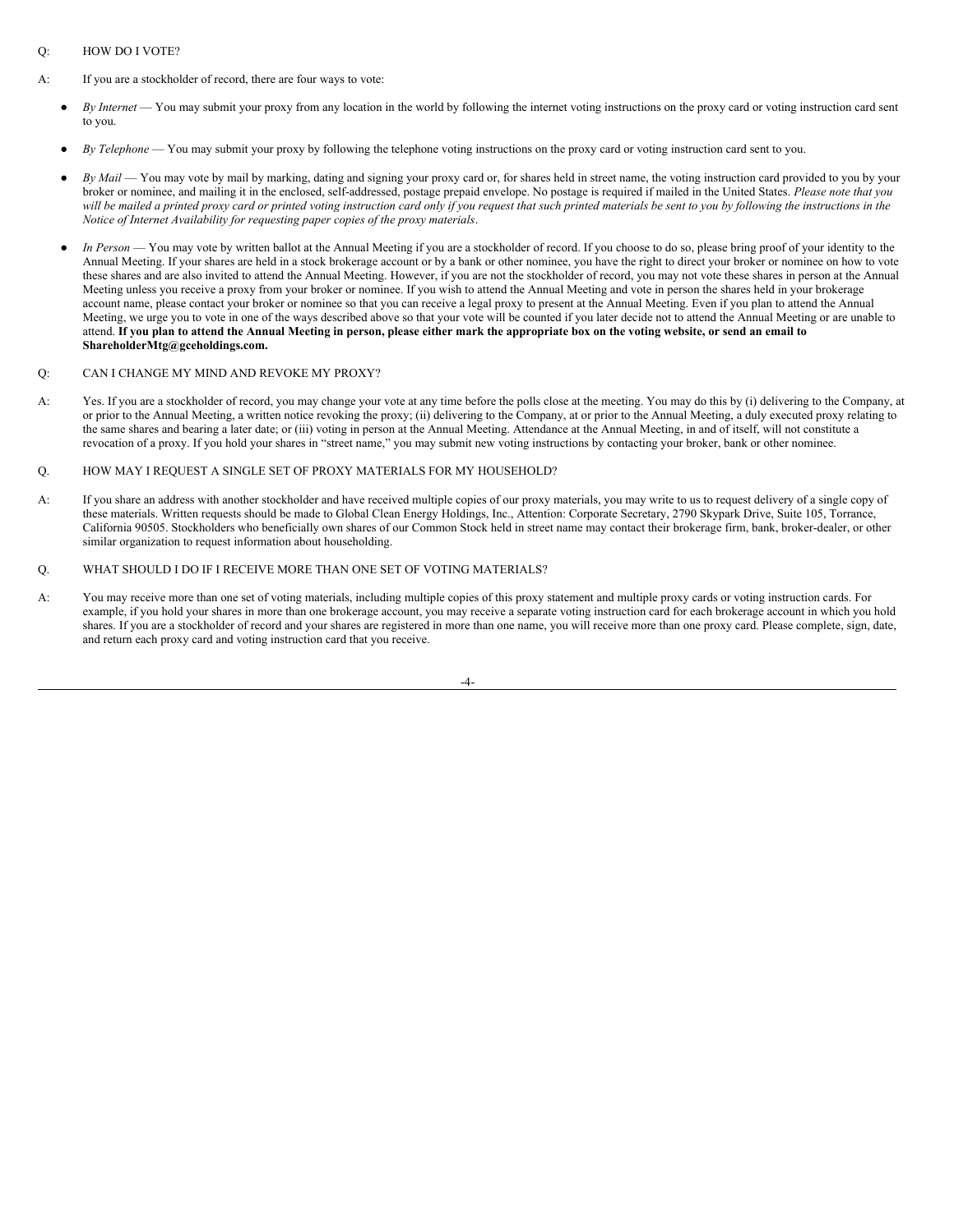### Q: HOW DO I VOTE?

- A: If you are a stockholder of record, there are four ways to vote:
	- *By Internet* You may submit your proxy from any location in the world by following the internet voting instructions on the proxy card or voting instruction card sent to you.
	- By *Telephone* You may submit your proxy by following the telephone voting instructions on the proxy card or voting instruction card sent to you.
	- *By Mail* You may vote by mail by marking, dating and signing your proxy card or, for shares held in street name, the voting instruction card provided to you by your broker or nominee, and mailing it in the enclosed, self-addressed, postage prepaid envelope. No postage is required if mailed in the United States. *Please note that you* will be mailed a printed proxy card or printed voting instruction card only if you request that such printed materials be sent to you by following the instructions in the *Notice of Internet Availability for requesting paper copies of the proxy materials*.
	- In Person You may vote by written ballot at the Annual Meeting if you are a stockholder of record. If you choose to do so, please bring proof of your identity to the Annual Meeting. If your shares are held in a stock brokerage account or by a bank or other nominee, you have the right to direct your broker or nominee on how to vote these shares and are also invited to attend the Annual Meeting. However, if you are not the stockholder of record, you may not vote these shares in person at the Annual Meeting unless you receive a proxy from your broker or nominee. If you wish to attend the Annual Meeting and vote in person the shares held in your brokerage account name, please contact your broker or nominee so that you can receive a legal proxy to present at the Annual Meeting. Even if you plan to attend the Annual Meeting, we urge you to vote in one of the ways described above so that your vote will be counted if you later decide not to attend the Annual Meeting or are unable to attend. If you plan to attend the Annual Meeting in person, please either mark the appropriate box on the voting website, or send an email to **ShareholderMtg@gceholdings.com.**

#### Q: CAN I CHANGE MY MIND AND REVOKE MY PROXY?

- A: Yes. If you are a stockholder of record, you may change your vote at any time before the polls close at the meeting. You may do this by (i) delivering to the Company, at or prior to the Annual Meeting, a written notice revoking the proxy; (ii) delivering to the Company, at or prior to the Annual Meeting, a duly executed proxy relating to the same shares and bearing a later date; or (iii) voting in person at the Annual Meeting. Attendance at the Annual Meeting, in and of itself, will not constitute a revocation of a proxy. If you hold your shares in "street name," you may submit new voting instructions by contacting your broker, bank or other nominee.
- Q. HOW MAY I REQUEST A SINGLE SET OF PROXY MATERIALS FOR MY HOUSEHOLD?
- A: If you share an address with another stockholder and have received multiple copies of our proxy materials, you may write to us to request delivery of a single copy of these materials. Written requests should be made to Global Clean Energy Holdings, Inc., Attention: Corporate Secretary, 2790 Skypark Drive, Suite 105, Torrance, California 90505. Stockholders who beneficially own shares of our Common Stock held in street name may contact their brokerage firm, bank, broker-dealer, or other similar organization to request information about householding.

#### Q. WHAT SHOULD I DO IF I RECEIVE MORE THAN ONE SET OF VOTING MATERIALS?

A: You may receive more than one set of voting materials, including multiple copies of this proxy statement and multiple proxy cards or voting instruction cards. For example, if you hold your shares in more than one brokerage account, you may receive a separate voting instruction card for each brokerage account in which you hold shares. If you are a stockholder of record and your shares are registered in more than one name, you will receive more than one proxy card. Please complete, sign, date, and return each proxy card and voting instruction card that you receive.

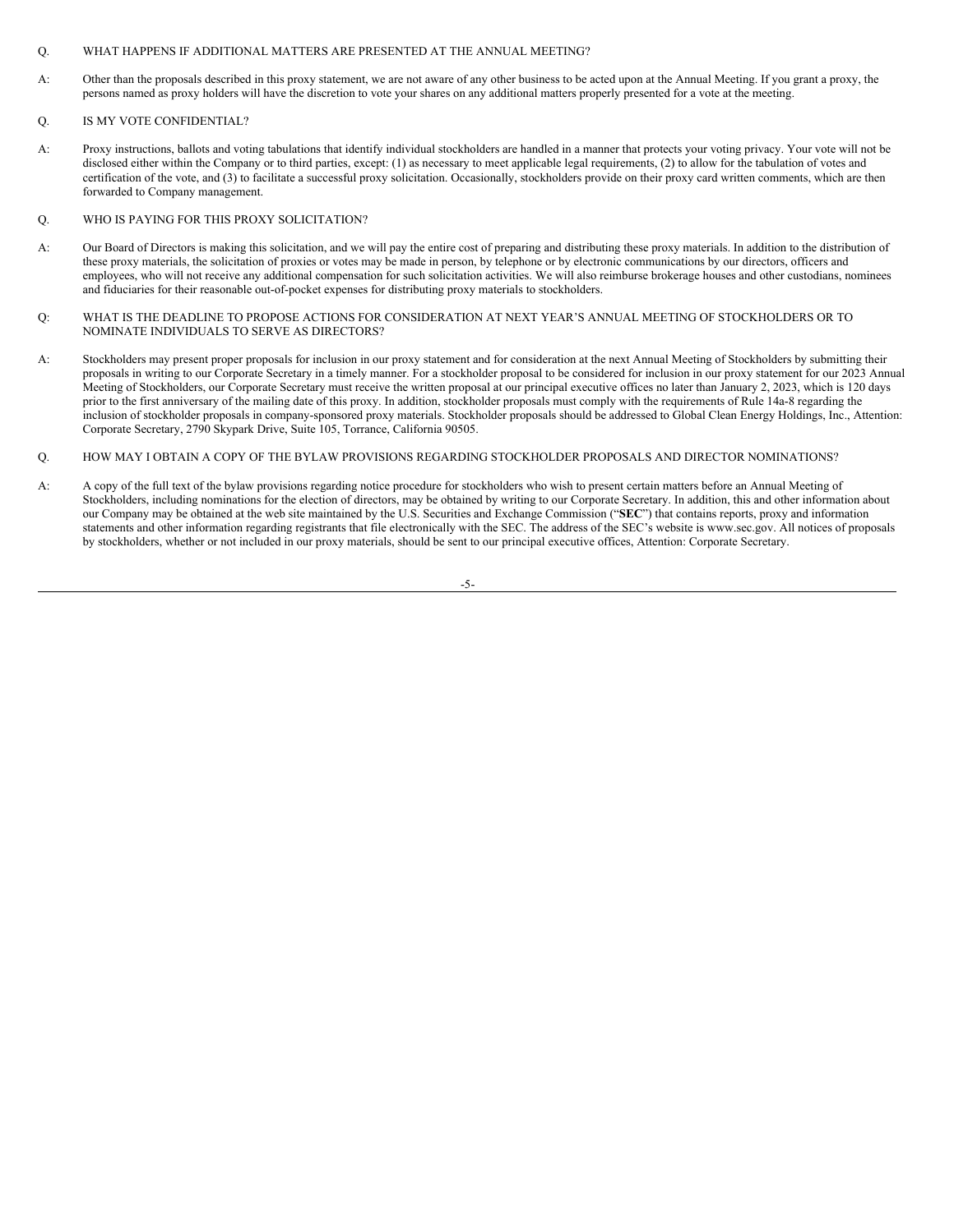### Q. WHAT HAPPENS IF ADDITIONAL MATTERS ARE PRESENTED AT THE ANNUAL MEETING?

A: Other than the proposals described in this proxy statement, we are not aware of any other business to be acted upon at the Annual Meeting. If you grant a proxy, the persons named as proxy holders will have the discretion to vote your shares on any additional matters properly presented for a vote at the meeting.

### Q. IS MY VOTE CONFIDENTIAL?

A: Proxy instructions, ballots and voting tabulations that identify individual stockholders are handled in a manner that protects your voting privacy. Your vote will not be disclosed either within the Company or to third parties, except: (1) as necessary to meet applicable legal requirements, (2) to allow for the tabulation of votes and certification of the vote, and (3) to facilitate a successful proxy solicitation. Occasionally, stockholders provide on their proxy card written comments, which are then forwarded to Company management.

#### Q. WHO IS PAYING FOR THIS PROXY SOLICITATION?

- A: Our Board of Directors is making this solicitation, and we will pay the entire cost of preparing and distributing these proxy materials. In addition to the distribution of these proxy materials, the solicitation of proxies or votes may be made in person, by telephone or by electronic communications by our directors, officers and employees, who will not receive any additional compensation for such solicitation activities. We will also reimburse brokerage houses and other custodians, nominees and fiduciaries for their reasonable out-of-pocket expenses for distributing proxy materials to stockholders.
- Q: WHAT IS THE DEADLINE TO PROPOSE ACTIONS FOR CONSIDERATION AT NEXT YEAR'S ANNUAL MEETING OF STOCKHOLDERS OR TO NOMINATE INDIVIDUALS TO SERVE AS DIRECTORS?
- A: Stockholders may present proper proposals for inclusion in our proxy statement and for consideration at the next Annual Meeting of Stockholders by submitting their proposals in writing to our Corporate Secretary in a timely manner. For a stockholder proposal to be considered for inclusion in our proxy statement for our 2023 Annual Meeting of Stockholders, our Corporate Secretary must receive the written proposal at our principal executive offices no later than January 2, 2023, which is 120 days prior to the first anniversary of the mailing date of this proxy. In addition, stockholder proposals must comply with the requirements of Rule 14a-8 regarding the inclusion of stockholder proposals in company-sponsored proxy materials. Stockholder proposals should be addressed to Global Clean Energy Holdings, Inc., Attention: Corporate Secretary, 2790 Skypark Drive, Suite 105, Torrance, California 90505.

### Q. HOW MAY I OBTAIN A COPY OF THE BYLAW PROVISIONS REGARDING STOCKHOLDER PROPOSALS AND DIRECTOR NOMINATIONS?

A: A copy of the full text of the bylaw provisions regarding notice procedure for stockholders who wish to present certain matters before an Annual Meeting of Stockholders, including nominations for the election of directors, may be obtained by writing to our Corporate Secretary. In addition, this and other information about our Company may be obtained at the web site maintained by the U.S. Securities and Exchange Commission ("**SEC**") that contains reports, proxy and information statements and other information regarding registrants that file electronically with the SEC. The address of the SEC's website is www.sec.gov. All notices of proposals by stockholders, whether or not included in our proxy materials, should be sent to our principal executive offices, Attention: Corporate Secretary.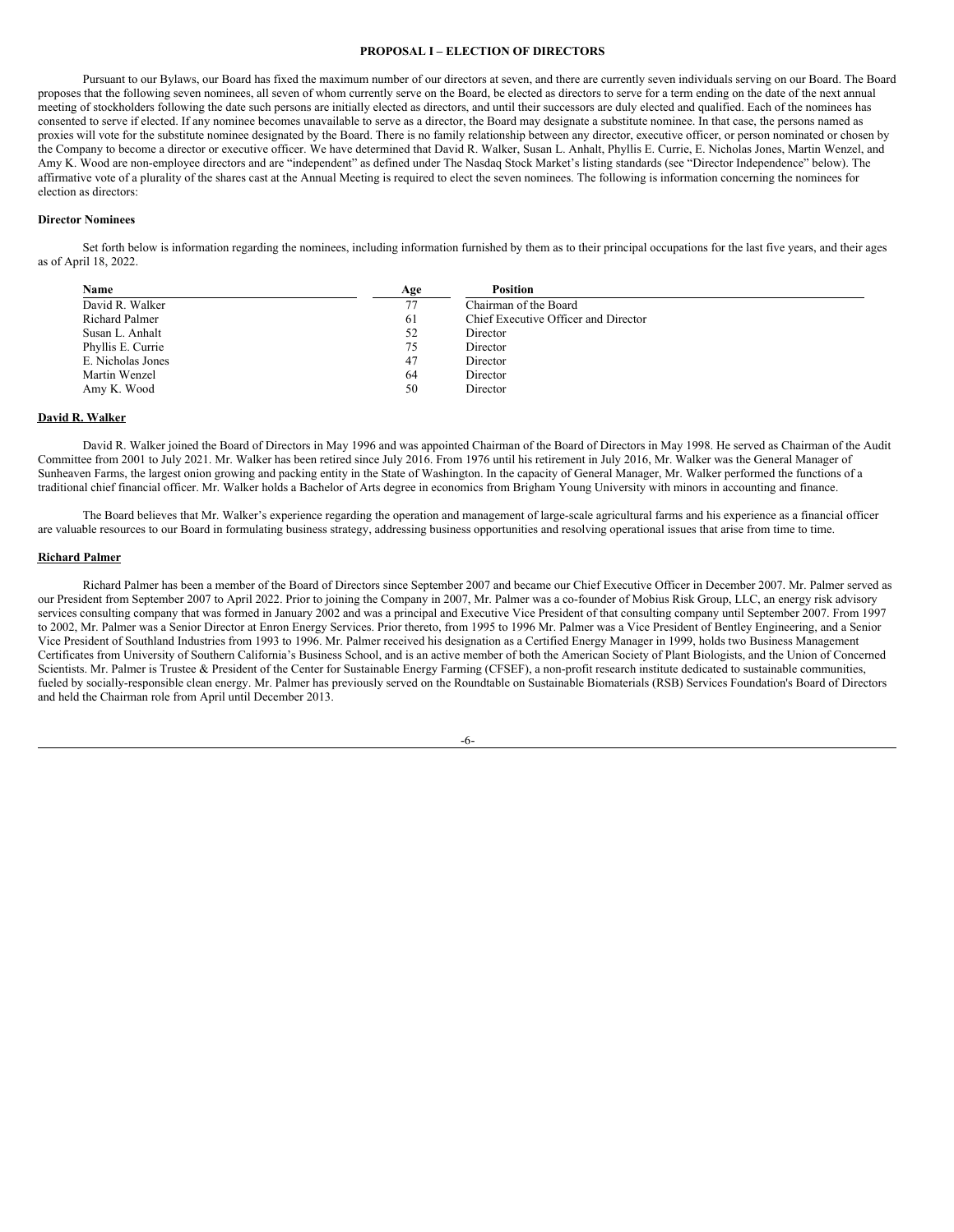### <span id="page-9-0"></span>**PROPOSAL I – ELECTION OF DIRECTORS**

Pursuant to our Bylaws, our Board has fixed the maximum number of our directors at seven, and there are currently seven individuals serving on our Board. The Board proposes that the following seven nominees, all seven of whom currently serve on the Board, be elected as directors to serve for a term ending on the date of the next annual meeting of stockholders following the date such persons are initially elected as directors, and until their successors are duly elected and qualified. Each of the nominees has consented to serve if elected. If any nominee becomes unavailable to serve as a director, the Board may designate a substitute nominee. In that case, the persons named as proxies will vote for the substitute nominee designated by the Board. There is no family relationship between any director, executive officer, or person nominated or chosen by the Company to become a director or executive officer. We have determined that David R. Walker, Susan L. Anhalt, Phyllis E. Currie, E. Nicholas Jones, Martin Wenzel, and Amy K. Wood are non-employee directors and are "independent" as defined under The Nasdaq Stock Market's listing standards (see "Director Independence" below). The affirmative vote of a plurality of the shares cast at the Annual Meeting is required to elect the seven nominees. The following is information concerning the nominees for election as directors:

#### **Director Nominees**

Set forth below is information regarding the nominees, including information furnished by them as to their principal occupations for the last five years, and their ages as of April 18, 2022.

| Name                  | Age | <b>Position</b>                      |  |
|-----------------------|-----|--------------------------------------|--|
| David R. Walker       | 77  | Chairman of the Board                |  |
| <b>Richard Palmer</b> | 61  | Chief Executive Officer and Director |  |
| Susan L. Anhalt       | 52  | Director                             |  |
| Phyllis E. Currie     | 75  | Director                             |  |
| E. Nicholas Jones     | 47  | Director                             |  |
| Martin Wenzel         | 64  | Director                             |  |
| Amy K. Wood           | 50  | Director                             |  |

### **David R. Walker**

David R. Walker joined the Board of Directors in May 1996 and was appointed Chairman of the Board of Directors in May 1998. He served as Chairman of the Audit Committee from 2001 to July 2021. Mr. Walker has been retired since July 2016. From 1976 until his retirement in July 2016, Mr. Walker was the General Manager of Sunheaven Farms, the largest onion growing and packing entity in the State of Washington. In the capacity of General Manager, Mr. Walker performed the functions of a traditional chief financial officer. Mr. Walker holds a Bachelor of Arts degree in economics from Brigham Young University with minors in accounting and finance.

The Board believes that Mr. Walker's experience regarding the operation and management of large-scale agricultural farms and his experience as a financial officer are valuable resources to our Board in formulating business strategy, addressing business opportunities and resolving operational issues that arise from time to time.

#### **Richard Palmer**

Richard Palmer has been a member of the Board of Directors since September 2007 and became our Chief Executive Officer in December 2007. Mr. Palmer served as our President from September 2007 to April 2022. Prior to joining the Company in 2007, Mr. Palmer was a co-founder of Mobius Risk Group, LLC, an energy risk advisory services consulting company that was formed in January 2002 and was a principal and Executive Vice President of that consulting company until September 2007. From 1997 to 2002, Mr. Palmer was a Senior Director at Enron Energy Services. Prior thereto, from 1995 to 1996 Mr. Palmer was a Vice President of Bentley Engineering, and a Senior Vice President of Southland Industries from 1993 to 1996. Mr. Palmer received his designation as a Certified Energy Manager in 1999, holds two Business Management Certificates from University of Southern California's Business School, and is an active member of both the American Society of Plant Biologists, and the Union of Concerned Scientists. Mr. Palmer is Trustee & President of the Center for Sustainable Energy Farming (CFSEF), a non-profit research institute dedicated to sustainable communities, fueled by socially-responsible clean energy. Mr. Palmer has previously served on the Roundtable on Sustainable Biomaterials (RSB) Services Foundation's Board of Directors and held the Chairman role from April until December 2013.

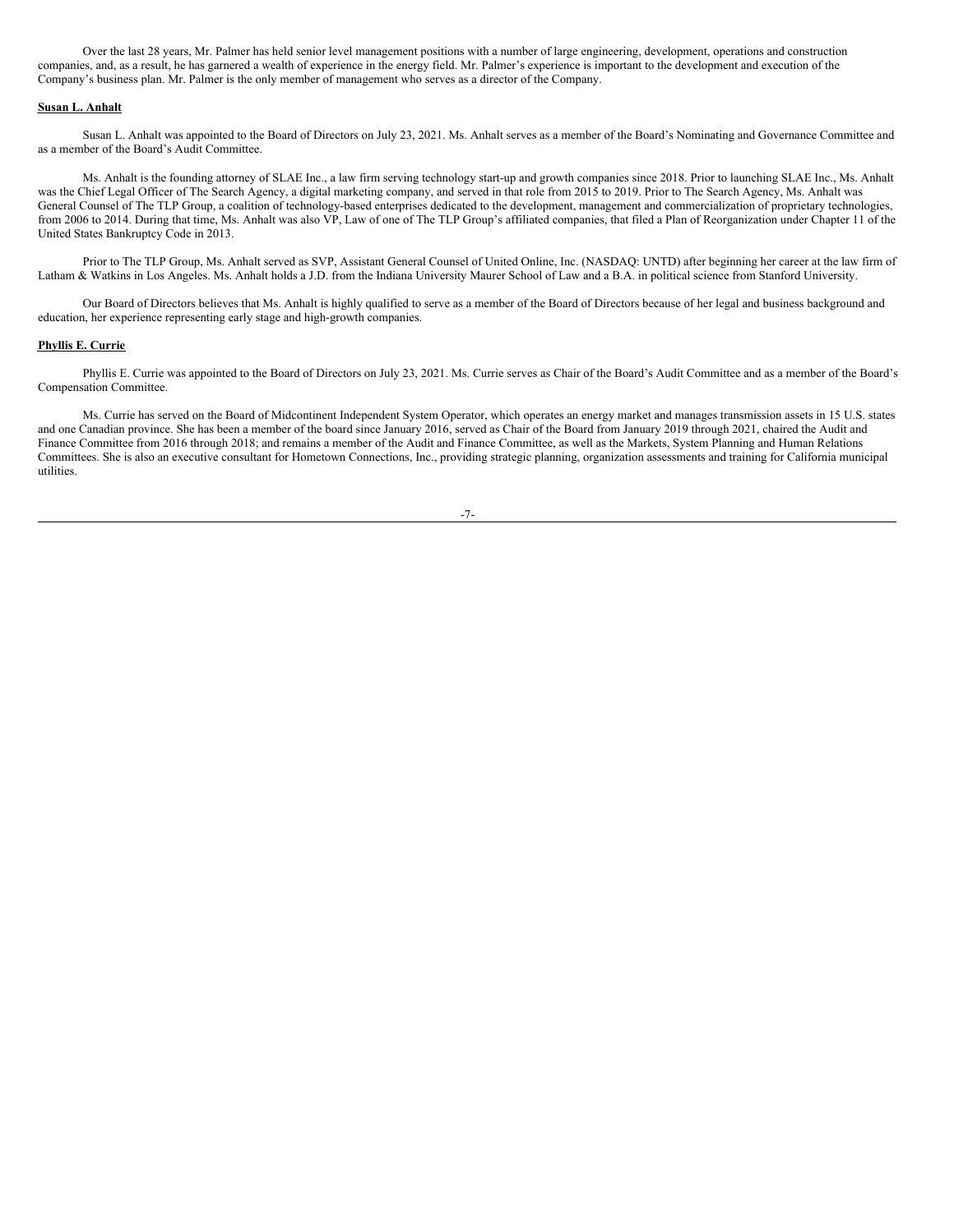Over the last 28 years, Mr. Palmer has held senior level management positions with a number of large engineering, development, operations and construction companies, and, as a result, he has garnered a wealth of experience in the energy field. Mr. Palmer's experience is important to the development and execution of the Company's business plan. Mr. Palmer is the only member of management who serves as a director of the Company.

#### **Susan L. Anhalt**

Susan L. Anhalt was appointed to the Board of Directors on July 23, 2021. Ms. Anhalt serves as a member of the Board's Nominating and Governance Committee and as a member of the Board's Audit Committee.

Ms. Anhalt is the founding attorney of SLAE Inc., a law firm serving technology start-up and growth companies since 2018. Prior to launching SLAE Inc., Ms. Anhalt was the Chief Legal Officer of The Search Agency, a digital marketing company, and served in that role from 2015 to 2019. Prior to The Search Agency, Ms. Anhalt was General Counsel of The TLP Group, a coalition of technology-based enterprises dedicated to the development, management and commercialization of proprietary technologies, from 2006 to 2014. During that time, Ms. Anhalt was also VP, Law of one of The TLP Group's affiliated companies, that filed a Plan of Reorganization under Chapter 11 of the United States Bankruptcy Code in 2013.

Prior to The TLP Group, Ms. Anhalt served as SVP, Assistant General Counsel of United Online, Inc. (NASDAQ: UNTD) after beginning her career at the law firm of Latham & Watkins in Los Angeles. Ms. Anhalt holds a J.D. from the Indiana University Maurer School of Law and a B.A. in political science from Stanford University.

Our Board of Directors believes that Ms. Anhalt is highly qualified to serve as a member of the Board of Directors because of her legal and business background and education, her experience representing early stage and high-growth companies.

#### **Phyllis E. Currie**

Phyllis E. Currie was appointed to the Board of Directors on July 23, 2021. Ms. Currie serves as Chair of the Board's Audit Committee and as a member of the Board's Compensation Committee.

Ms. Currie has served on the Board of Midcontinent Independent System Operator, which operates an energy market and manages transmission assets in 15 U.S. states and one Canadian province. She has been a member of the board since January 2016, served as Chair of the Board from January 2019 through 2021, chaired the Audit and Finance Committee from 2016 through 2018; and remains a member of the Audit and Finance Committee, as well as the Markets, System Planning and Human Relations Committees. She is also an executive consultant for Hometown Connections, Inc., providing strategic planning, organization assessments and training for California municipal utilities.

| ٦ | v |   |
|---|---|---|
|   |   | _ |
|   | I |   |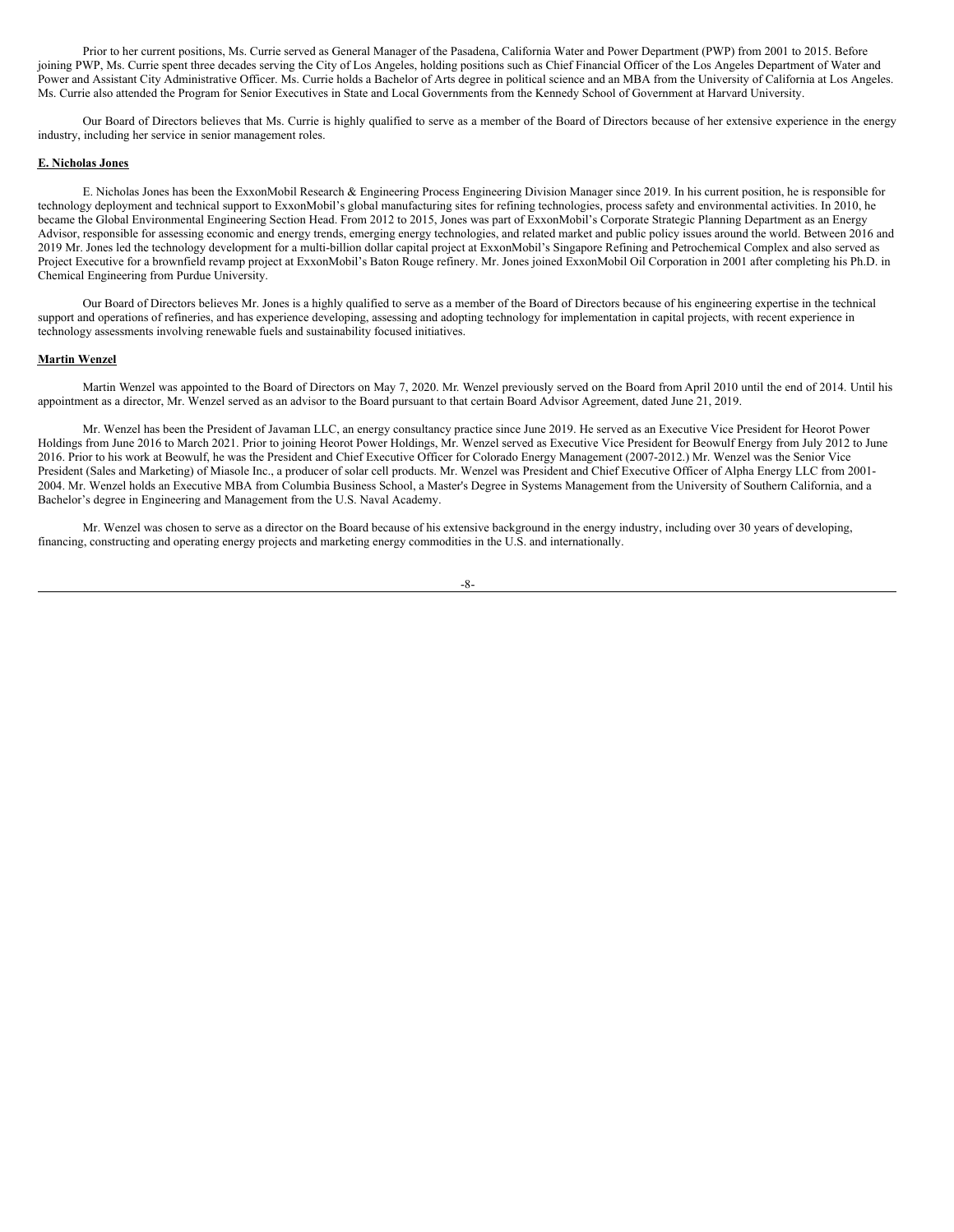Prior to her current positions, Ms. Currie served as General Manager of the Pasadena, California Water and Power Department (PWP) from 2001 to 2015. Before joining PWP, Ms. Currie spent three decades serving the City of Los Angeles, holding positions such as Chief Financial Officer of the Los Angeles Department of Water and Power and Assistant City Administrative Officer. Ms. Currie holds a Bachelor of Arts degree in political science and an MBA from the University of California at Los Angeles. Ms. Currie also attended the Program for Senior Executives in State and Local Governments from the Kennedy School of Government at Harvard University.

Our Board of Directors believes that Ms. Currie is highly qualified to serve as a member of the Board of Directors because of her extensive experience in the energy industry, including her service in senior management roles.

#### **E. Nicholas Jones**

E. Nicholas Jones has been the ExxonMobil Research & Engineering Process Engineering Division Manager since 2019. In his current position, he is responsible for technology deployment and technical support to ExxonMobil's global manufacturing sites for refining technologies, process safety and environmental activities. In 2010, he became the Global Environmental Engineering Section Head. From 2012 to 2015, Jones was part of ExxonMobil's Corporate Strategic Planning Department as an Energy Advisor, responsible for assessing economic and energy trends, emerging energy technologies, and related market and public policy issues around the world. Between 2016 and 2019 Mr. Jones led the technology development for a multi-billion dollar capital project at ExxonMobil's Singapore Refining and Petrochemical Complex and also served as Project Executive for a brownfield revamp project at ExxonMobil's Baton Rouge refinery. Mr. Jones joined ExxonMobil Oil Corporation in 2001 after completing his Ph.D. in Chemical Engineering from Purdue University.

Our Board of Directors believes Mr. Jones is a highly qualified to serve as a member of the Board of Directors because of his engineering expertise in the technical support and operations of refineries, and has experience developing, assessing and adopting technology for implementation in capital projects, with recent experience in technology assessments involving renewable fuels and sustainability focused initiatives.

#### **Martin Wenzel**

Martin Wenzel was appointed to the Board of Directors on May 7, 2020. Mr. Wenzel previously served on the Board from April 2010 until the end of 2014. Until his appointment as a director, Mr. Wenzel served as an advisor to the Board pursuant to that certain Board Advisor Agreement, dated June 21, 2019.

Mr. Wenzel has been the President of Javaman LLC, an energy consultancy practice since June 2019. He served as an Executive Vice President for Heorot Power Holdings from June 2016 to March 2021. Prior to joining Heorot Power Holdings, Mr. Wenzel served as Executive Vice President for Beowulf Energy from July 2012 to June 2016. Prior to his work at Beowulf, he was the President and Chief Executive Officer for Colorado Energy Management (2007-2012.) Mr. Wenzel was the Senior Vice President (Sales and Marketing) of Miasole Inc., a producer of solar cell products. Mr. Wenzel was President and Chief Executive Officer of Alpha Energy LLC from 2001- 2004. Mr. Wenzel holds an Executive MBA from Columbia Business School, a Master's Degree in Systems Management from the University of Southern California, and a Bachelor's degree in Engineering and Management from the U.S. Naval Academy.

Mr. Wenzel was chosen to serve as a director on the Board because of his extensive background in the energy industry, including over 30 years of developing, financing, constructing and operating energy projects and marketing energy commodities in the U.S. and internationally.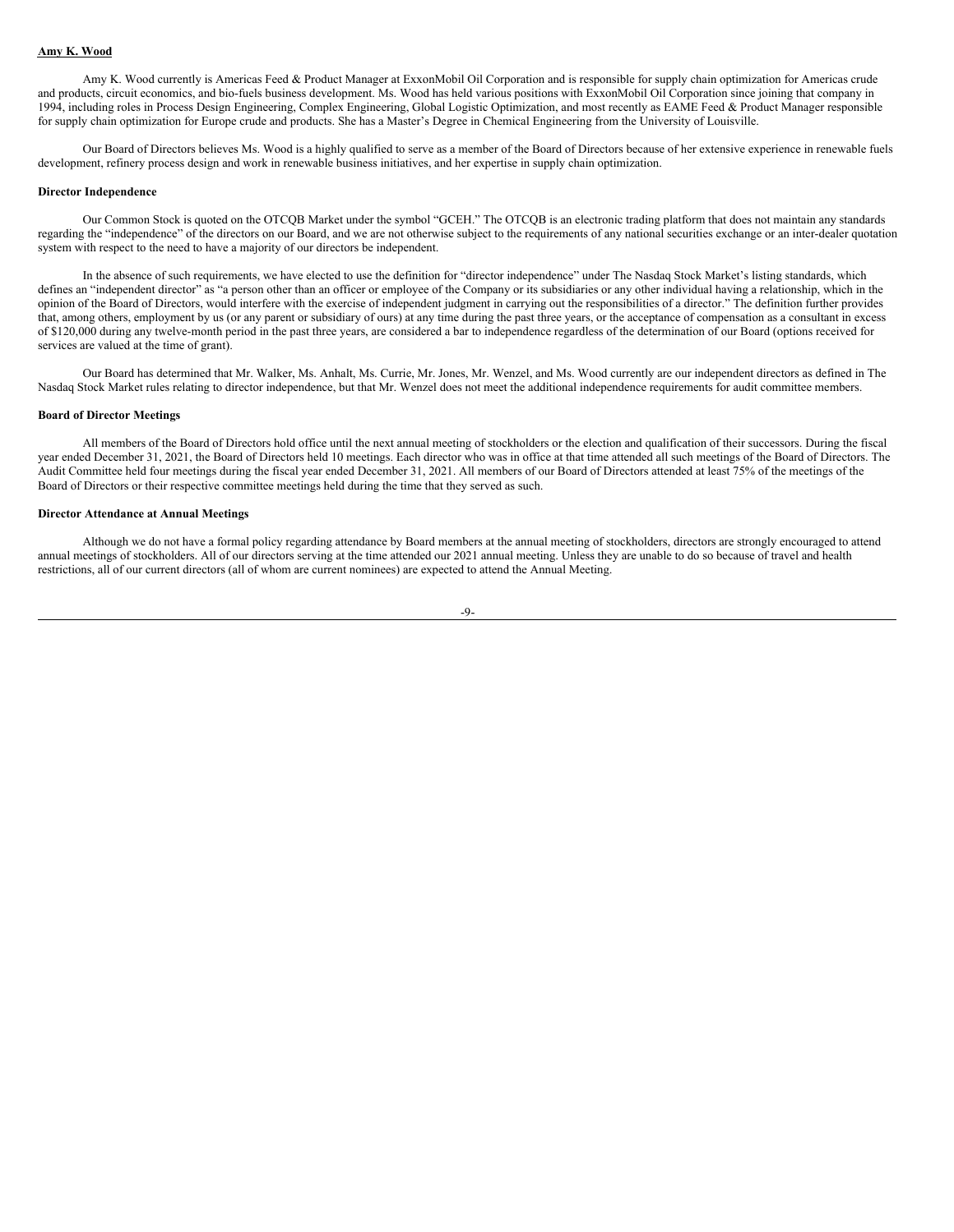#### **Amy K. Wood**

Amy K. Wood currently is Americas Feed & Product Manager at ExxonMobil Oil Corporation and is responsible for supply chain optimization for Americas crude and products, circuit economics, and bio-fuels business development. Ms. Wood has held various positions with ExxonMobil Oil Corporation since joining that company in 1994, including roles in Process Design Engineering, Complex Engineering, Global Logistic Optimization, and most recently as EAME Feed & Product Manager responsible for supply chain optimization for Europe crude and products. She has a Master's Degree in Chemical Engineering from the University of Louisville.

Our Board of Directors believes Ms. Wood is a highly qualified to serve as a member of the Board of Directors because of her extensive experience in renewable fuels development, refinery process design and work in renewable business initiatives, and her expertise in supply chain optimization.

#### **Director Independence**

Our Common Stock is quoted on the OTCQB Market under the symbol "GCEH." The OTCQB is an electronic trading platform that does not maintain any standards regarding the "independence" of the directors on our Board, and we are not otherwise subject to the requirements of any national securities exchange or an inter-dealer quotation system with respect to the need to have a majority of our directors be independent.

In the absence of such requirements, we have elected to use the definition for "director independence" under The Nasdaq Stock Market's listing standards, which defines an "independent director" as "a person other than an officer or employee of the Company or its subsidiaries or any other individual having a relationship, which in the opinion of the Board of Directors, would interfere with the exercise of independent judgment in carrying out the responsibilities of a director." The definition further provides that, among others, employment by us (or any parent or subsidiary of ours) at any time during the past three years, or the acceptance of compensation as a consultant in excess of \$120,000 during any twelve-month period in the past three years, are considered a bar to independence regardless of the determination of our Board (options received for services are valued at the time of grant).

Our Board has determined that Mr. Walker, Ms. Anhalt, Ms. Currie, Mr. Jones, Mr. Wenzel, and Ms. Wood currently are our independent directors as defined in The Nasdaq Stock Market rules relating to director independence, but that Mr. Wenzel does not meet the additional independence requirements for audit committee members.

#### **Board of Director Meetings**

All members of the Board of Directors hold office until the next annual meeting of stockholders or the election and qualification of their successors. During the fiscal year ended December 31, 2021, the Board of Directors held 10 meetings. Each director who was in office at that time attended all such meetings of the Board of Directors. The Audit Committee held four meetings during the fiscal year ended December 31, 2021. All members of our Board of Directors attended at least 75% of the meetings of the Board of Directors or their respective committee meetings held during the time that they served as such.

### **Director Attendance at Annual Meetings**

Although we do not have a formal policy regarding attendance by Board members at the annual meeting of stockholders, directors are strongly encouraged to attend annual meetings of stockholders. All of our directors serving at the time attended our 2021 annual meeting. Unless they are unable to do so because of travel and health restrictions, all of our current directors (all of whom are current nominees) are expected to attend the Annual Meeting.

#### -9-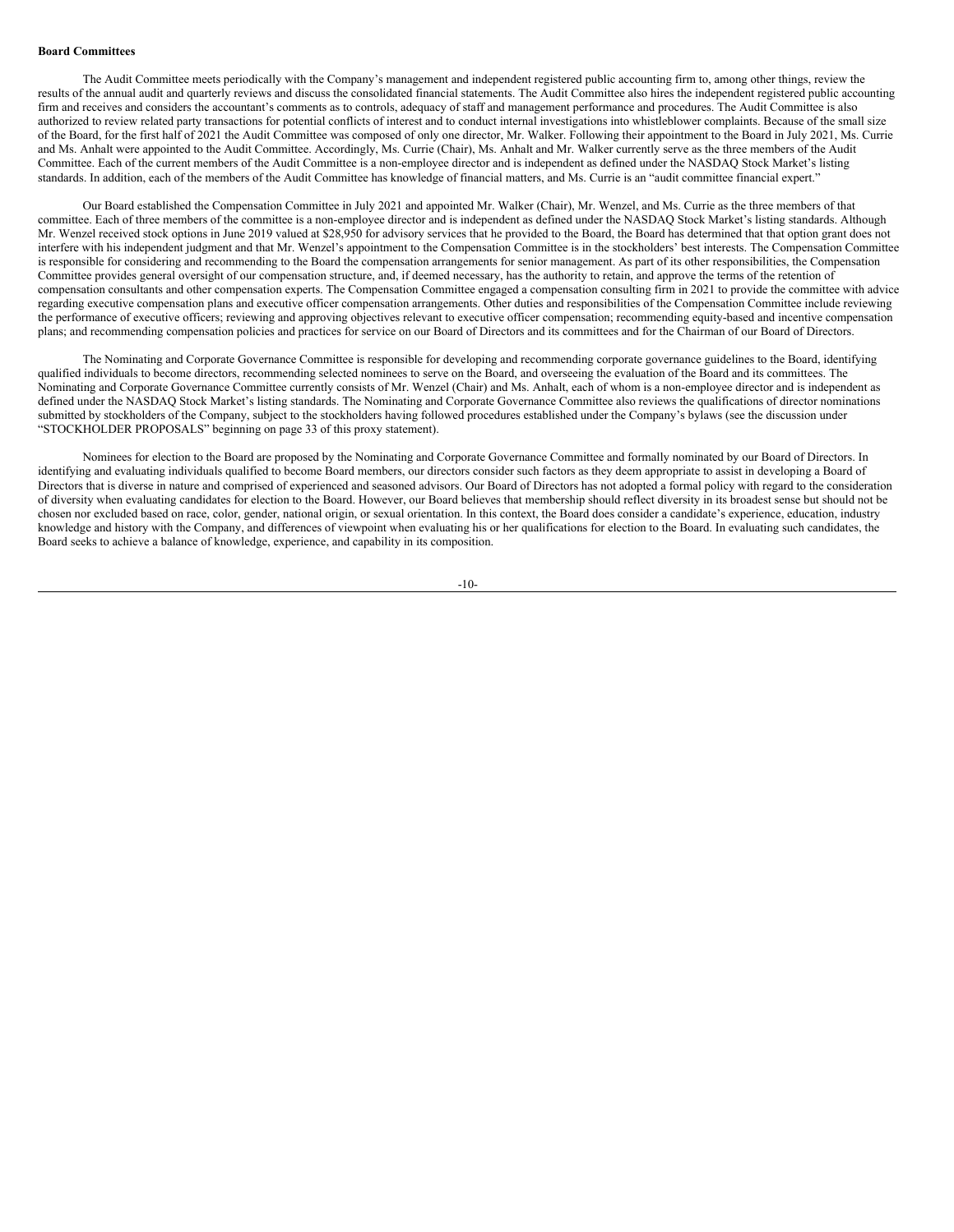#### **Board Committees**

The Audit Committee meets periodically with the Company's management and independent registered public accounting firm to, among other things, review the results of the annual audit and quarterly reviews and discuss the consolidated financial statements. The Audit Committee also hires the independent registered public accounting firm and receives and considers the accountant's comments as to controls, adequacy of staff and management performance and procedures. The Audit Committee is also authorized to review related party transactions for potential conflicts of interest and to conduct internal investigations into whistleblower complaints. Because of the small size of the Board, for the first half of 2021 the Audit Committee was composed of only one director, Mr. Walker. Following their appointment to the Board in July 2021, Ms. Currie and Ms. Anhalt were appointed to the Audit Committee. Accordingly, Ms. Currie (Chair), Ms. Anhalt and Mr. Walker currently serve as the three members of the Audit Committee. Each of the current members of the Audit Committee is a non-employee director and is independent as defined under the NASDAQ Stock Market's listing standards. In addition, each of the members of the Audit Committee has knowledge of financial matters, and Ms. Currie is an "audit committee financial expert."

Our Board established the Compensation Committee in July 2021 and appointed Mr. Walker (Chair), Mr. Wenzel, and Ms. Currie as the three members of that committee. Each of three members of the committee is a non-employee director and is independent as defined under the NASDAQ Stock Market's listing standards. Although Mr. Wenzel received stock options in June 2019 valued at \$28,950 for advisory services that he provided to the Board, the Board has determined that that option grant does not interfere with his independent judgment and that Mr. Wenzel's appointment to the Compensation Committee is in the stockholders' best interests. The Compensation Committee is responsible for considering and recommending to the Board the compensation arrangements for senior management. As part of its other responsibilities, the Compensation Committee provides general oversight of our compensation structure, and, if deemed necessary, has the authority to retain, and approve the terms of the retention of compensation consultants and other compensation experts. The Compensation Committee engaged a compensation consulting firm in 2021 to provide the committee with advice regarding executive compensation plans and executive officer compensation arrangements. Other duties and responsibilities of the Compensation Committee include reviewing the performance of executive officers; reviewing and approving objectives relevant to executive officer compensation; recommending equity-based and incentive compensation plans; and recommending compensation policies and practices for service on our Board of Directors and its committees and for the Chairman of our Board of Directors.

The Nominating and Corporate Governance Committee is responsible for developing and recommending corporate governance guidelines to the Board, identifying qualified individuals to become directors, recommending selected nominees to serve on the Board, and overseeing the evaluation of the Board and its committees. The Nominating and Corporate Governance Committee currently consists of Mr. Wenzel (Chair) and Ms. Anhalt, each of whom is a non-employee director and is independent as defined under the NASDAQ Stock Market's listing standards. The Nominating and Corporate Governance Committee also reviews the qualifications of director nominations submitted by stockholders of the Company, subject to the stockholders having followed procedures established under the Company's bylaws (see the discussion under "STOCKHOLDER PROPOSALS" beginning on page 33 of this proxy statement).

Nominees for election to the Board are proposed by the Nominating and Corporate Governance Committee and formally nominated by our Board of Directors. In identifying and evaluating individuals qualified to become Board members, our directors consider such factors as they deem appropriate to assist in developing a Board of Directors that is diverse in nature and comprised of experienced and seasoned advisors. Our Board of Directors has not adopted a formal policy with regard to the consideration of diversity when evaluating candidates for election to the Board. However, our Board believes that membership should reflect diversity in its broadest sense but should not be chosen nor excluded based on race, color, gender, national origin, or sexual orientation. In this context, the Board does consider a candidate's experience, education, industry knowledge and history with the Company, and differences of viewpoint when evaluating his or her qualifications for election to the Board. In evaluating such candidates, the Board seeks to achieve a balance of knowledge, experience, and capability in its composition.

-10-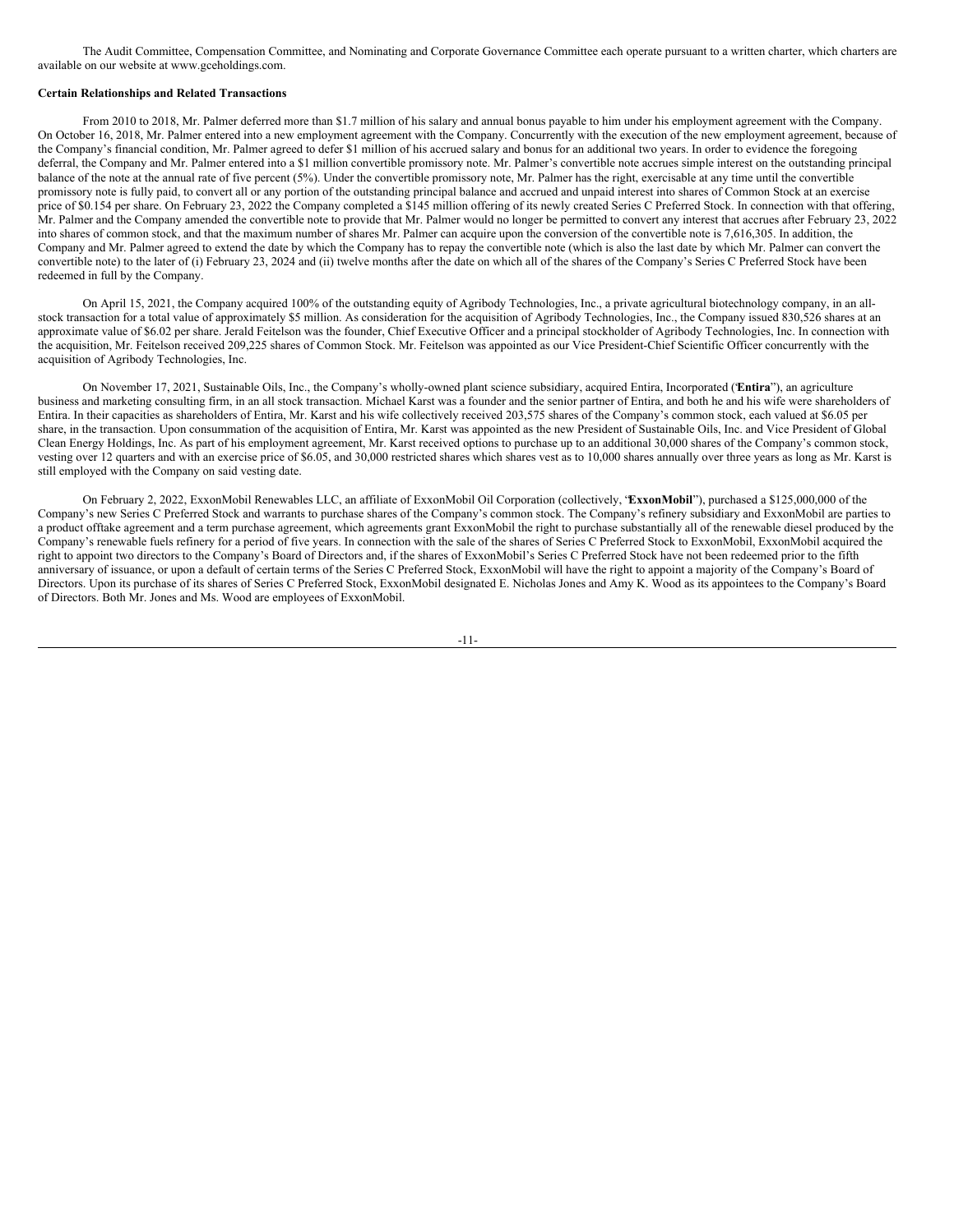The Audit Committee, Compensation Committee, and Nominating and Corporate Governance Committee each operate pursuant to a written charter, which charters are available on our website at www.gceholdings.com.

### **Certain Relationships and Related Transactions**

From 2010 to 2018, Mr. Palmer deferred more than \$1.7 million of his salary and annual bonus payable to him under his employment agreement with the Company. On October 16, 2018, Mr. Palmer entered into a new employment agreement with the Company. Concurrently with the execution of the new employment agreement, because of the Company's financial condition, Mr. Palmer agreed to defer \$1 million of his accrued salary and bonus for an additional two years. In order to evidence the foregoing deferral, the Company and Mr. Palmer entered into a \$1 million convertible promissory note. Mr. Palmer's convertible note accrues simple interest on the outstanding principal balance of the note at the annual rate of five percent (5%). Under the convertible promissory note, Mr. Palmer has the right, exercisable at any time until the convertible promissory note is fully paid, to convert all or any portion of the outstanding principal balance and accrued and unpaid interest into shares of Common Stock at an exercise price of \$0.154 per share. On February 23, 2022 the Company completed a \$145 million offering of its newly created Series C Preferred Stock. In connection with that offering, Mr. Palmer and the Company amended the convertible note to provide that Mr. Palmer would no longer be permitted to convert any interest that accrues after February 23, 2022 into shares of common stock, and that the maximum number of shares Mr. Palmer can acquire upon the conversion of the convertible note is 7,616,305. In addition, the Company and Mr. Palmer agreed to extend the date by which the Company has to repay the convertible note (which is also the last date by which Mr. Palmer can convert the convertible note) to the later of (i) February 23, 2024 and (ii) twelve months after the date on which all of the shares of the Company's Series C Preferred Stock have been redeemed in full by the Company.

On April 15, 2021, the Company acquired 100% of the outstanding equity of Agribody Technologies, Inc., a private agricultural biotechnology company, in an allstock transaction for a total value of approximately \$5 million. As consideration for the acquisition of Agribody Technologies, Inc., the Company issued 830,526 shares at an approximate value of \$6.02 per share. Jerald Feitelson was the founder, Chief Executive Officer and a principal stockholder of Agribody Technologies, Inc. In connection with the acquisition, Mr. Feitelson received 209,225 shares of Common Stock. Mr. Feitelson was appointed as our Vice President-Chief Scientific Officer concurrently with the acquisition of Agribody Technologies, Inc.

On November 17, 2021, Sustainable Oils, Inc., the Company's wholly-owned plant science subsidiary, acquired Entira, Incorporated ("**Entira**"), an agriculture business and marketing consulting firm, in an all stock transaction. Michael Karst was a founder and the senior partner of Entira, and both he and his wife were shareholders of Entira. In their capacities as shareholders of Entira, Mr. Karst and his wife collectively received 203,575 shares of the Company's common stock, each valued at \$6.05 per share, in the transaction. Upon consummation of the acquisition of Entira, Mr. Karst was appointed as the new President of Sustainable Oils, Inc. and Vice President of Global Clean Energy Holdings, Inc. As part of his employment agreement, Mr. Karst received options to purchase up to an additional 30,000 shares of the Company's common stock, vesting over 12 quarters and with an exercise price of \$6.05, and 30,000 restricted shares which shares vest as to 10,000 shares annually over three years as long as Mr. Karst is still employed with the Company on said vesting date.

On February 2, 2022, ExxonMobil Renewables LLC, an affiliate of ExxonMobil Oil Corporation (collectively, "**ExxonMobil**"), purchased a \$125,000,000 of the Company's new Series C Preferred Stock and warrants to purchase shares of the Company's common stock. The Company's refinery subsidiary and ExxonMobil are parties to a product offtake agreement and a term purchase agreement, which agreements grant ExxonMobil the right to purchase substantially all of the renewable diesel produced by the Company's renewable fuels refinery for a period of five years. In connection with the sale of the shares of Series C Preferred Stock to ExxonMobil, ExxonMobil acquired the right to appoint two directors to the Company's Board of Directors and, if the shares of ExxonMobil's Series C Preferred Stock have not been redeemed prior to the fifth anniversary of issuance, or upon a default of certain terms of the Series C Preferred Stock, ExxonMobil will have the right to appoint a majority of the Company's Board of Directors. Upon its purchase of its shares of Series C Preferred Stock, ExxonMobil designated E. Nicholas Jones and Amy K. Wood as its appointees to the Company's Board of Directors. Both Mr. Jones and Ms. Wood are employees of ExxonMobil.

-11-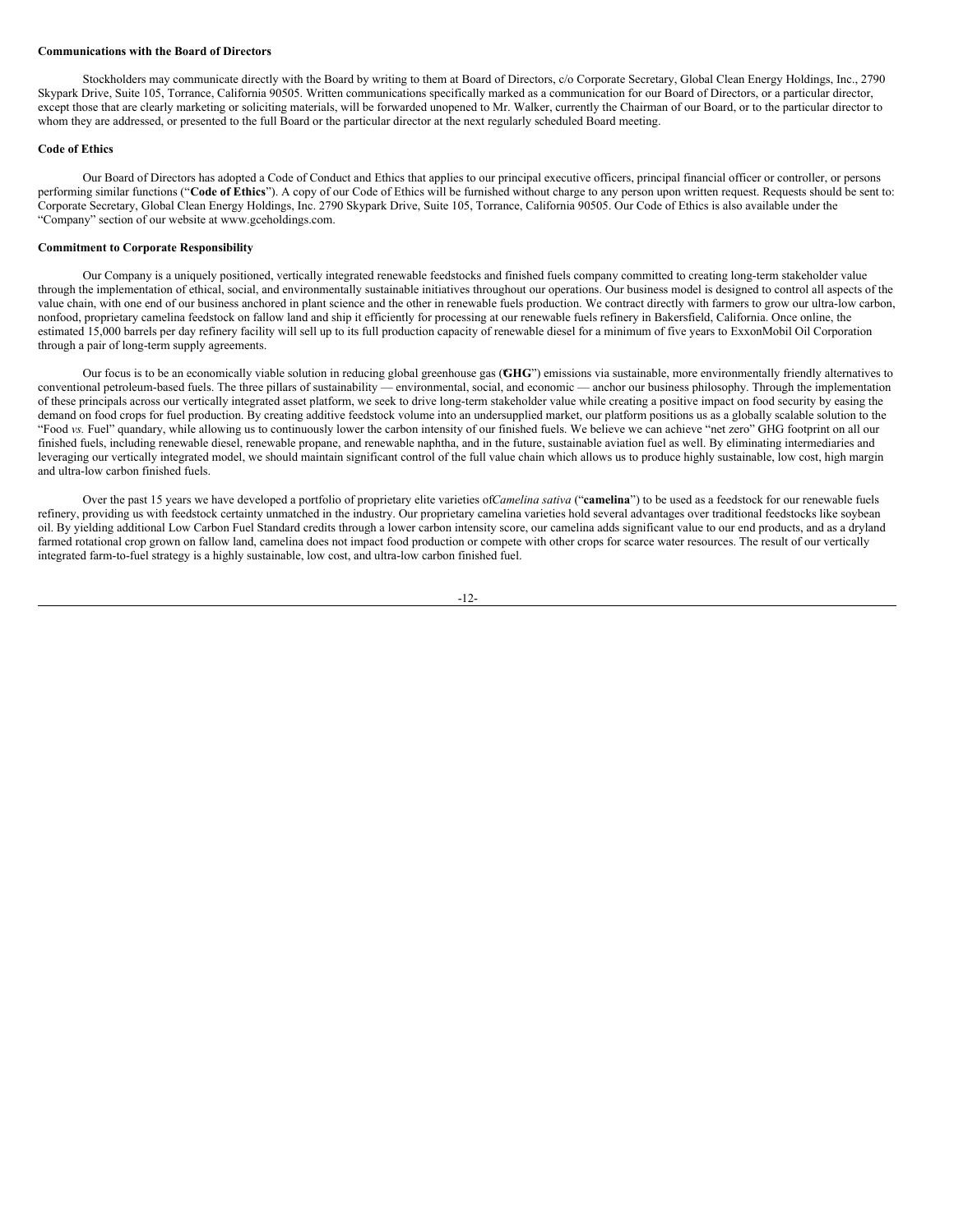#### **Communications with the Board of Directors**

Stockholders may communicate directly with the Board by writing to them at Board of Directors, c/o Corporate Secretary, Global Clean Energy Holdings, Inc., 2790 Skypark Drive, Suite 105, Torrance, California 90505. Written communications specifically marked as a communication for our Board of Directors, or a particular director, except those that are clearly marketing or soliciting materials, will be forwarded unopened to Mr. Walker, currently the Chairman of our Board, or to the particular director to whom they are addressed, or presented to the full Board or the particular director at the next regularly scheduled Board meeting.

#### **Code of Ethics**

Our Board of Directors has adopted a Code of Conduct and Ethics that applies to our principal executive officers, principal financial officer or controller, or persons performing similar functions ("**Code of Ethics**"). A copy of our Code of Ethics will be furnished without charge to any person upon written request. Requests should be sent to: Corporate Secretary, Global Clean Energy Holdings, Inc. 2790 Skypark Drive, Suite 105, Torrance, California 90505. Our Code of Ethics is also available under the "Company" section of our website at www.gceholdings.com.

#### **Commitment to Corporate Responsibility**

Our Company is a uniquely positioned, vertically integrated renewable feedstocks and finished fuels company committed to creating long-term stakeholder value through the implementation of ethical, social, and environmentally sustainable initiatives throughout our operations. Our business model is designed to control all aspects of the value chain, with one end of our business anchored in plant science and the other in renewable fuels production. We contract directly with farmers to grow our ultra-low carbon, nonfood, proprietary camelina feedstock on fallow land and ship it efficiently for processing at our renewable fuels refinery in Bakersfield, California. Once online, the estimated 15,000 barrels per day refinery facility will sell up to its full production capacity of renewable diesel for a minimum of five years to ExxonMobil Oil Corporation through a pair of long-term supply agreements.

Our focus is to be an economically viable solution in reducing global greenhouse gas (GHG") emissions via sustainable, more environmentally friendly alternatives to conventional petroleum-based fuels. The three pillars of sustainability — environmental, social, and economic — anchor our business philosophy. Through the implementation of these principals across our vertically integrated asset platform, we seek to drive long-term stakeholder value while creating a positive impact on food security by easing the demand on food crops for fuel production. By creating additive feedstock volume into an undersupplied market, our platform positions us as a globally scalable solution to the "Food *vs.* Fuel" quandary, while allowing us to continuously lower the carbon intensity of our finished fuels. We believe we can achieve "net zero" GHG footprint on all our finished fuels, including renewable diesel, renewable propane, and renewable naphtha, and in the future, sustainable aviation fuel as well. By eliminating intermediaries and leveraging our vertically integrated model, we should maintain significant control of the full value chain which allows us to produce highly sustainable, low cost, high margin and ultra-low carbon finished fuels.

Over the past 15 years we have developed a portfolio of proprietary elite varieties of*Camelina sativa* ("**camelina**") to be used as a feedstock for our renewable fuels refinery, providing us with feedstock certainty unmatched in the industry. Our proprietary camelina varieties hold several advantages over traditional feedstocks like soybean oil. By yielding additional Low Carbon Fuel Standard credits through a lower carbon intensity score, our camelina adds significant value to our end products, and as a dryland farmed rotational crop grown on fallow land, camelina does not impact food production or compete with other crops for scarce water resources. The result of our vertically integrated farm-to-fuel strategy is a highly sustainable, low cost, and ultra-low carbon finished fuel.

#### -12-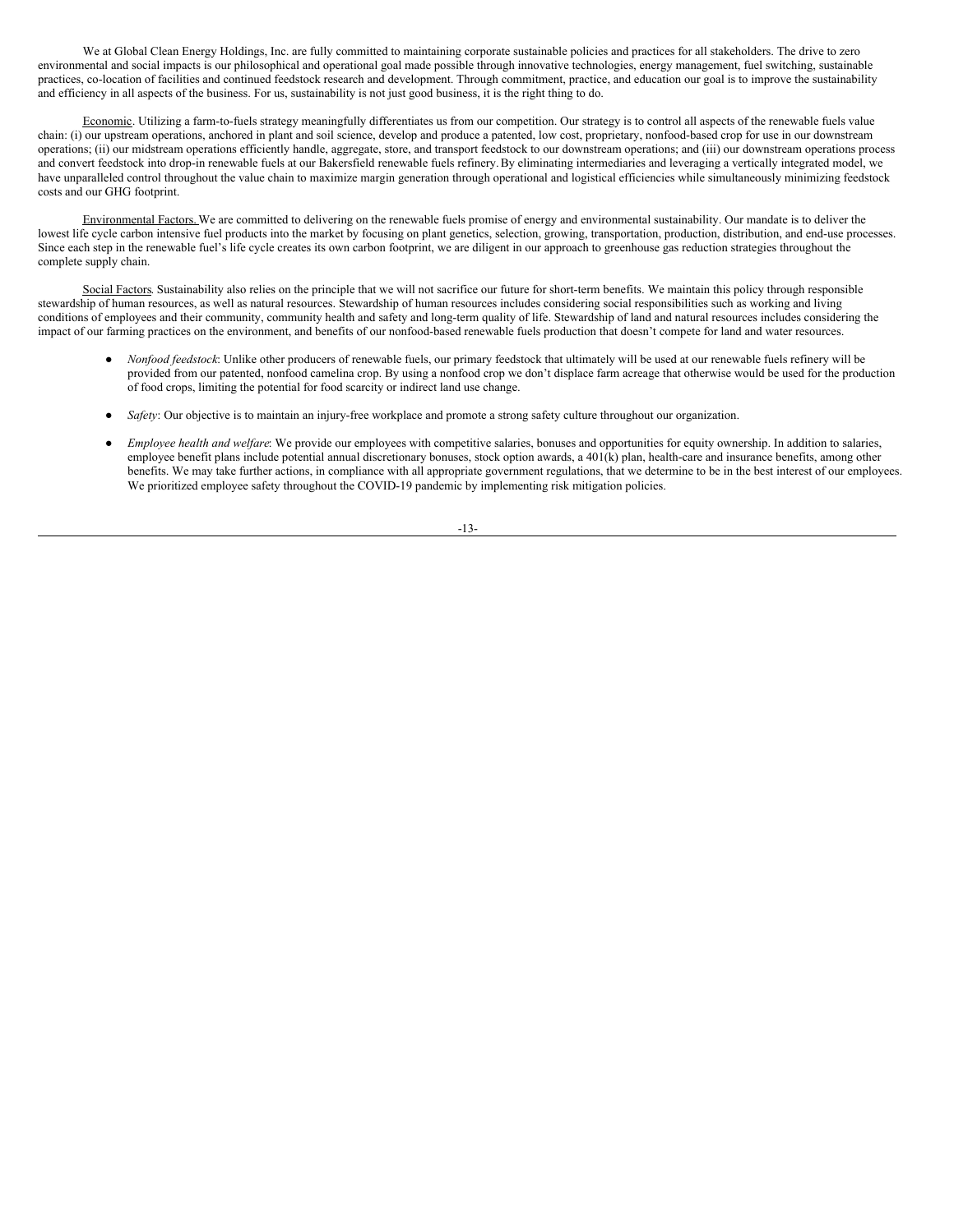We at Global Clean Energy Holdings, Inc. are fully committed to maintaining corporate sustainable policies and practices for all stakeholders. The drive to zero environmental and social impacts is our philosophical and operational goal made possible through innovative technologies, energy management, fuel switching, sustainable practices, co-location of facilities and continued feedstock research and development. Through commitment, practice, and education our goal is to improve the sustainability and efficiency in all aspects of the business. For us, sustainability is not just good business, it is the right thing to do.

Economic. Utilizing a farm-to-fuels strategy meaningfully differentiates us from our competition. Our strategy is to control all aspects of the renewable fuels value chain: (i) our upstream operations, anchored in plant and soil science, develop and produce a patented, low cost, proprietary, nonfood-based crop for use in our downstream operations; (ii) our midstream operations efficiently handle, aggregate, store, and transport feedstock to our downstream operations; and (iii) our downstream operations process and convert feedstock into drop-in renewable fuels at our Bakersfield renewable fuels refinery.By eliminating intermediaries and leveraging a vertically integrated model, we have unparalleled control throughout the value chain to maximize margin generation through operational and logistical efficiencies while simultaneously minimizing feedstock costs and our GHG footprint.

Environmental Factors. We are committed to delivering on the renewable fuels promise of energy and environmental sustainability. Our mandate is to deliver the lowest life cycle carbon intensive fuel products into the market by focusing on plant genetics, selection, growing, transportation, production, distribution, and end-use processes. Since each step in the renewable fuel's life cycle creates its own carbon footprint, we are diligent in our approach to greenhouse gas reduction strategies throughout the complete supply chain.

Social Factors. Sustainability also relies on the principle that we will not sacrifice our future for short-term benefits. We maintain this policy through responsible stewardship of human resources, as well as natural resources. Stewardship of human resources includes considering social responsibilities such as working and living conditions of employees and their community, community health and safety and long-term quality of life. Stewardship of land and natural resources includes considering the impact of our farming practices on the environment, and benefits of our nonfood-based renewable fuels production that doesn't compete for land and water resources.

- *Nonfood feedstock*: Unlike other producers of renewable fuels, our primary feedstock that ultimately will be used at our renewable fuels refinery will be provided from our patented, nonfood camelina crop. By using a nonfood crop we don't displace farm acreage that otherwise would be used for the production of food crops, limiting the potential for food scarcity or indirect land use change.
- *Safety*: Our objective is to maintain an injury-free workplace and promote a strong safety culture throughout our organization.
- *Employee health and welfare*: We provide our employees with competitive salaries, bonuses and opportunities for equity ownership. In addition to salaries, employee benefit plans include potential annual discretionary bonuses, stock option awards, a 401(k) plan, health-care and insurance benefits, among other benefits. We may take further actions, in compliance with all appropriate government regulations, that we determine to be in the best interest of our employees. We prioritized employee safety throughout the COVID-19 pandemic by implementing risk mitigation policies.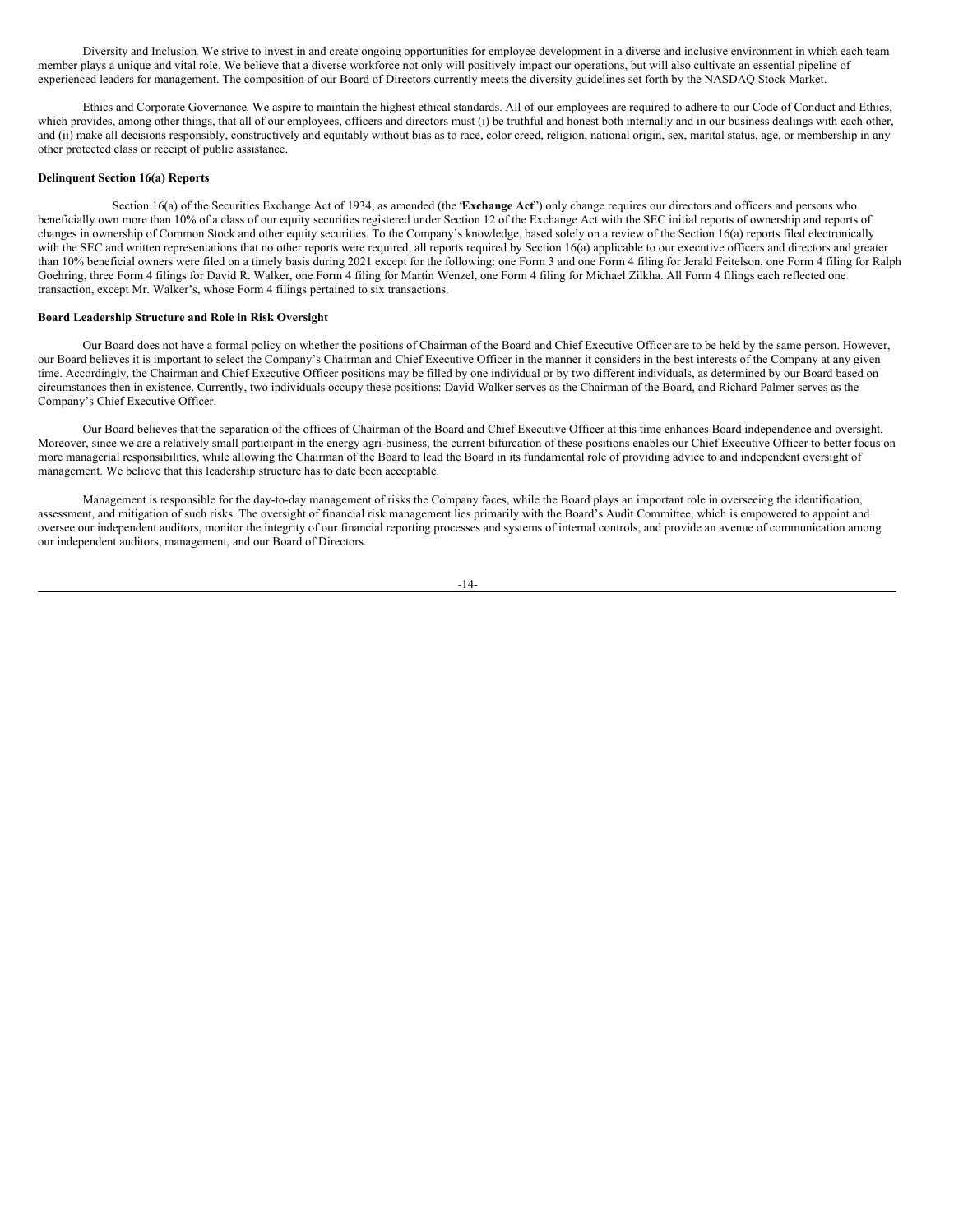Diversity and Inclusion. We strive to invest in and create ongoing opportunities for employee development in a diverse and inclusive environment in which each team member plays a unique and vital role. We believe that a diverse workforce not only will positively impact our operations, but will also cultivate an essential pipeline of experienced leaders for management. The composition of our Board of Directors currently meets the diversity guidelines set forth by the NASDAQ Stock Market.

Ethics and Corporate Governance. We aspire to maintain the highest ethical standards. All of our employees are required to adhere to our Code of Conduct and Ethics, which provides, among other things, that all of our employees, officers and directors must (i) be truthful and honest both internally and in our business dealings with each other, and (ii) make all decisions responsibly, constructively and equitably without bias as to race, color creed, religion, national origin, sex, marital status, age, or membership in any other protected class or receipt of public assistance.

#### **Delinquent Section 16(a) Reports**

Section 16(a) of the Securities Exchange Act of 1934, as amended (the "**Exchange Act**") only change requires our directors and officers and persons who beneficially own more than 10% of a class of our equity securities registered under Section 12 of the Exchange Act with the SEC initial reports of ownership and reports of changes in ownership of Common Stock and other equity securities. To the Company's knowledge, based solely on a review of the Section 16(a) reports filed electronically with the SEC and written representations that no other reports were required, all reports required by Section 16(a) applicable to our executive officers and directors and greater than 10% beneficial owners were filed on a timely basis during 2021 except for the following: one Form 3 and one Form 4 filing for Jerald Feitelson, one Form 4 filing for Ralph Goehring, three Form 4 filings for David R. Walker, one Form 4 filing for Martin Wenzel, one Form 4 filing for Michael Zilkha. All Form 4 filings each reflected one transaction, except Mr. Walker's, whose Form 4 filings pertained to six transactions.

#### **Board Leadership Structure and Role in Risk Oversight**

Our Board does not have a formal policy on whether the positions of Chairman of the Board and Chief Executive Officer are to be held by the same person. However, our Board believes it is important to select the Company's Chairman and Chief Executive Officer in the manner it considers in the best interests of the Company at any given time. Accordingly, the Chairman and Chief Executive Officer positions may be filled by one individual or by two different individuals, as determined by our Board based on circumstances then in existence. Currently, two individuals occupy these positions: David Walker serves as the Chairman of the Board, and Richard Palmer serves as the Company's Chief Executive Officer.

Our Board believes that the separation of the offices of Chairman of the Board and Chief Executive Officer at this time enhances Board independence and oversight. Moreover, since we are a relatively small participant in the energy agri-business, the current bifurcation of these positions enables our Chief Executive Officer to better focus on more managerial responsibilities, while allowing the Chairman of the Board to lead the Board in its fundamental role of providing advice to and independent oversight of management. We believe that this leadership structure has to date been acceptable.

Management is responsible for the day-to-day management of risks the Company faces, while the Board plays an important role in overseeing the identification, assessment, and mitigation of such risks. The oversight of financial risk management lies primarily with the Board's Audit Committee, which is empowered to appoint and oversee our independent auditors, monitor the integrity of our financial reporting processes and systems of internal controls, and provide an avenue of communication among our independent auditors, management, and our Board of Directors.

$$
-14-
$$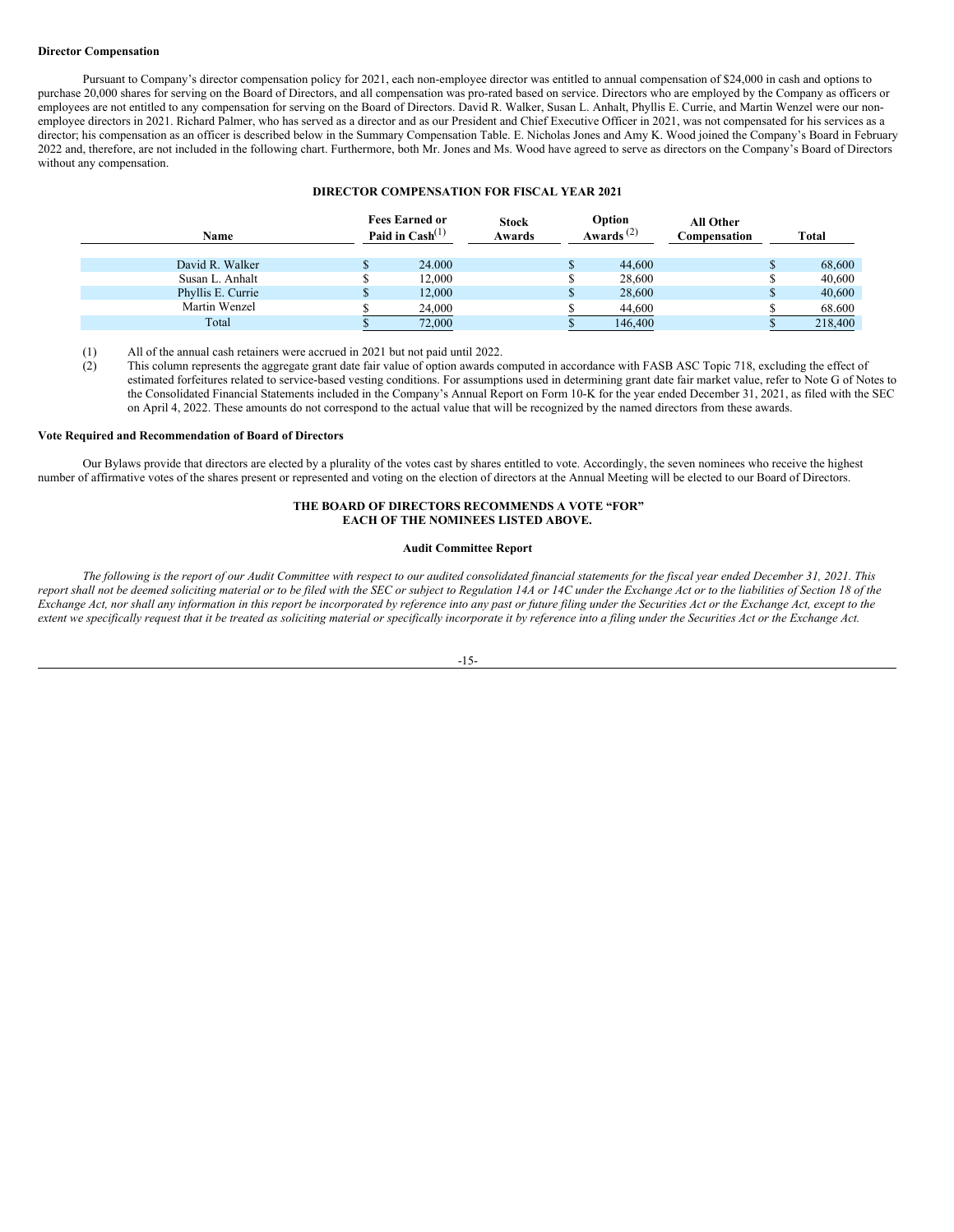#### **Director Compensation**

Pursuant to Company's director compensation policy for 2021, each non-employee director was entitled to annual compensation of \$24,000 in cash and options to purchase 20,000 shares for serving on the Board of Directors, and all compensation was pro-rated based on service. Directors who are employed by the Company as officers or employees are not entitled to any compensation for serving on the Board of Directors. David R. Walker, Susan L. Anhalt, Phyllis E. Currie, and Martin Wenzel were our nonemployee directors in 2021. Richard Palmer, who has served as a director and as our President and Chief Executive Officer in 2021, was not compensated for his services as a director; his compensation as an officer is described below in the Summary Compensation Table. E. Nicholas Jones and Amy K. Wood joined the Company's Board in February 2022 and, therefore, are not included in the following chart. Furthermore, both Mr. Jones and Ms. Wood have agreed to serve as directors on the Company's Board of Directors without any compensation.

#### **DIRECTOR COMPENSATION FOR FISCAL YEAR 2021**

| Name              | <b>Fees Earned or</b><br>Paid in $\text{Cash}^{(1)}$ | <b>Stock</b><br>Awards | Option<br>Awards $^{(2)}$ | <b>All Other</b><br>Compensation |   | <b>Total</b> |
|-------------------|------------------------------------------------------|------------------------|---------------------------|----------------------------------|---|--------------|
| David R. Walker   | 24,000                                               |                        | 44,600                    |                                  | ъ | 68,600       |
| Susan L. Anhalt   | 12.000                                               |                        | 28,600                    |                                  |   | 40,600       |
| Phyllis E. Currie | 12,000                                               |                        | 28,600                    |                                  | ъ | 40,600       |
| Martin Wenzel     | 24,000                                               |                        | 44,600                    |                                  |   | 68.600       |
| Total             | 72,000                                               |                        | 146,400                   |                                  |   | 218,400      |

(1) All of the annual cash retainers were accrued in 2021 but not paid until 2022.

(2) This column represents the aggregate grant date fair value of option awards computed in accordance with FASB ASC Topic 718, excluding the effect of estimated forfeitures related to service-based vesting conditions. For assumptions used in determining grant date fair market value, refer to Note G of Notes to the Consolidated Financial Statements included in the Company's Annual Report on Form 10-K for the year ended December 31, 2021, as filed with the SEC on April 4, 2022. These amounts do not correspond to the actual value that will be recognized by the named directors from these awards.

### **Vote Required and Recommendation of Board of Directors**

Our Bylaws provide that directors are elected by a plurality of the votes cast by shares entitled to vote. Accordingly, the seven nominees who receive the highest number of affirmative votes of the shares present or represented and voting on the election of directors at the Annual Meeting will be elected to our Board of Directors.

### **THE BOARD OF DIRECTORS RECOMMENDS A VOTE "FOR" EACH OF THE NOMINEES LISTED ABOVE.**

### **Audit Committee Report**

The following is the report of our Audit Committee with respect to our audited consolidated financial statements for the fiscal year ended December 31, 2021. This report shall not be deemed soliciting material or to be filed with the SEC or subject to Regulation 14A or 14C under the Exchange Act or to the liabilities of Section 18 of the Exchange Act, nor shall any information in this report be incorporated by reference into any past or future filing under the Securities Act or the Exchange Act, except to the extent we specifically request that it be treated as soliciting material or specifically incorporate it by reference into a filing under the Securities Act or the Exchange Act.

#### -15-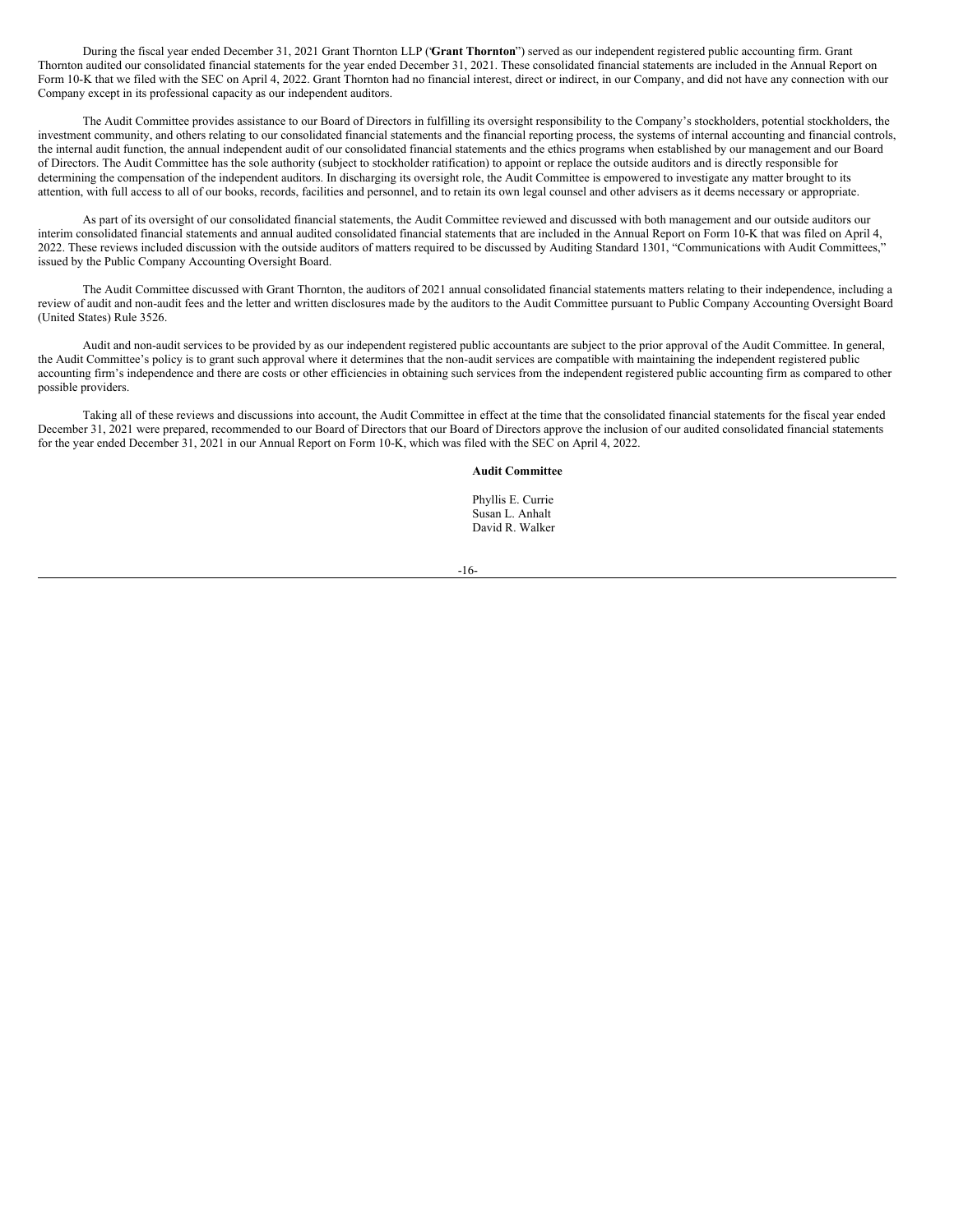During the fiscal year ended December 31, 2021 Grant Thornton LLP ("**Grant Thornton**") served as our independent registered public accounting firm. Grant Thornton audited our consolidated financial statements for the year ended December 31, 2021. These consolidated financial statements are included in the Annual Report on Form 10-K that we filed with the SEC on April 4, 2022. Grant Thornton had no financial interest, direct or indirect, in our Company, and did not have any connection with our Company except in its professional capacity as our independent auditors.

The Audit Committee provides assistance to our Board of Directors in fulfilling its oversight responsibility to the Company's stockholders, potential stockholders, the investment community, and others relating to our consolidated financial statements and the financial reporting process, the systems of internal accounting and financial controls, the internal audit function, the annual independent audit of our consolidated financial statements and the ethics programs when established by our management and our Board of Directors. The Audit Committee has the sole authority (subject to stockholder ratification) to appoint or replace the outside auditors and is directly responsible for determining the compensation of the independent auditors. In discharging its oversight role, the Audit Committee is empowered to investigate any matter brought to its attention, with full access to all of our books, records, facilities and personnel, and to retain its own legal counsel and other advisers as it deems necessary or appropriate.

As part of its oversight of our consolidated financial statements, the Audit Committee reviewed and discussed with both management and our outside auditors our interim consolidated financial statements and annual audited consolidated financial statements that are included in the Annual Report on Form 10-K that was filed on April 4, 2022. These reviews included discussion with the outside auditors of matters required to be discussed by Auditing Standard 1301, "Communications with Audit Committees," issued by the Public Company Accounting Oversight Board.

The Audit Committee discussed with Grant Thornton, the auditors of 2021 annual consolidated financial statements matters relating to their independence, including a review of audit and non-audit fees and the letter and written disclosures made by the auditors to the Audit Committee pursuant to Public Company Accounting Oversight Board (United States) Rule 3526.

Audit and non-audit services to be provided by as our independent registered public accountants are subject to the prior approval of the Audit Committee. In general, the Audit Committee's policy is to grant such approval where it determines that the non-audit services are compatible with maintaining the independent registered public accounting firm's independence and there are costs or other efficiencies in obtaining such services from the independent registered public accounting firm as compared to other possible providers.

Taking all of these reviews and discussions into account, the Audit Committee in effect at the time that the consolidated financial statements for the fiscal year ended December 31, 2021 were prepared, recommended to our Board of Directors that our Board of Directors approve the inclusion of our audited consolidated financial statements for the year ended December 31, 2021 in our Annual Report on Form 10-K, which was filed with the SEC on April 4, 2022.

### **Audit Committee**

Phyllis E. Currie Susan L. Anhalt David R. Walker

-16-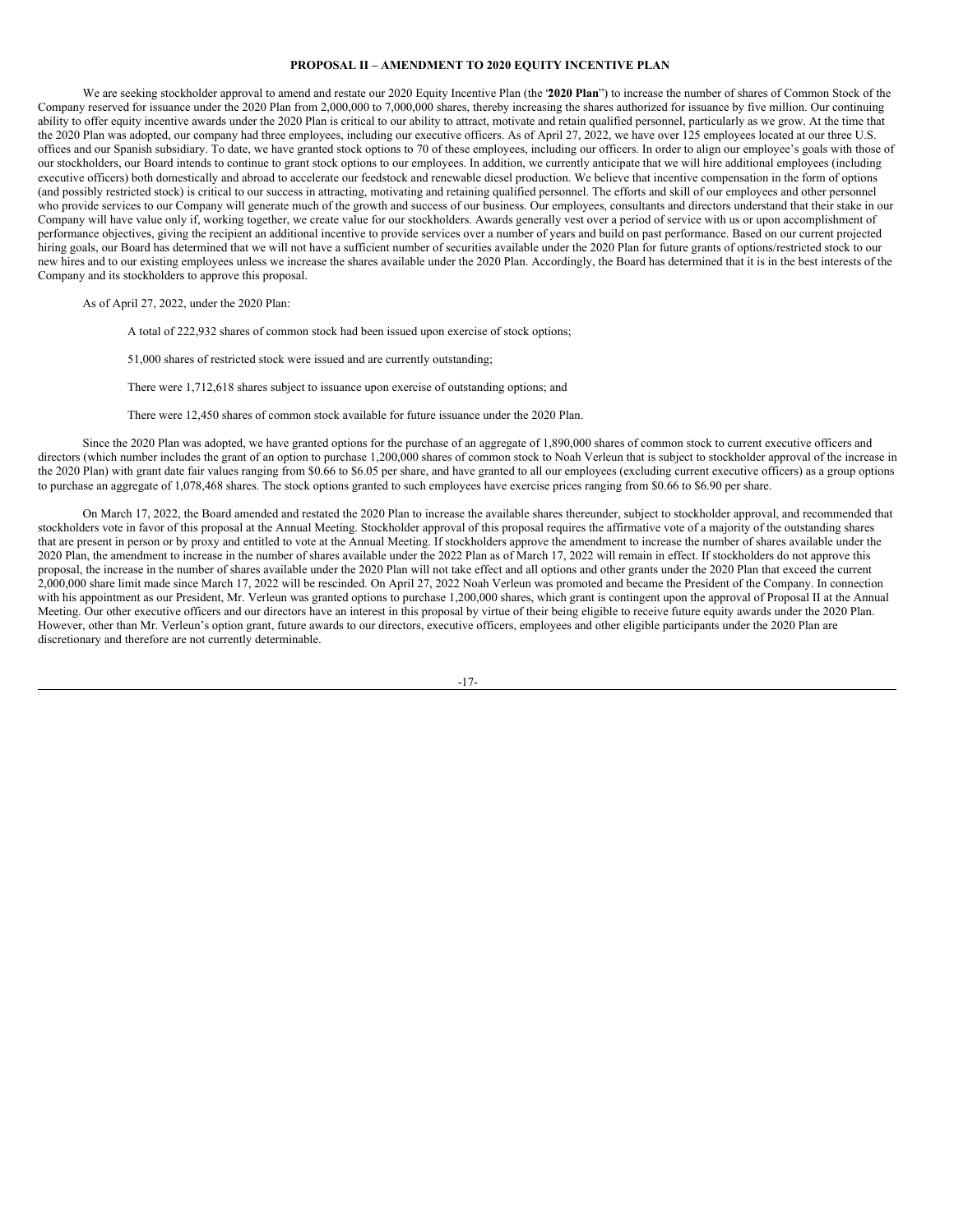#### <span id="page-20-0"></span>**PROPOSAL II – AMENDMENT TO 2020 EQUITY INCENTIVE PLAN**

We are seeking stockholder approval to amend and restate our 2020 Equity Incentive Plan (the "**2020 Plan**") to increase the number of shares of Common Stock of the Company reserved for issuance under the 2020 Plan from 2,000,000 to 7,000,000 shares, thereby increasing the shares authorized for issuance by five million. Our continuing ability to offer equity incentive awards under the 2020 Plan is critical to our ability to attract, motivate and retain qualified personnel, particularly as we grow. At the time that the 2020 Plan was adopted, our company had three employees, including our executive officers. As of April 27, 2022, we have over 125 employees located at our three U.S. offices and our Spanish subsidiary. To date, we have granted stock options to 70 of these employees, including our officers. In order to align our employee's goals with those of our stockholders, our Board intends to continue to grant stock options to our employees. In addition, we currently anticipate that we will hire additional employees (including executive officers) both domestically and abroad to accelerate our feedstock and renewable diesel production. We believe that incentive compensation in the form of options (and possibly restricted stock) is critical to our success in attracting, motivating and retaining qualified personnel. The efforts and skill of our employees and other personnel who provide services to our Company will generate much of the growth and success of our business. Our employees, consultants and directors understand that their stake in our Company will have value only if, working together, we create value for our stockholders. Awards generally vest over a period of service with us or upon accomplishment of performance objectives, giving the recipient an additional incentive to provide services over a number of years and build on past performance. Based on our current projected hiring goals, our Board has determined that we will not have a sufficient number of securities available under the 2020 Plan for future grants of options/restricted stock to our new hires and to our existing employees unless we increase the shares available under the 2020 Plan. Accordingly, the Board has determined that it is in the best interests of the Company and its stockholders to approve this proposal.

As of April 27, 2022, under the 2020 Plan:

A total of 222,932 shares of common stock had been issued upon exercise of stock options;

51,000 shares of restricted stock were issued and are currently outstanding;

There were 1,712,618 shares subject to issuance upon exercise of outstanding options; and

There were 12,450 shares of common stock available for future issuance under the 2020 Plan.

Since the 2020 Plan was adopted, we have granted options for the purchase of an aggregate of 1,890,000 shares of common stock to current executive officers and directors (which number includes the grant of an option to purchase 1,200,000 shares of common stock to Noah Verleun that is subject to stockholder approval of the increase in the 2020 Plan) with grant date fair values ranging from \$0.66 to \$6.05 per share, and have granted to all our employees (excluding current executive officers) as a group options to purchase an aggregate of 1,078,468 shares. The stock options granted to such employees have exercise prices ranging from \$0.66 to \$6.90 per share.

On March 17, 2022, the Board amended and restated the 2020 Plan to increase the available shares thereunder, subject to stockholder approval, and recommended that stockholders vote in favor of this proposal at the Annual Meeting. Stockholder approval of this proposal requires the affirmative vote of a majority of the outstanding shares that are present in person or by proxy and entitled to vote at the Annual Meeting. If stockholders approve the amendment to increase the number of shares available under the 2020 Plan, the amendment to increase in the number of shares available under the 2022 Plan as of March 17, 2022 will remain in effect. If stockholders do not approve this proposal, the increase in the number of shares available under the 2020 Plan will not take effect and all options and other grants under the 2020 Plan that exceed the current 2,000,000 share limit made since March 17, 2022 will be rescinded. On April 27, 2022 Noah Verleun was promoted and became the President of the Company. In connection with his appointment as our President, Mr. Verleun was granted options to purchase 1,200,000 shares, which grant is contingent upon the approval of Proposal II at the Annual Meeting. Our other executive officers and our directors have an interest in this proposal by virtue of their being eligible to receive future equity awards under the 2020 Plan. However, other than Mr. Verleun's option grant, future awards to our directors, executive officers, employees and other eligible participants under the 2020 Plan are discretionary and therefore are not currently determinable.

-17-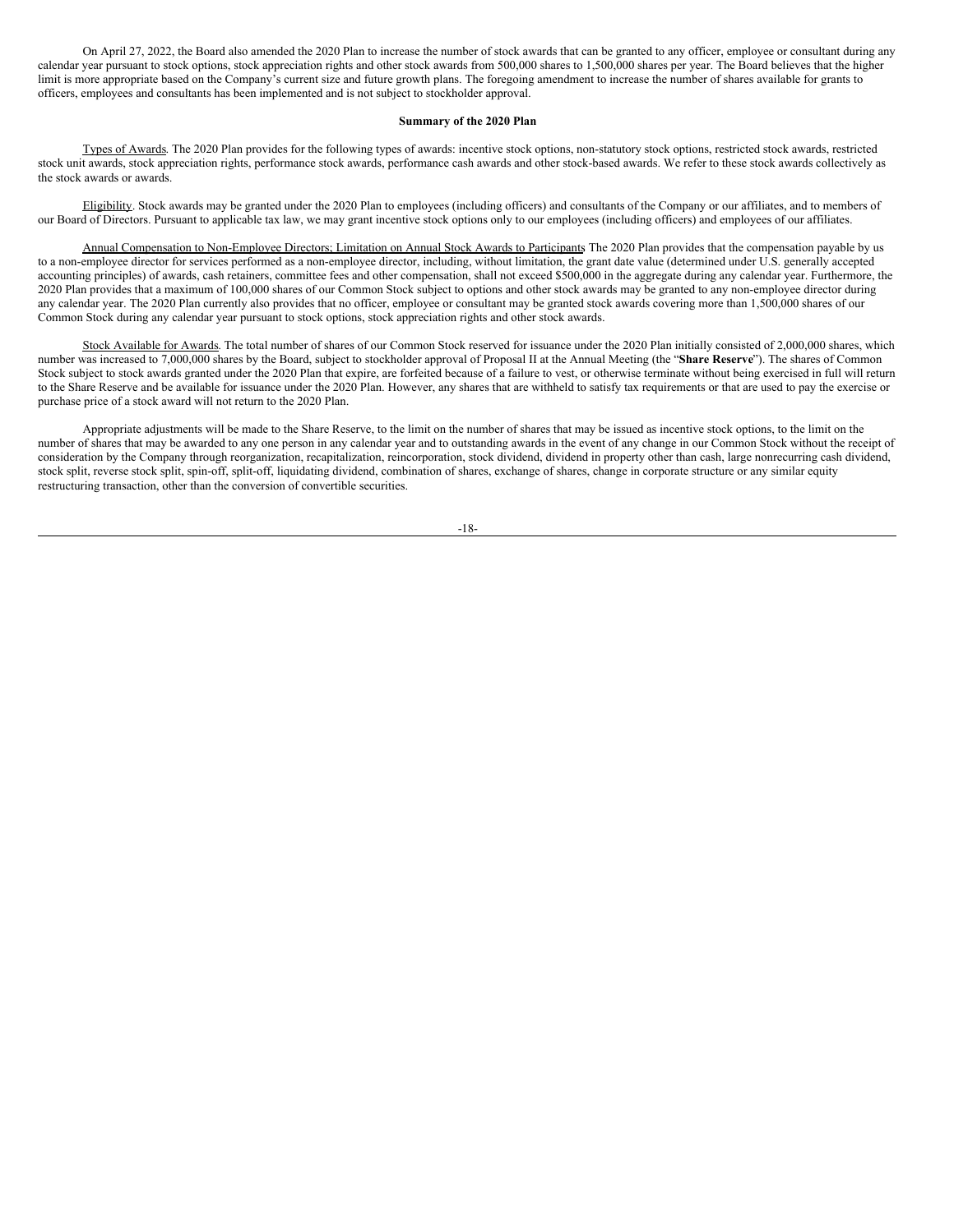On April 27, 2022, the Board also amended the 2020 Plan to increase the number of stock awards that can be granted to any officer, employee or consultant during any calendar year pursuant to stock options, stock appreciation rights and other stock awards from 500,000 shares to 1,500,000 shares per year. The Board believes that the higher limit is more appropriate based on the Company's current size and future growth plans. The foregoing amendment to increase the number of shares available for grants to officers, employees and consultants has been implemented and is not subject to stockholder approval.

#### **Summary of the 2020 Plan**

Types of Awards. The 2020 Plan provides for the following types of awards: incentive stock options, non-statutory stock options, restricted stock awards, restricted stock unit awards, stock appreciation rights, performance stock awards, performance cash awards and other stock-based awards. We refer to these stock awards collectively as the stock awards or awards.

Eligibility. Stock awards may be granted under the 2020 Plan to employees (including officers) and consultants of the Company or our affiliates, and to members of our Board of Directors. Pursuant to applicable tax law, we may grant incentive stock options only to our employees (including officers) and employees of our affiliates.

Annual Compensation to Non-Employee Directors; Limitation on Annual Stock Awards to Participants The 2020 Plan provides that the compensation payable by us to a non-employee director for services performed as a non-employee director, including, without limitation, the grant date value (determined under U.S. generally accepted accounting principles) of awards, cash retainers, committee fees and other compensation, shall not exceed \$500,000 in the aggregate during any calendar year. Furthermore, the 2020 Plan provides that a maximum of 100,000 shares of our Common Stock subject to options and other stock awards may be granted to any non-employee director during any calendar year. The 2020 Plan currently also provides that no officer, employee or consultant may be granted stock awards covering more than 1,500,000 shares of our Common Stock during any calendar year pursuant to stock options, stock appreciation rights and other stock awards.

Stock Available for Awards. The total number of shares of our Common Stock reserved for issuance under the 2020 Plan initially consisted of 2,000,000 shares, which number was increased to 7,000,000 shares by the Board, subject to stockholder approval of Proposal II at the Annual Meeting (the "**Share Reserve**"). The shares of Common Stock subject to stock awards granted under the 2020 Plan that expire, are forfeited because of a failure to vest, or otherwise terminate without being exercised in full will return to the Share Reserve and be available for issuance under the 2020 Plan. However, any shares that are withheld to satisfy tax requirements or that are used to pay the exercise or purchase price of a stock award will not return to the 2020 Plan.

Appropriate adjustments will be made to the Share Reserve, to the limit on the number of shares that may be issued as incentive stock options, to the limit on the number of shares that may be awarded to any one person in any calendar year and to outstanding awards in the event of any change in our Common Stock without the receipt of consideration by the Company through reorganization, recapitalization, reincorporation, stock dividend, dividend in property other than cash, large nonrecurring cash dividend, stock split, reverse stock split, spin-off, split-off, liquidating dividend, combination of shares, exchange of shares, change in corporate structure or any similar equity restructuring transaction, other than the conversion of convertible securities.

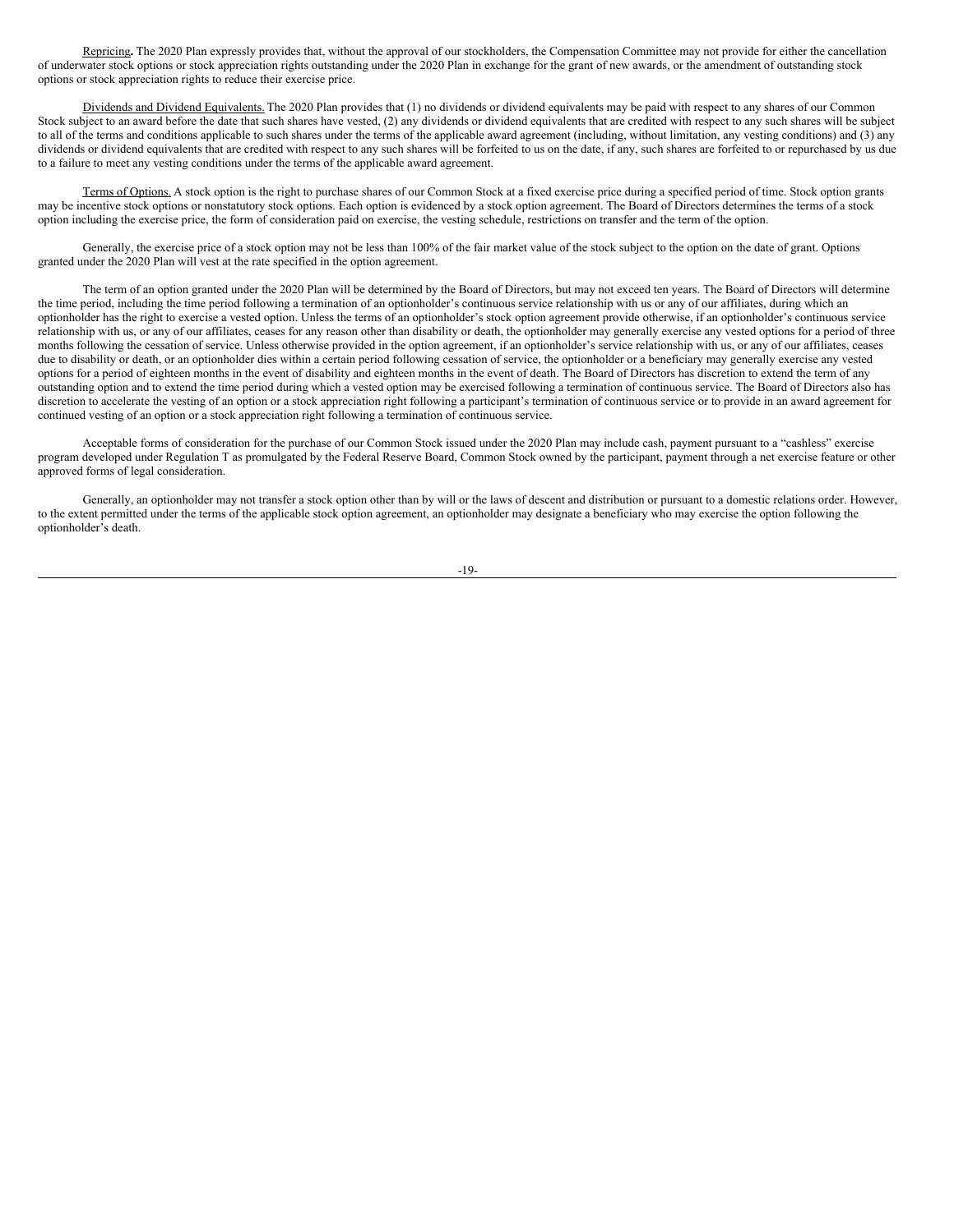Repricing**.** The 2020 Plan expressly provides that, without the approval of our stockholders, the Compensation Committee may not provide for either the cancellation of underwater stock options or stock appreciation rights outstanding under the 2020 Plan in exchange for the grant of new awards, or the amendment of outstanding stock options or stock appreciation rights to reduce their exercise price.

Dividends and Dividend Equivalents. The 2020 Plan provides that (1) no dividends or dividend equivalents may be paid with respect to any shares of our Common Stock subject to an award before the date that such shares have vested, (2) any dividends or dividend equivalents that are credited with respect to any such shares will be subject to all of the terms and conditions applicable to such shares under the terms of the applicable award agreement (including, without limitation, any vesting conditions) and (3) any dividends or dividend equivalents that are credited with respect to any such shares will be forfeited to us on the date, if any, such shares are forfeited to or repurchased by us due to a failure to meet any vesting conditions under the terms of the applicable award agreement.

Terms of Options. A stock option is the right to purchase shares of our Common Stock at a fixed exercise price during a specified period of time. Stock option grants may be incentive stock options or nonstatutory stock options. Each option is evidenced by a stock option agreement. The Board of Directors determines the terms of a stock option including the exercise price, the form of consideration paid on exercise, the vesting schedule, restrictions on transfer and the term of the option.

Generally, the exercise price of a stock option may not be less than 100% of the fair market value of the stock subject to the option on the date of grant. Options granted under the 2020 Plan will vest at the rate specified in the option agreement.

The term of an option granted under the 2020 Plan will be determined by the Board of Directors, but may not exceed ten years. The Board of Directors will determine the time period, including the time period following a termination of an optionholder's continuous service relationship with us or any of our affiliates, during which an optionholder has the right to exercise a vested option. Unless the terms of an optionholder's stock option agreement provide otherwise, if an optionholder's continuous service relationship with us, or any of our affiliates, ceases for any reason other than disability or death, the optionholder may generally exercise any vested options for a period of three months following the cessation of service. Unless otherwise provided in the option agreement, if an optionholder's service relationship with us, or any of our affiliates, ceases due to disability or death, or an optionholder dies within a certain period following cessation of service, the optionholder or a beneficiary may generally exercise any vested options for a period of eighteen months in the event of disability and eighteen months in the event of death. The Board of Directors has discretion to extend the term of any outstanding option and to extend the time period during which a vested option may be exercised following a termination of continuous service. The Board of Directors also has discretion to accelerate the vesting of an option or a stock appreciation right following a participant's termination of continuous service or to provide in an award agreement for continued vesting of an option or a stock appreciation right following a termination of continuous service.

Acceptable forms of consideration for the purchase of our Common Stock issued under the 2020 Plan may include cash, payment pursuant to a "cashless" exercise program developed under Regulation T as promulgated by the Federal Reserve Board, Common Stock owned by the participant, payment through a net exercise feature or other approved forms of legal consideration.

Generally, an optionholder may not transfer a stock option other than by will or the laws of descent and distribution or pursuant to a domestic relations order. However, to the extent permitted under the terms of the applicable stock option agreement, an optionholder may designate a beneficiary who may exercise the option following the optionholder's death.

-19-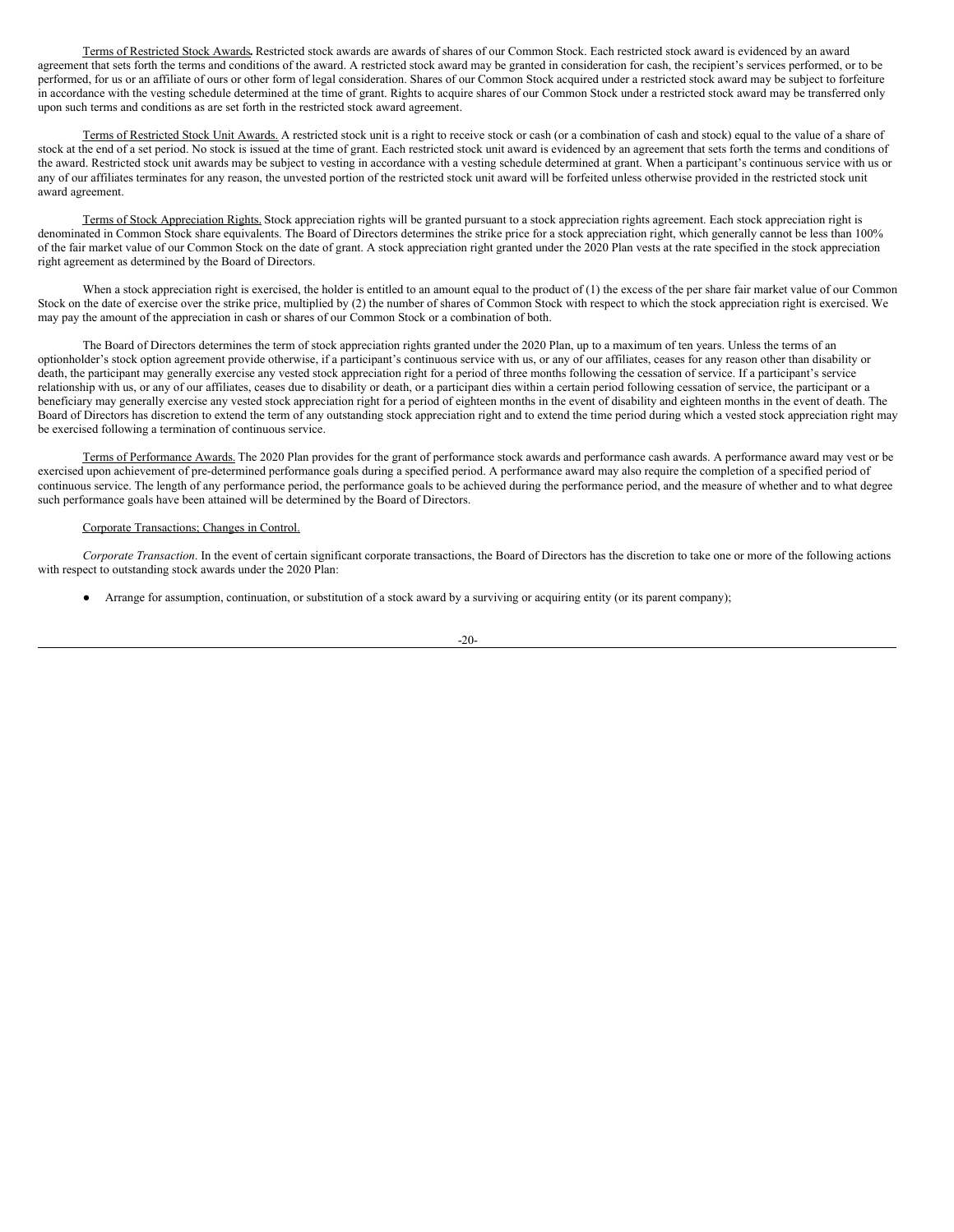Terms of Restricted Stock Awards**.** Restricted stock awards are awards of shares of our Common Stock. Each restricted stock award is evidenced by an award agreement that sets forth the terms and conditions of the award. A restricted stock award may be granted in consideration for cash, the recipient's services performed, or to be performed, for us or an affiliate of ours or other form of legal consideration. Shares of our Common Stock acquired under a restricted stock award may be subject to forfeiture in accordance with the vesting schedule determined at the time of grant. Rights to acquire shares of our Common Stock under a restricted stock award may be transferred only upon such terms and conditions as are set forth in the restricted stock award agreement.

Terms of Restricted Stock Unit Awards. A restricted stock unit is a right to receive stock or cash (or a combination of cash and stock) equal to the value of a share of stock at the end of a set period. No stock is issued at the time of grant. Each restricted stock unit award is evidenced by an agreement that sets forth the terms and conditions of the award. Restricted stock unit awards may be subject to vesting in accordance with a vesting schedule determined at grant. When a participant's continuous service with us or any of our affiliates terminates for any reason, the unvested portion of the restricted stock unit award will be forfeited unless otherwise provided in the restricted stock unit award agreement.

Terms of Stock Appreciation Rights. Stock appreciation rights will be granted pursuant to a stock appreciation rights agreement. Each stock appreciation right is denominated in Common Stock share equivalents. The Board of Directors determines the strike price for a stock appreciation right, which generally cannot be less than 100% of the fair market value of our Common Stock on the date of grant. A stock appreciation right granted under the 2020 Plan vests at the rate specified in the stock appreciation right agreement as determined by the Board of Directors.

When a stock appreciation right is exercised, the holder is entitled to an amount equal to the product of (1) the excess of the per share fair market value of our Common Stock on the date of exercise over the strike price, multiplied by (2) the number of shares of Common Stock with respect to which the stock appreciation right is exercised. We may pay the amount of the appreciation in cash or shares of our Common Stock or a combination of both.

The Board of Directors determines the term of stock appreciation rights granted under the 2020 Plan, up to a maximum of ten years. Unless the terms of an optionholder's stock option agreement provide otherwise, if a participant's continuous service with us, or any of our affiliates, ceases for any reason other than disability or death, the participant may generally exercise any vested stock appreciation right for a period of three months following the cessation of service. If a participant's service relationship with us, or any of our affiliates, ceases due to disability or death, or a participant dies within a certain period following cessation of service, the participant or a beneficiary may generally exercise any vested stock appreciation right for a period of eighteen months in the event of disability and eighteen months in the event of death. The Board of Directors has discretion to extend the term of any outstanding stock appreciation right and to extend the time period during which a vested stock appreciation right may be exercised following a termination of continuous service.

Terms of Performance Awards. The 2020 Plan provides for the grant of performance stock awards and performance cash awards. A performance award may vest or be exercised upon achievement of pre-determined performance goals during a specified period. A performance award may also require the completion of a specified period of continuous service. The length of any performance period, the performance goals to be achieved during the performance period, and the measure of whether and to what degree such performance goals have been attained will be determined by the Board of Directors.

#### Corporate Transactions; Changes in Control.

*Corporate Transaction*. In the event of certain significant corporate transactions, the Board of Directors has the discretion to take one or more of the following actions with respect to outstanding stock awards under the 2020 Plan:

● Arrange for assumption, continuation, or substitution of a stock award by a surviving or acquiring entity (or its parent company);

$$
-20-
$$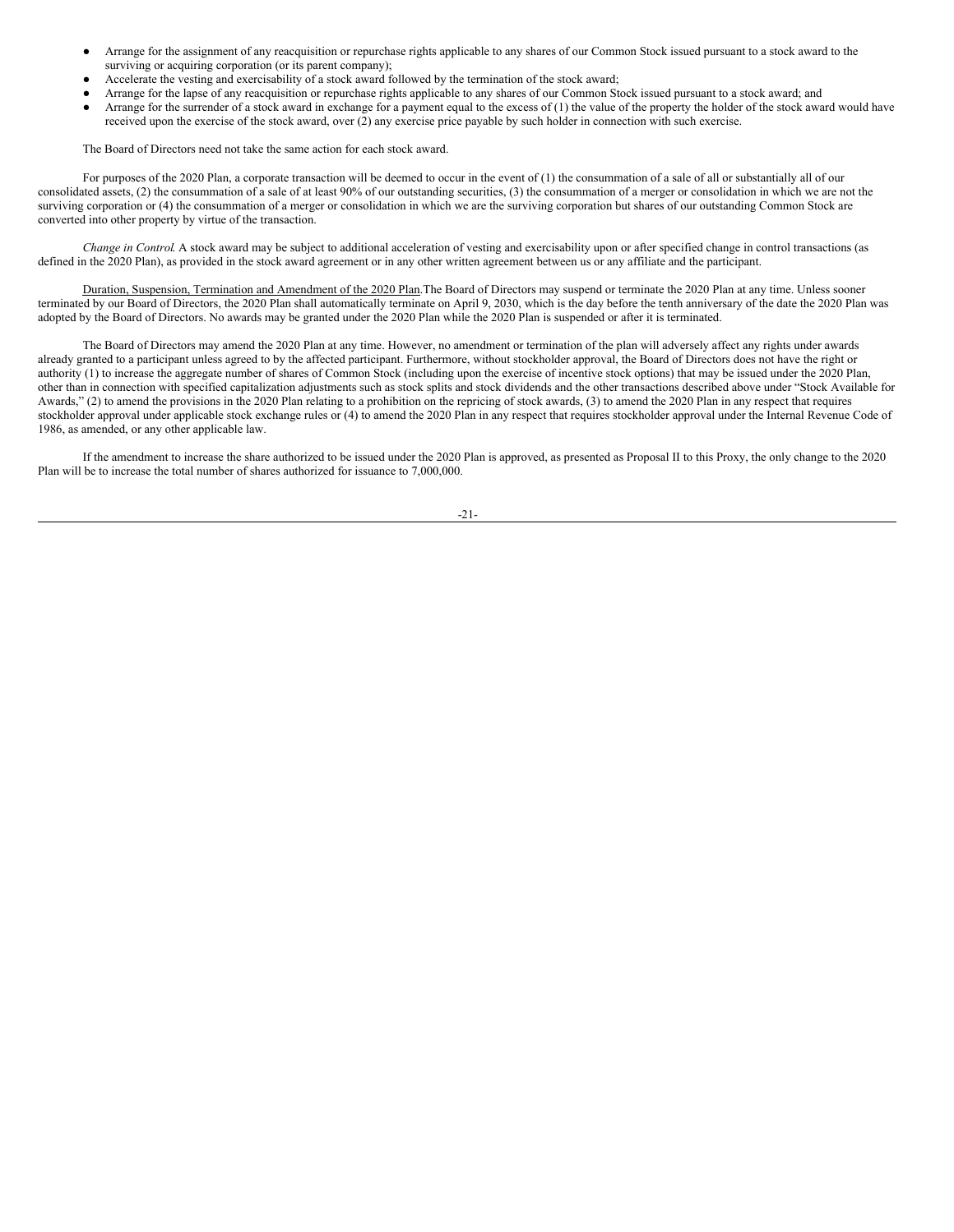- Arrange for the assignment of any reacquisition or repurchase rights applicable to any shares of our Common Stock issued pursuant to a stock award to the surviving or acquiring corporation (or its parent company);
- Accelerate the vesting and exercisability of a stock award followed by the termination of the stock award;
- Arrange for the lapse of any reacquisition or repurchase rights applicable to any shares of our Common Stock issued pursuant to a stock award; and
- Arrange for the surrender of a stock award in exchange for a payment equal to the excess of (1) the value of the property the holder of the stock award would have received upon the exercise of the stock award, over (2) any exercise price payable by such holder in connection with such exercise.

The Board of Directors need not take the same action for each stock award.

For purposes of the 2020 Plan, a corporate transaction will be deemed to occur in the event of (1) the consummation of a sale of all or substantially all of our consolidated assets, (2) the consummation of a sale of at least 90% of our outstanding securities, (3) the consummation of a merger or consolidation in which we are not the surviving corporation or (4) the consummation of a merger or consolidation in which we are the surviving corporation but shares of our outstanding Common Stock are converted into other property by virtue of the transaction.

*Change in Control*. A stock award may be subject to additional acceleration of vesting and exercisability upon or after specified change in control transactions (as defined in the 2020 Plan), as provided in the stock award agreement or in any other written agreement between us or any affiliate and the participant.

Duration, Suspension, Termination and Amendment of the 2020 Plan.The Board of Directors may suspend or terminate the 2020 Plan at any time. Unless sooner terminated by our Board of Directors, the 2020 Plan shall automatically terminate on April 9, 2030, which is the day before the tenth anniversary of the date the 2020 Plan was adopted by the Board of Directors. No awards may be granted under the 2020 Plan while the 2020 Plan is suspended or after it is terminated.

The Board of Directors may amend the 2020 Plan at any time. However, no amendment or termination of the plan will adversely affect any rights under awards already granted to a participant unless agreed to by the affected participant. Furthermore, without stockholder approval, the Board of Directors does not have the right or authority (1) to increase the aggregate number of shares of Common Stock (including upon the exercise of incentive stock options) that may be issued under the 2020 Plan, other than in connection with specified capitalization adjustments such as stock splits and stock dividends and the other transactions described above under "Stock Available for Awards," (2) to amend the provisions in the 2020 Plan relating to a prohibition on the repricing of stock awards, (3) to amend the 2020 Plan in any respect that requires stockholder approval under applicable stock exchange rules or (4) to amend the 2020 Plan in any respect that requires stockholder approval under the Internal Revenue Code of 1986, as amended, or any other applicable law.

If the amendment to increase the share authorized to be issued under the 2020 Plan is approved, as presented as Proposal II to this Proxy, the only change to the 2020 Plan will be to increase the total number of shares authorized for issuance to 7,000,000.

-21-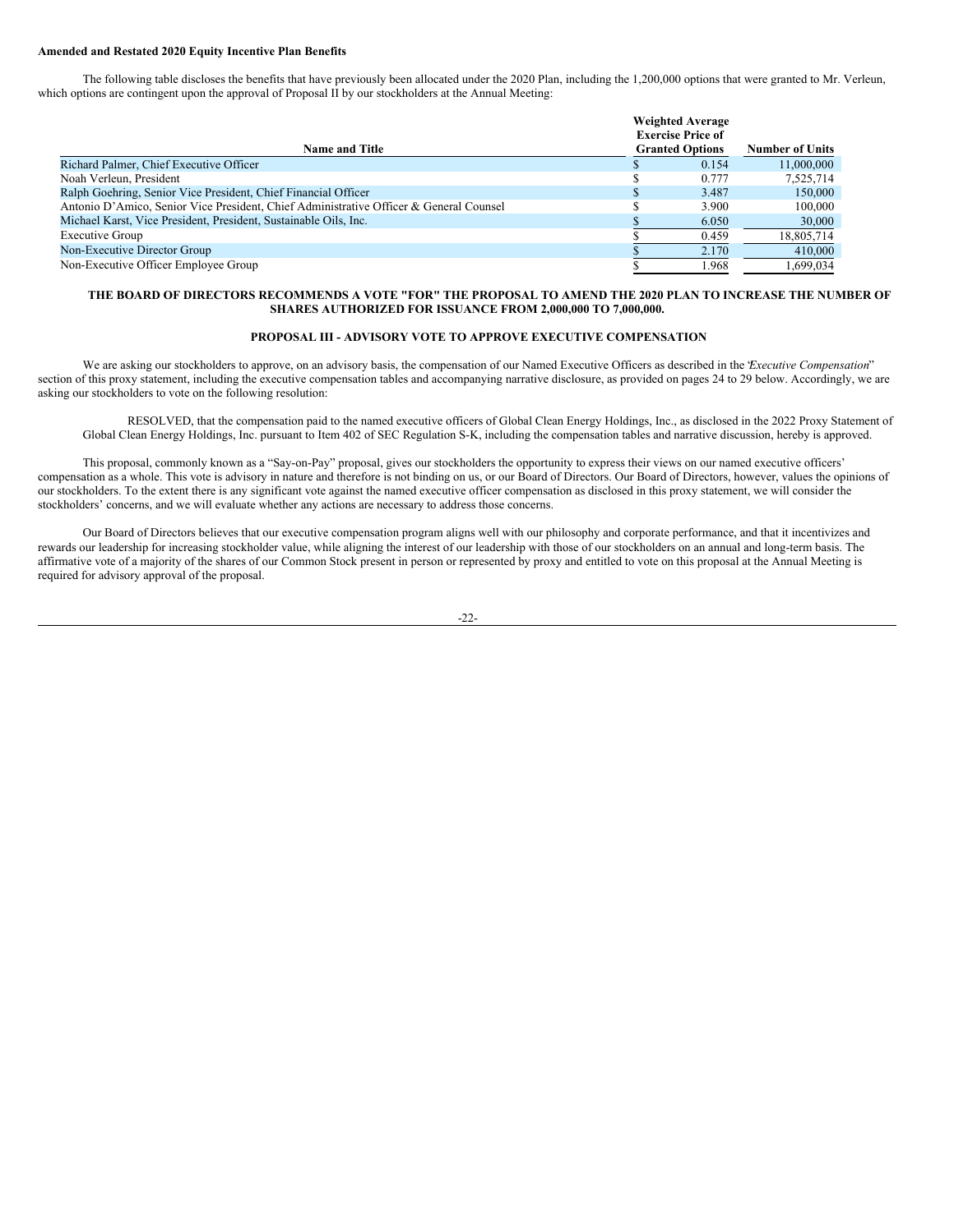#### **Amended and Restated 2020 Equity Incentive Plan Benefits**

The following table discloses the benefits that have previously been allocated under the 2020 Plan, including the 1,200,000 options that were granted to Mr. Verleun, which options are contingent upon the approval of Proposal II by our stockholders at the Annual Meeting:

|                                                                                        | <b>Weighted Average</b>  |                        |
|----------------------------------------------------------------------------------------|--------------------------|------------------------|
|                                                                                        | <b>Exercise Price of</b> |                        |
| <b>Name and Title</b>                                                                  | <b>Granted Options</b>   | <b>Number of Units</b> |
| Richard Palmer, Chief Executive Officer                                                | 0.154                    | 11,000,000             |
| Noah Verleun, President                                                                | 0.777                    | 7.525.714              |
| Ralph Goehring, Senior Vice President, Chief Financial Officer                         | 3.487                    | 150,000                |
| Antonio D'Amico, Senior Vice President, Chief Administrative Officer & General Counsel | 3.900                    | 100,000                |
| Michael Karst, Vice President, President, Sustainable Oils, Inc.                       | 6.050                    | 30,000                 |
| <b>Executive Group</b>                                                                 | 0.459                    | 18,805,714             |
| Non-Executive Director Group                                                           | 2.170                    | 410,000                |
| Non-Executive Officer Employee Group                                                   | 1.968                    | 1.699.034              |

#### THE BOARD OF DIRECTORS RECOMMENDS A VOTE "FOR" THE PROPOSAL TO AMEND THE 2020 PLAN TO INCREASE THE NUMBER OF **SHARES AUTHORIZED FOR ISSUANCE FROM 2,000,000 TO 7,000,000.**

#### <span id="page-25-0"></span>**PROPOSAL III - ADVISORY VOTE TO APPROVE EXECUTIVE COMPENSATION**

We are asking our stockholders to approve, on an advisory basis, the compensation of our Named Executive Officers as described in the *Executive Compensation*" section of this proxy statement, including the executive compensation tables and accompanying narrative disclosure, as provided on pages 24 to 29 below. Accordingly, we are asking our stockholders to vote on the following resolution:

RESOLVED, that the compensation paid to the named executive officers of Global Clean Energy Holdings, Inc., as disclosed in the 2022 Proxy Statement of Global Clean Energy Holdings, Inc. pursuant to Item 402 of SEC Regulation S-K, including the compensation tables and narrative discussion, hereby is approved.

This proposal, commonly known as a "Say-on-Pay" proposal, gives our stockholders the opportunity to express their views on our named executive officers' compensation as a whole. This vote is advisory in nature and therefore is not binding on us, or our Board of Directors. Our Board of Directors, however, values the opinions of our stockholders. To the extent there is any significant vote against the named executive officer compensation as disclosed in this proxy statement, we will consider the stockholders' concerns, and we will evaluate whether any actions are necessary to address those concerns.

Our Board of Directors believes that our executive compensation program aligns well with our philosophy and corporate performance, and that it incentivizes and rewards our leadership for increasing stockholder value, while aligning the interest of our leadership with those of our stockholders on an annual and long-term basis. The affirmative vote of a majority of the shares of our Common Stock present in person or represented by proxy and entitled to vote on this proposal at the Annual Meeting is required for advisory approval of the proposal.

-22-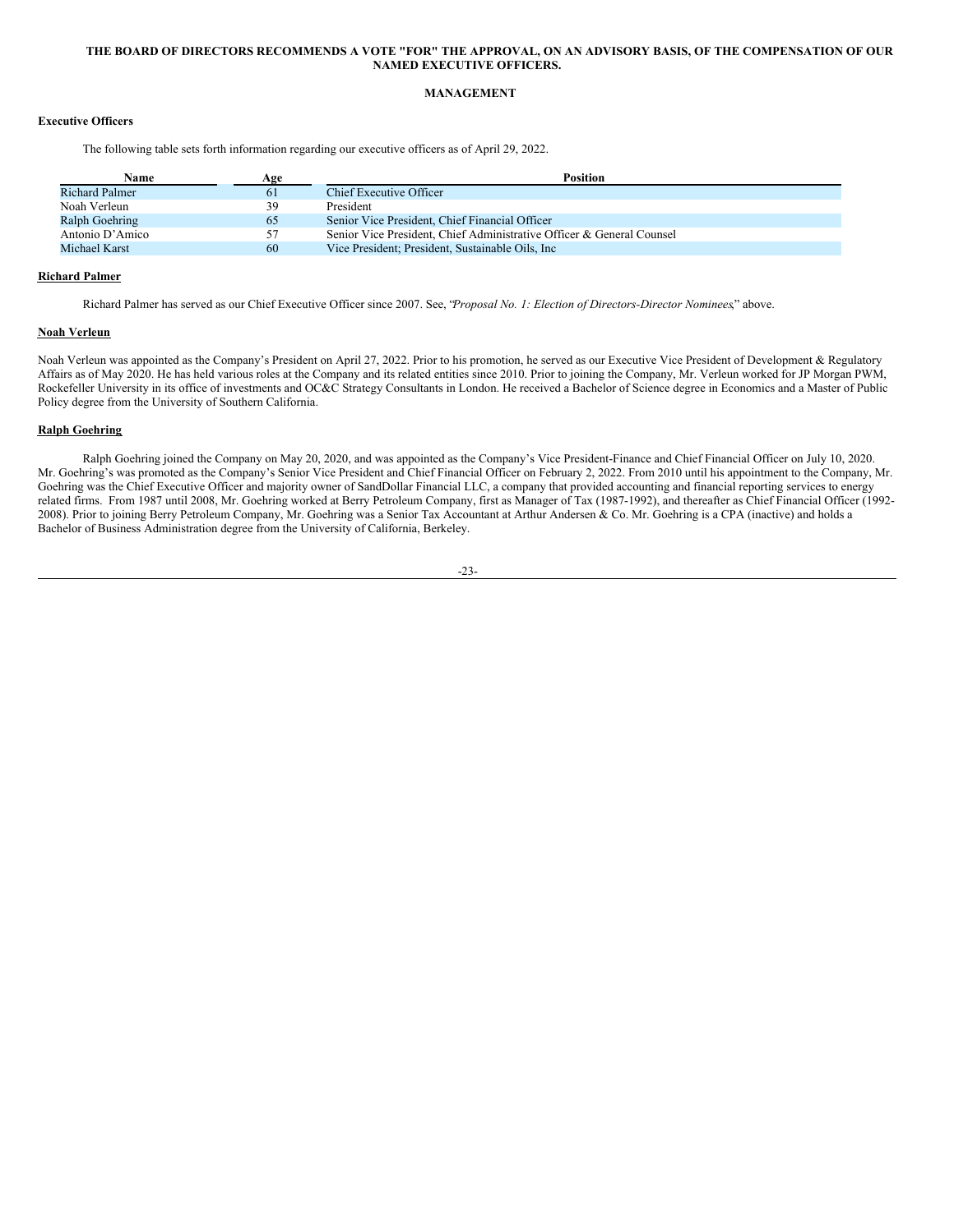### THE BOARD OF DIRECTORS RECOMMENDS A VOTE "FOR" THE APPROVAL, ON AN ADVISORY BASIS, OF THE COMPENSATION OF OUR **NAMED EXECUTIVE OFFICERS.**

### <span id="page-26-0"></span>**MANAGEMENT**

### **Executive Officers**

The following table sets forth information regarding our executive officers as of April 29, 2022.

| Name                  | Age | <b>Position</b>                                                       |
|-----------------------|-----|-----------------------------------------------------------------------|
| <b>Richard Palmer</b> | 61  | Chief Executive Officer                                               |
| Noah Verleun          | 39  | President                                                             |
| <b>Ralph Goehring</b> | 65  | Senior Vice President, Chief Financial Officer                        |
| Antonio D'Amico       | 57  | Senior Vice President, Chief Administrative Officer & General Counsel |
| Michael Karst         | 60  | Vice President: President, Sustainable Oils, Inc.                     |

### **Richard Palmer**

Richard Palmer has served as our Chief Executive Officer since 2007. See, "*Proposal No. 1: Election of Directors-Director Nominees*," above.

### **Noah Verleun**

Noah Verleun was appointed as the Company's President on April 27, 2022. Prior to his promotion, he served as our Executive Vice President of Development & Regulatory Affairs as of May 2020. He has held various roles at the Company and its related entities since 2010. Prior to joining the Company, Mr. Verleun worked for JP Morgan PWM, Rockefeller University in its office of investments and OC&C Strategy Consultants in London. He received a Bachelor of Science degree in Economics and a Master of Public Policy degree from the University of Southern California.

### **Ralph Goehring**

Ralph Goehring joined the Company on May 20, 2020, and was appointed as the Company's Vice President-Finance and Chief Financial Officer on July 10, 2020. Mr. Goehring's was promoted as the Company's Senior Vice President and Chief Financial Officer on February 2, 2022. From 2010 until his appointment to the Company, Mr. Goehring was the Chief Executive Officer and majority owner of SandDollar Financial LLC, a company that provided accounting and financial reporting services to energy related firms. From 1987 until 2008, Mr. Goehring worked at Berry Petroleum Company, first as Manager of Tax (1987-1992), and thereafter as Chief Financial Officer (1992- 2008). Prior to joining Berry Petroleum Company, Mr. Goehring was a Senior Tax Accountant at Arthur Andersen & Co. Mr. Goehring is a CPA (inactive) and holds a Bachelor of Business Administration degree from the University of California, Berkeley.

<sup>-23-</sup>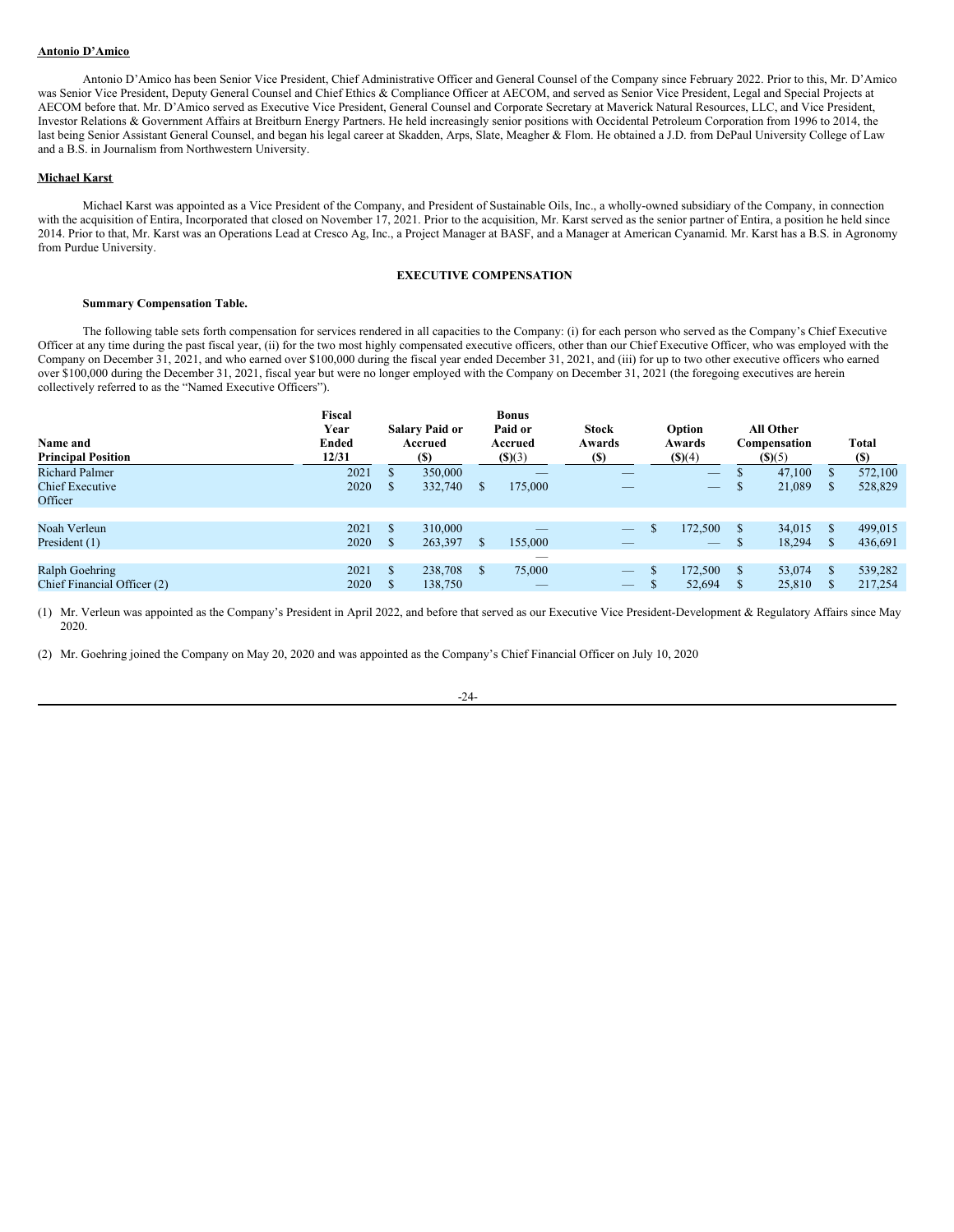#### **Antonio D'Amico**

Antonio D'Amico has been Senior Vice President, Chief Administrative Officer and General Counsel of the Company since February 2022. Prior to this, Mr. D'Amico was Senior Vice President, Deputy General Counsel and Chief Ethics & Compliance Officer at AECOM, and served as Senior Vice President, Legal and Special Projects at AECOM before that. Mr. D'Amico served as Executive Vice President, General Counsel and Corporate Secretary at Maverick Natural Resources, LLC, and Vice President, Investor Relations & Government Affairs at Breitburn Energy Partners. He held increasingly senior positions with Occidental Petroleum Corporation from 1996 to 2014, the last being Senior Assistant General Counsel, and began his legal career at Skadden, Arps, Slate, Meagher & Flom. He obtained a J.D. from DePaul University College of Law and a B.S. in Journalism from Northwestern University.

#### **Michael Karst**

Michael Karst was appointed as a Vice President of the Company, and President of Sustainable Oils, Inc., a wholly-owned subsidiary of the Company, in connection with the acquisition of Entira, Incorporated that closed on November 17, 2021. Prior to the acquisition, Mr. Karst served as the senior partner of Entira, a position he held since 2014. Prior to that, Mr. Karst was an Operations Lead at Cresco Ag, Inc., a Project Manager at BASF, and a Manager at American Cyanamid. Mr. Karst has a B.S. in Agronomy from Purdue University.

### <span id="page-27-0"></span>**EXECUTIVE COMPENSATION**

### **Summary Compensation Table.**

The following table sets forth compensation for services rendered in all capacities to the Company: (i) for each person who served as the Company's Chief Executive Officer at any time during the past fiscal year, (ii) for the two most highly compensated executive officers, other than our Chief Executive Officer, who was employed with the Company on December 31, 2021, and who earned over \$100,000 during the fiscal year ended December 31, 2021, and (iii) for up to two other executive officers who earned over \$100,000 during the December 31, 2021, fiscal year but were no longer employed with the Company on December 31, 2021 (the foregoing executives are herein collectively referred to as the "Named Executive Officers").

| Name and<br><b>Principal Position</b> | Fiscal<br>Year<br><b>Ended</b><br>12/31 |              | <b>Salary Paid or</b><br>Accrued<br><b>(\$)</b> |              | <b>Bonus</b><br>Paid or<br>Accrued<br>(S)(3) | <b>Stock</b><br>Awards<br><b>(\$)</b> | Option<br>Awards<br>$($ ) $(4)$ |              | <b>All Other</b><br>Compensation<br>(S)(5) |              | <b>Total</b><br><b>(S)</b> |
|---------------------------------------|-----------------------------------------|--------------|-------------------------------------------------|--------------|----------------------------------------------|---------------------------------------|---------------------------------|--------------|--------------------------------------------|--------------|----------------------------|
| <b>Richard Palmer</b>                 | 2021                                    |              | 350,000                                         |              | _                                            |                                       |                                 | <sup>S</sup> | 47,100                                     | <b>S</b>     | 572,100                    |
| <b>Chief Executive</b>                | 2020                                    | <sup>S</sup> | 332,740                                         | S            | 175,000                                      |                                       |                                 | ъ            | 21,089                                     | <sup>8</sup> | 528,829                    |
| Officer                               |                                         |              |                                                 |              |                                              |                                       |                                 |              |                                            |              |                            |
|                                       |                                         |              |                                                 |              |                                              |                                       |                                 |              |                                            |              |                            |
| Noah Verleun                          | 2021                                    | \$.          | 310,000                                         |              |                                              |                                       | 172,500                         |              | 34.015                                     | <sup>S</sup> | 499,015                    |
| President (1)                         | 2020                                    | <sup>S</sup> | 263,397                                         | <sup>S</sup> | 155,000                                      |                                       |                                 | ъ            | 18,294                                     | -8           | 436,691                    |
|                                       |                                         |              |                                                 |              |                                              |                                       |                                 |              |                                            |              |                            |
| Ralph Goehring                        | 2021                                    | \$.          | 238,708                                         | S            | 75,000                                       |                                       | 172,500                         |              | 53,074                                     | -8           | 539,282                    |
| Chief Financial Officer (2)           | 2020                                    |              | 138,750                                         |              |                                              |                                       | 52,694                          |              | 25,810                                     |              | 217,254                    |

(1) Mr. Verleun was appointed as the Company's President in April 2022, and before that served as our Executive Vice President-Development & Regulatory Affairs since May 2020.

(2) Mr. Goehring joined the Company on May 20, 2020 and was appointed as the Company's Chief Financial Officer on July 10, 2020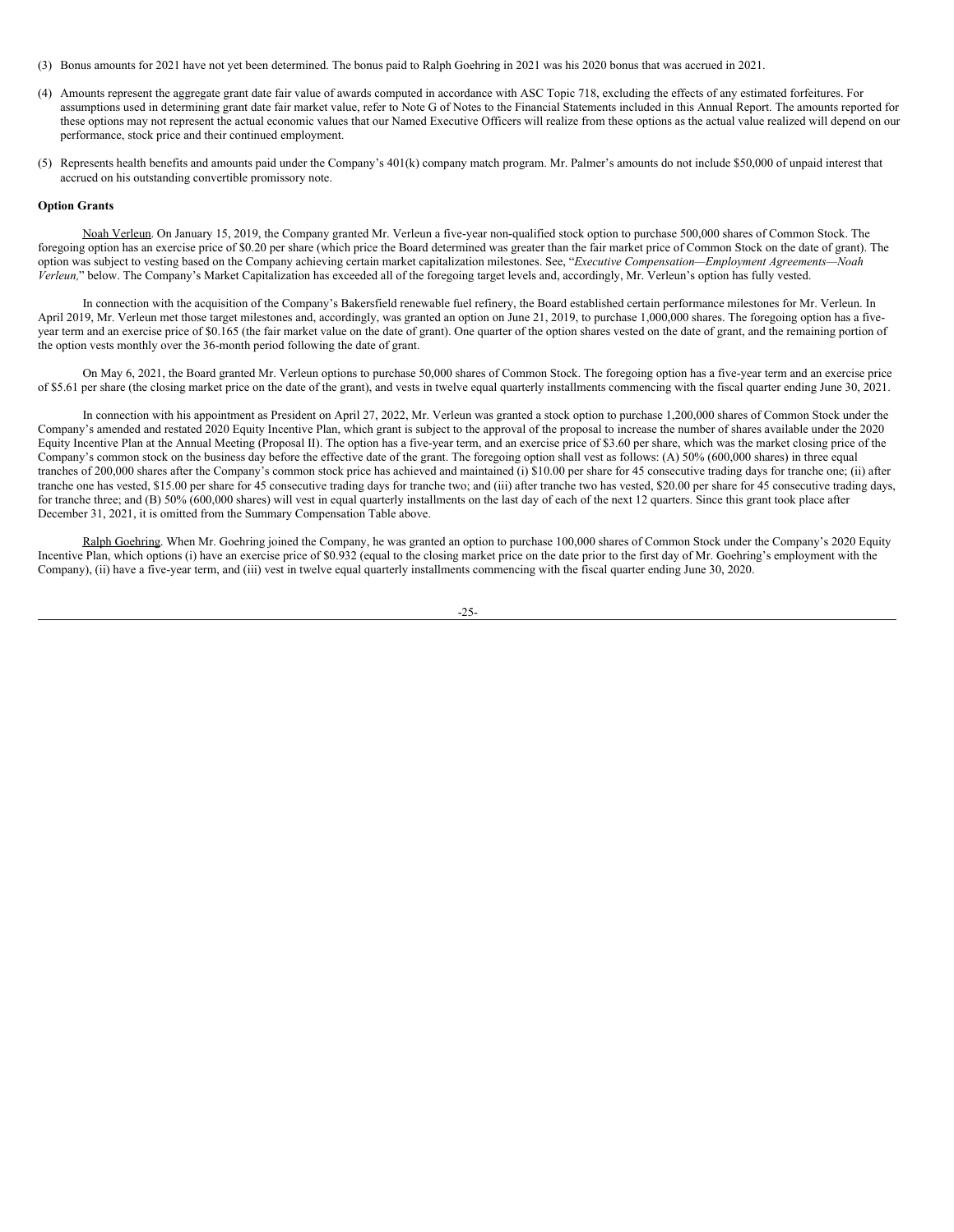- (3) Bonus amounts for 2021 have not yet been determined. The bonus paid to Ralph Goehring in 2021 was his 2020 bonus that was accrued in 2021.
- (4) Amounts represent the aggregate grant date fair value of awards computed in accordance with ASC Topic 718, excluding the effects of any estimated forfeitures. For assumptions used in determining grant date fair market value, refer to Note G of Notes to the Financial Statements included in this Annual Report. The amounts reported for these options may not represent the actual economic values that our Named Executive Officers will realize from these options as the actual value realized will depend on our performance, stock price and their continued employment.
- (5) Represents health benefits and amounts paid under the Company's 401(k) company match program. Mr. Palmer's amounts do not include \$50,000 of unpaid interest that accrued on his outstanding convertible promissory note.

#### **Option Grants**

Noah Verleun. On January 15, 2019, the Company granted Mr. Verleun a five-year non-qualified stock option to purchase 500,000 shares of Common Stock. The foregoing option has an exercise price of \$0.20 per share (which price the Board determined was greater than the fair market price of Common Stock on the date of grant). The option was subject to vesting based on the Company achieving certain market capitalization milestones. See, "*Executive Compensation—Employment Agreements—Noah Verleun,*" below. The Company's Market Capitalization has exceeded all of the foregoing target levels and, accordingly, Mr. Verleun's option has fully vested.

In connection with the acquisition of the Company's Bakersfield renewable fuel refinery, the Board established certain performance milestones for Mr. Verleun. In April 2019, Mr. Verleun met those target milestones and, accordingly, was granted an option on June 21, 2019, to purchase 1,000,000 shares. The foregoing option has a fiveyear term and an exercise price of \$0.165 (the fair market value on the date of grant). One quarter of the option shares vested on the date of grant, and the remaining portion of the option vests monthly over the 36-month period following the date of grant.

On May 6, 2021, the Board granted Mr. Verleun options to purchase 50,000 shares of Common Stock. The foregoing option has a five-year term and an exercise price of \$5.61 per share (the closing market price on the date of the grant), and vests in twelve equal quarterly installments commencing with the fiscal quarter ending June 30, 2021.

In connection with his appointment as President on April 27, 2022, Mr. Verleun was granted a stock option to purchase 1,200,000 shares of Common Stock under the Company's amended and restated 2020 Equity Incentive Plan, which grant is subject to the approval of the proposal to increase the number of shares available under the 2020 Equity Incentive Plan at the Annual Meeting (Proposal II). The option has a five-year term, and an exercise price of \$3.60 per share, which was the market closing price of the Company's common stock on the business day before the effective date of the grant. The foregoing option shall vest as follows: (A) 50% (600,000 shares) in three equal tranches of 200,000 shares after the Company's common stock price has achieved and maintained (i) \$10.00 per share for 45 consecutive trading days for tranche one; (ii) after tranche one has vested, \$15.00 per share for 45 consecutive trading days for tranche two; and (iii) after tranche two has vested, \$20.00 per share for 45 consecutive trading days, for tranche three; and (B) 50% (600,000 shares) will vest in equal quarterly installments on the last day of each of the next 12 quarters. Since this grant took place after December 31, 2021, it is omitted from the Summary Compensation Table above.

Ralph Goehring. When Mr. Goehring joined the Company, he was granted an option to purchase 100,000 shares of Common Stock under the Company's 2020 Equity Incentive Plan, which options (i) have an exercise price of \$0.932 (equal to the closing market price on the date prior to the first day of Mr. Goehring's employment with the Company), (ii) have a five-year term, and (iii) vest in twelve equal quarterly installments commencing with the fiscal quarter ending June 30, 2020.

-25-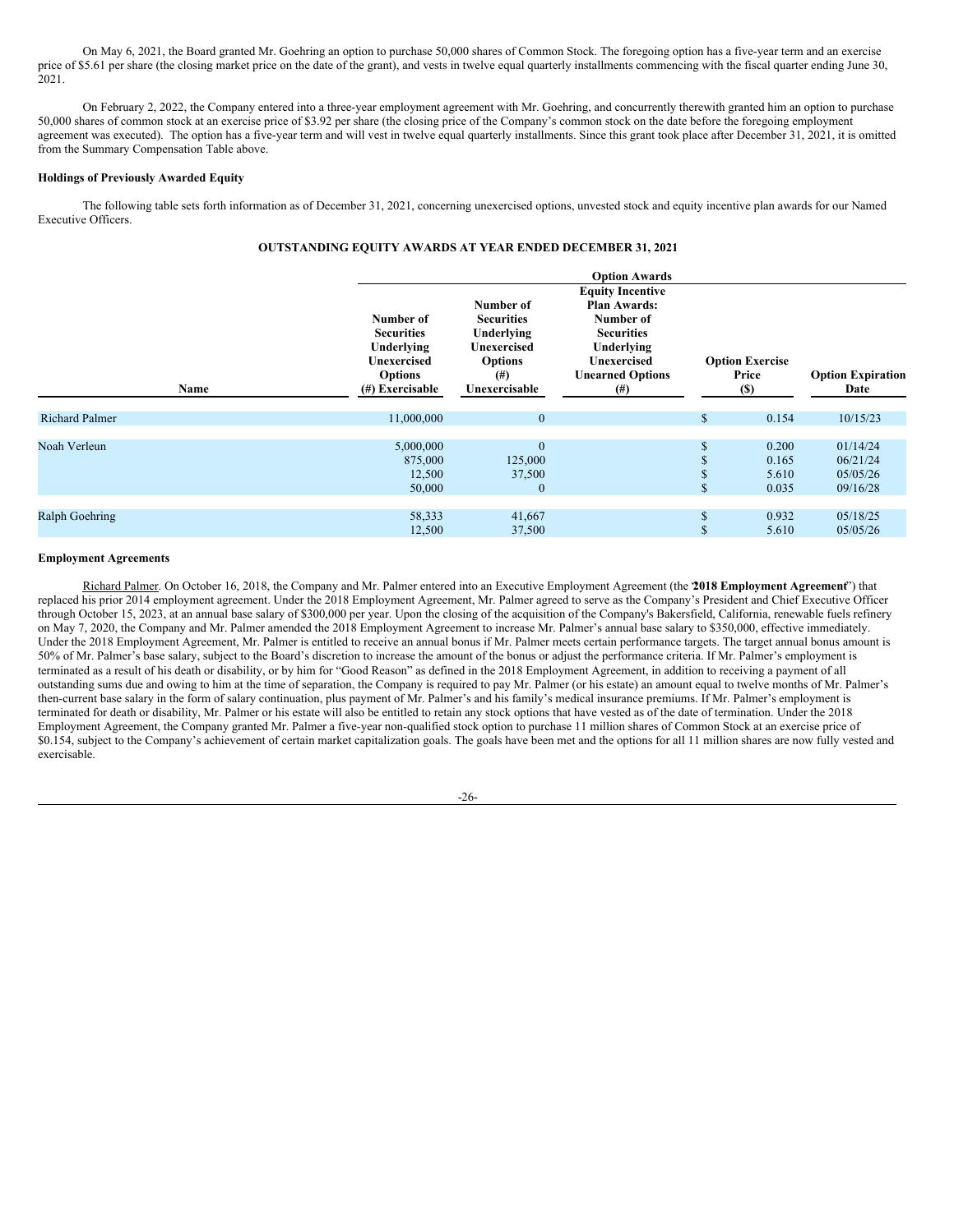On May 6, 2021, the Board granted Mr. Goehring an option to purchase 50,000 shares of Common Stock. The foregoing option has a five-year term and an exercise price of \$5.61 per share (the closing market price on the date of the grant), and vests in twelve equal quarterly installments commencing with the fiscal quarter ending June 30, 2021.

On February 2, 2022, the Company entered into a three-year employment agreement with Mr. Goehring, and concurrently therewith granted him an option to purchase 50,000 shares of common stock at an exercise price of \$3.92 per share (the closing price of the Company's common stock on the date before the foregoing employment agreement was executed). The option has a five-year term and will vest in twelve equal quarterly installments. Since this grant took place after December 31, 2021, it is omitted from the Summary Compensation Table above.

#### **Holdings of Previously Awarded Equity**

The following table sets forth information as of December 31, 2021, concerning unexercised options, unvested stock and equity incentive plan awards for our Named Executive Officers.

## **OUTSTANDING EQUITY AWARDS AT YEAR ENDED DECEMBER 31, 2021**

| Name                  | Number of<br><b>Securities</b><br>Underlying<br><b>Unexercised</b><br><b>Options</b><br>$(\#)$ Exercisable | Number of<br><b>Securities</b><br>Underlying<br>Unexercised<br><b>Options</b><br>$^{(#)}$<br>Unexercisable | <b>Option Awards</b><br><b>Equity Incentive</b><br><b>Plan Awards:</b><br>Number of<br><b>Securities</b><br>Underlying<br>Unexercised<br><b>Unearned Options</b><br>$^{(#)}$ | <b>Option Exercise</b><br>Price<br><b>(\$)</b> | <b>Option Expiration</b><br>Date             |  |  |
|-----------------------|------------------------------------------------------------------------------------------------------------|------------------------------------------------------------------------------------------------------------|------------------------------------------------------------------------------------------------------------------------------------------------------------------------------|------------------------------------------------|----------------------------------------------|--|--|
| <b>Richard Palmer</b> | 11,000,000                                                                                                 | $\mathbf{0}$                                                                                               |                                                                                                                                                                              | \$<br>0.154                                    | 10/15/23                                     |  |  |
| Noah Verleun          | 5,000,000<br>875,000<br>12,500<br>50,000                                                                   | $\mathbf{0}$<br>125,000<br>37,500<br>$\mathbf{0}$                                                          |                                                                                                                                                                              | 0.200<br>0.165<br>5.610<br>0.035               | 01/14/24<br>06/21/24<br>05/05/26<br>09/16/28 |  |  |
| Ralph Goehring        | 58,333<br>12,500                                                                                           | 41,667<br>37,500                                                                                           |                                                                                                                                                                              | 0.932<br>5.610                                 | 05/18/25<br>05/05/26                         |  |  |

#### **Employment Agreements**

Richard Palmer. On October 16, 2018, the Company and Mr. Palmer entered into an Executive Employment Agreement (the "**2018 Employment Agreement**") that replaced his prior 2014 employment agreement. Under the 2018 Employment Agreement, Mr. Palmer agreed to serve as the Company's President and Chief Executive Officer through October 15, 2023, at an annual base salary of \$300,000 per year. Upon the closing of the acquisition of the Company's Bakersfield, California, renewable fuels refinery on May 7, 2020, the Company and Mr. Palmer amended the 2018 Employment Agreement to increase Mr. Palmer's annual base salary to \$350,000, effective immediately. Under the 2018 Employment Agreement, Mr. Palmer is entitled to receive an annual bonus if Mr. Palmer meets certain performance targets. The target annual bonus amount is 50% of Mr. Palmer's base salary, subject to the Board's discretion to increase the amount of the bonus or adjust the performance criteria. If Mr. Palmer's employment is terminated as a result of his death or disability, or by him for "Good Reason" as defined in the 2018 Employment Agreement, in addition to receiving a payment of all outstanding sums due and owing to him at the time of separation, the Company is required to pay Mr. Palmer (or his estate) an amount equal to twelve months of Mr. Palmer's then-current base salary in the form of salary continuation, plus payment of Mr. Palmer's and his family's medical insurance premiums. If Mr. Palmer's employment is terminated for death or disability, Mr. Palmer or his estate will also be entitled to retain any stock options that have vested as of the date of termination. Under the 2018 Employment Agreement, the Company granted Mr. Palmer a five-year non-qualified stock option to purchase 11 million shares of Common Stock at an exercise price of \$0.154, subject to the Company's achievement of certain market capitalization goals. The goals have been met and the options for all 11 million shares are now fully vested and exercisable.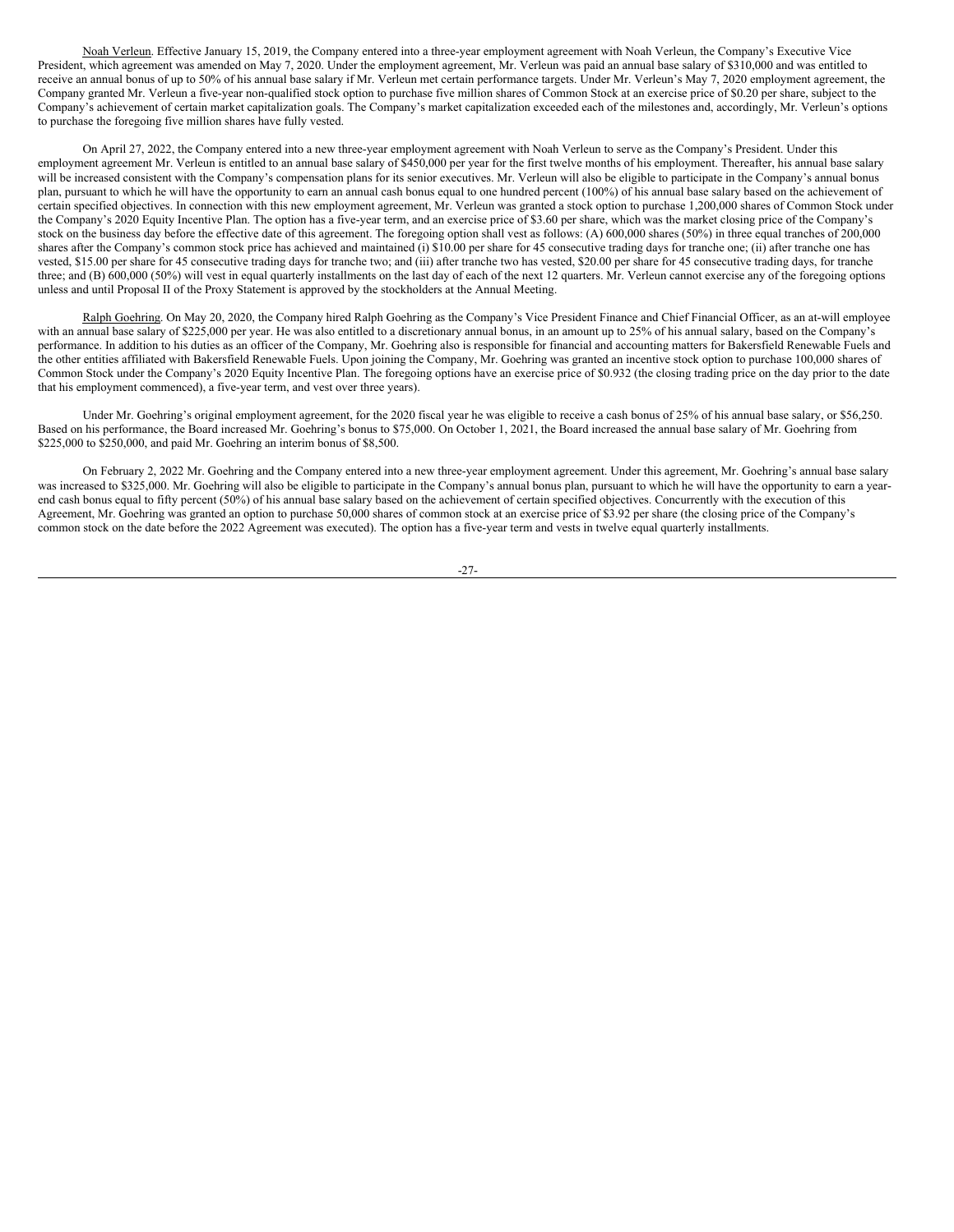Noah Verleun. Effective January 15, 2019, the Company entered into a three-year employment agreement with Noah Verleun, the Company's Executive Vice President, which agreement was amended on May 7, 2020. Under the employment agreement, Mr. Verleun was paid an annual base salary of \$310,000 and was entitled to receive an annual bonus of up to 50% of his annual base salary if Mr. Verleun met certain performance targets. Under Mr. Verleun's May 7, 2020 employment agreement, the Company granted Mr. Verleun a five-year non-qualified stock option to purchase five million shares of Common Stock at an exercise price of \$0.20 per share, subject to the Company's achievement of certain market capitalization goals. The Company's market capitalization exceeded each of the milestones and, accordingly, Mr. Verleun's options to purchase the foregoing five million shares have fully vested.

On April 27, 2022, the Company entered into a new three-year employment agreement with Noah Verleun to serve as the Company's President. Under this employment agreement Mr. Verleun is entitled to an annual base salary of \$450,000 per year for the first twelve months of his employment. Thereafter, his annual base salary will be increased consistent with the Company's compensation plans for its senior executives. Mr. Verleun will also be eligible to participate in the Company's annual bonus plan, pursuant to which he will have the opportunity to earn an annual cash bonus equal to one hundred percent (100%) of his annual base salary based on the achievement of certain specified objectives. In connection with this new employment agreement, Mr. Verleun was granted a stock option to purchase 1,200,000 shares of Common Stock under the Company's 2020 Equity Incentive Plan. The option has a five-year term, and an exercise price of \$3.60 per share, which was the market closing price of the Company's stock on the business day before the effective date of this agreement. The foregoing option shall vest as follows: (A) 600,000 shares (50%) in three equal tranches of 200,000 shares after the Company's common stock price has achieved and maintained (i) \$10.00 per share for 45 consecutive trading days for tranche one; (ii) after tranche one has vested, \$15.00 per share for 45 consecutive trading days for tranche two; and (iii) after tranche two has vested, \$20.00 per share for 45 consecutive trading days, for tranche three; and (B) 600,000 (50%) will vest in equal quarterly installments on the last day of each of the next 12 quarters. Mr. Verleun cannot exercise any of the foregoing options unless and until Proposal II of the Proxy Statement is approved by the stockholders at the Annual Meeting.

Ralph Goehring. On May 20, 2020, the Company hired Ralph Goehring as the Company's Vice President Finance and Chief Financial Officer, as an at-will employee with an annual base salary of \$225,000 per year. He was also entitled to a discretionary annual bonus, in an amount up to 25% of his annual salary, based on the Company's performance. In addition to his duties as an officer of the Company, Mr. Goehring also is responsible for financial and accounting matters for Bakersfield Renewable Fuels and the other entities affiliated with Bakersfield Renewable Fuels. Upon joining the Company, Mr. Goehring was granted an incentive stock option to purchase 100,000 shares of Common Stock under the Company's 2020 Equity Incentive Plan. The foregoing options have an exercise price of \$0.932 (the closing trading price on the day prior to the date that his employment commenced), a five-year term, and vest over three years).

Under Mr. Goehring's original employment agreement, for the 2020 fiscal year he was eligible to receive a cash bonus of 25% of his annual base salary, or \$56,250. Based on his performance, the Board increased Mr. Goehring's bonus to \$75,000. On October 1, 2021, the Board increased the annual base salary of Mr. Goehring from \$225,000 to \$250,000, and paid Mr. Goehring an interim bonus of \$8,500.

On February 2, 2022 Mr. Goehring and the Company entered into a new three-year employment agreement. Under this agreement, Mr. Goehring's annual base salary was increased to \$325,000. Mr. Goehring will also be eligible to participate in the Company's annual bonus plan, pursuant to which he will have the opportunity to earn a yearend cash bonus equal to fifty percent (50%) of his annual base salary based on the achievement of certain specified objectives. Concurrently with the execution of this Agreement, Mr. Goehring was granted an option to purchase 50,000 shares of common stock at an exercise price of \$3.92 per share (the closing price of the Company's common stock on the date before the 2022 Agreement was executed). The option has a five-year term and vests in twelve equal quarterly installments.

-27-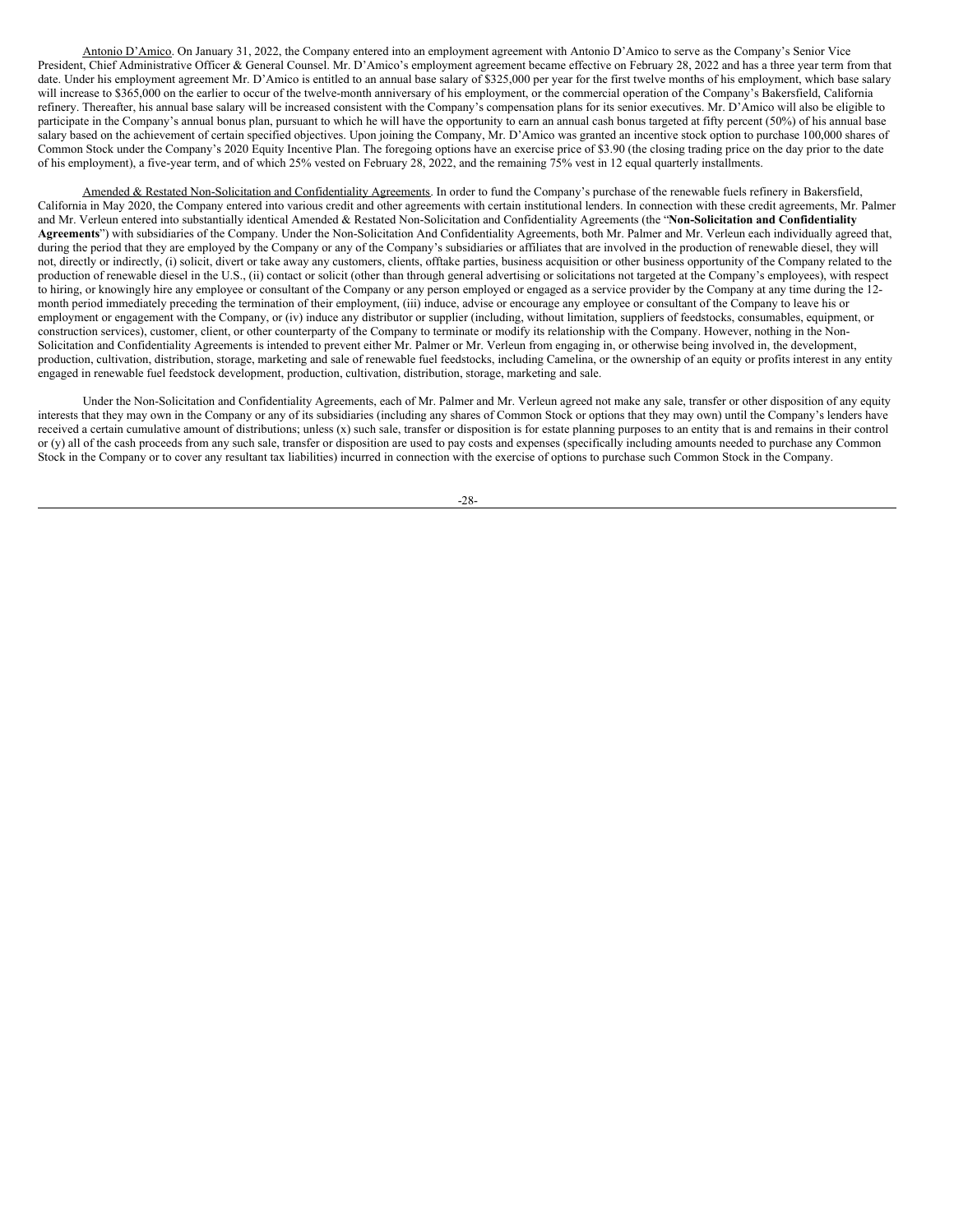Antonio D'Amico. On January 31, 2022, the Company entered into an employment agreement with Antonio D'Amico to serve as the Company's Senior Vice President, Chief Administrative Officer & General Counsel. Mr. D'Amico's employment agreement became effective on February 28, 2022 and has a three year term from that date. Under his employment agreement Mr. D'Amico is entitled to an annual base salary of \$325,000 per year for the first twelve months of his employment, which base salary will increase to \$365,000 on the earlier to occur of the twelve-month anniversary of his employment, or the commercial operation of the Company's Bakersfield, California refinery. Thereafter, his annual base salary will be increased consistent with the Company's compensation plans for its senior executives. Mr. D'Amico will also be eligible to participate in the Company's annual bonus plan, pursuant to which he will have the opportunity to earn an annual cash bonus targeted at fifty percent (50%) of his annual base salary based on the achievement of certain specified objectives. Upon joining the Company, Mr. D'Amico was granted an incentive stock option to purchase 100,000 shares of Common Stock under the Company's 2020 Equity Incentive Plan. The foregoing options have an exercise price of \$3.90 (the closing trading price on the day prior to the date of his employment), a five-year term, and of which 25% vested on February 28, 2022, and the remaining 75% vest in 12 equal quarterly installments.

Amended & Restated Non-Solicitation and Confidentiality Agreements. In order to fund the Company's purchase of the renewable fuels refinery in Bakersfield, California in May 2020, the Company entered into various credit and other agreements with certain institutional lenders. In connection with these credit agreements, Mr. Palmer and Mr. Verleun entered into substantially identical Amended & Restated Non-Solicitation and Confidentiality Agreements (the "**Non-Solicitation and Confidentiality Agreements**") with subsidiaries of the Company. Under the Non-Solicitation And Confidentiality Agreements, both Mr. Palmer and Mr. Verleun each individually agreed that, during the period that they are employed by the Company or any of the Company's subsidiaries or affiliates that are involved in the production of renewable diesel, they will not, directly or indirectly, (i) solicit, divert or take away any customers, clients, offtake parties, business acquisition or other business opportunity of the Company related to the production of renewable diesel in the U.S., (ii) contact or solicit (other than through general advertising or solicitations not targeted at the Company's employees), with respect to hiring, or knowingly hire any employee or consultant of the Company or any person employed or engaged as a service provider by the Company at any time during the 12 month period immediately preceding the termination of their employment, (iii) induce, advise or encourage any employee or consultant of the Company to leave his or employment or engagement with the Company, or (iv) induce any distributor or supplier (including, without limitation, suppliers of feedstocks, consumables, equipment, or construction services), customer, client, or other counterparty of the Company to terminate or modify its relationship with the Company. However, nothing in the Non-Solicitation and Confidentiality Agreements is intended to prevent either Mr. Palmer or Mr. Verleun from engaging in, or otherwise being involved in, the development, production, cultivation, distribution, storage, marketing and sale of renewable fuel feedstocks, including Camelina, or the ownership of an equity or profits interest in any entity engaged in renewable fuel feedstock development, production, cultivation, distribution, storage, marketing and sale.

Under the Non-Solicitation and Confidentiality Agreements, each of Mr. Palmer and Mr. Verleun agreed not make any sale, transfer or other disposition of any equity interests that they may own in the Company or any of its subsidiaries (including any shares of Common Stock or options that they may own) until the Company's lenders have received a certain cumulative amount of distributions; unless (x) such sale, transfer or disposition is for estate planning purposes to an entity that is and remains in their control or (y) all of the cash proceeds from any such sale, transfer or disposition are used to pay costs and expenses (specifically including amounts needed to purchase any Common Stock in the Company or to cover any resultant tax liabilities) incurred in connection with the exercise of options to purchase such Common Stock in the Company.

-28-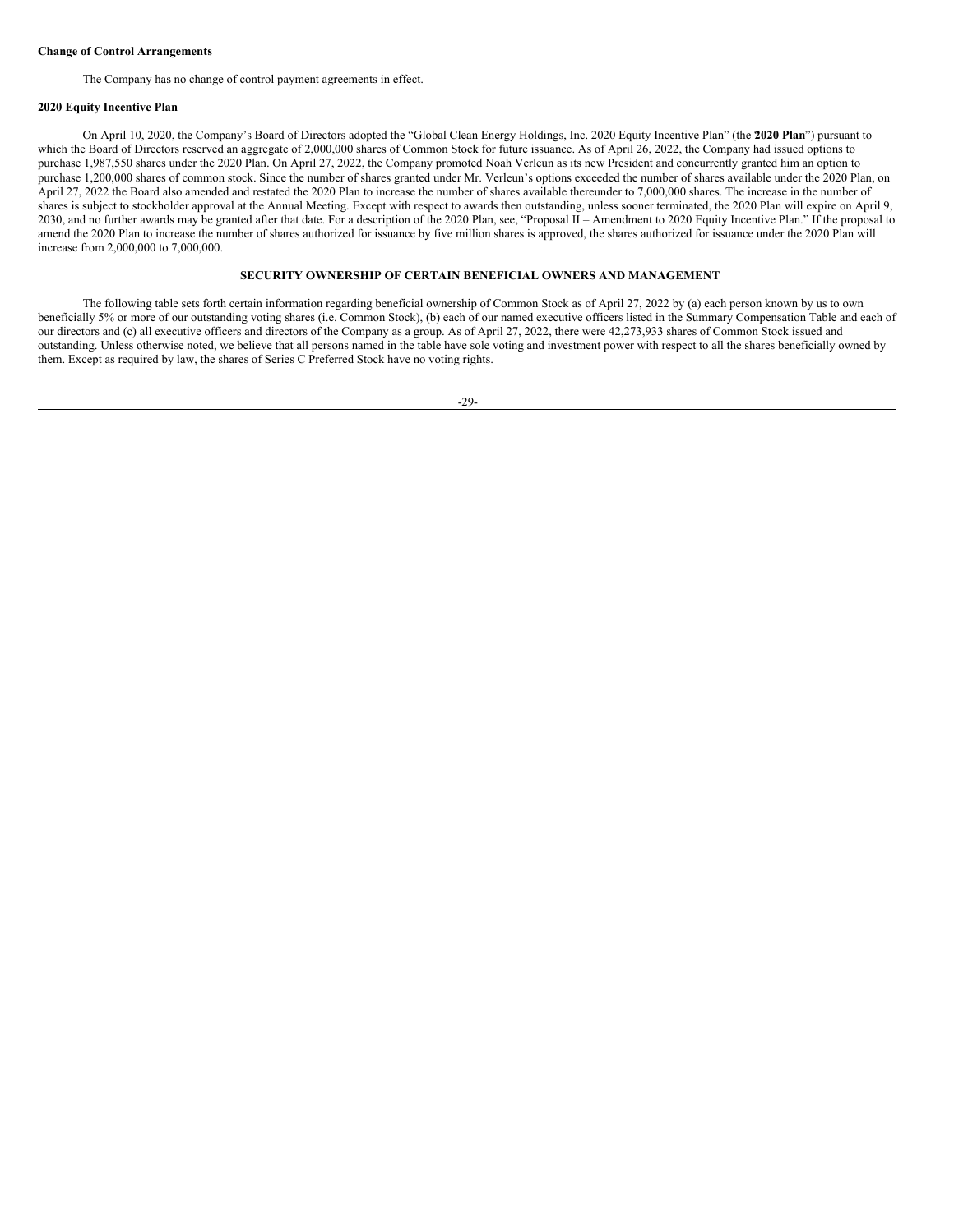### **Change of Control Arrangements**

The Company has no change of control payment agreements in effect.

### **2020 Equity Incentive Plan**

On April 10, 2020, the Company's Board of Directors adopted the "Global Clean Energy Holdings, Inc. 2020 Equity Incentive Plan" (the "**2020 Plan**") pursuant to which the Board of Directors reserved an aggregate of 2,000,000 shares of Common Stock for future issuance. As of April 26, 2022, the Company had issued options to purchase 1,987,550 shares under the 2020 Plan. On April 27, 2022, the Company promoted Noah Verleun as its new President and concurrently granted him an option to purchase 1,200,000 shares of common stock. Since the number of shares granted under Mr. Verleun's options exceeded the number of shares available under the 2020 Plan, on April 27, 2022 the Board also amended and restated the 2020 Plan to increase the number of shares available thereunder to 7,000,000 shares. The increase in the number of shares is subject to stockholder approval at the Annual Meeting. Except with respect to awards then outstanding, unless sooner terminated, the 2020 Plan will expire on April 9, 2030, and no further awards may be granted after that date. For a description of the 2020 Plan, see, "Proposal II – Amendment to 2020 Equity Incentive Plan." If the proposal to amend the 2020 Plan to increase the number of shares authorized for issuance by five million shares is approved, the shares authorized for issuance under the 2020 Plan will increase from 2,000,000 to 7,000,000.

### <span id="page-32-0"></span>**SECURITY OWNERSHIP OF CERTAIN BENEFICIAL OWNERS AND MANAGEMENT**

The following table sets forth certain information regarding beneficial ownership of Common Stock as of April 27, 2022 by (a) each person known by us to own beneficially 5% or more of our outstanding voting shares (i.e. Common Stock), (b) each of our named executive officers listed in the Summary Compensation Table and each of our directors and (c) all executive officers and directors of the Company as a group. As of April 27, 2022, there were 42,273,933 shares of Common Stock issued and outstanding. Unless otherwise noted, we believe that all persons named in the table have sole voting and investment power with respect to all the shares beneficially owned by them. Except as required by law, the shares of Series C Preferred Stock have no voting rights.

-29-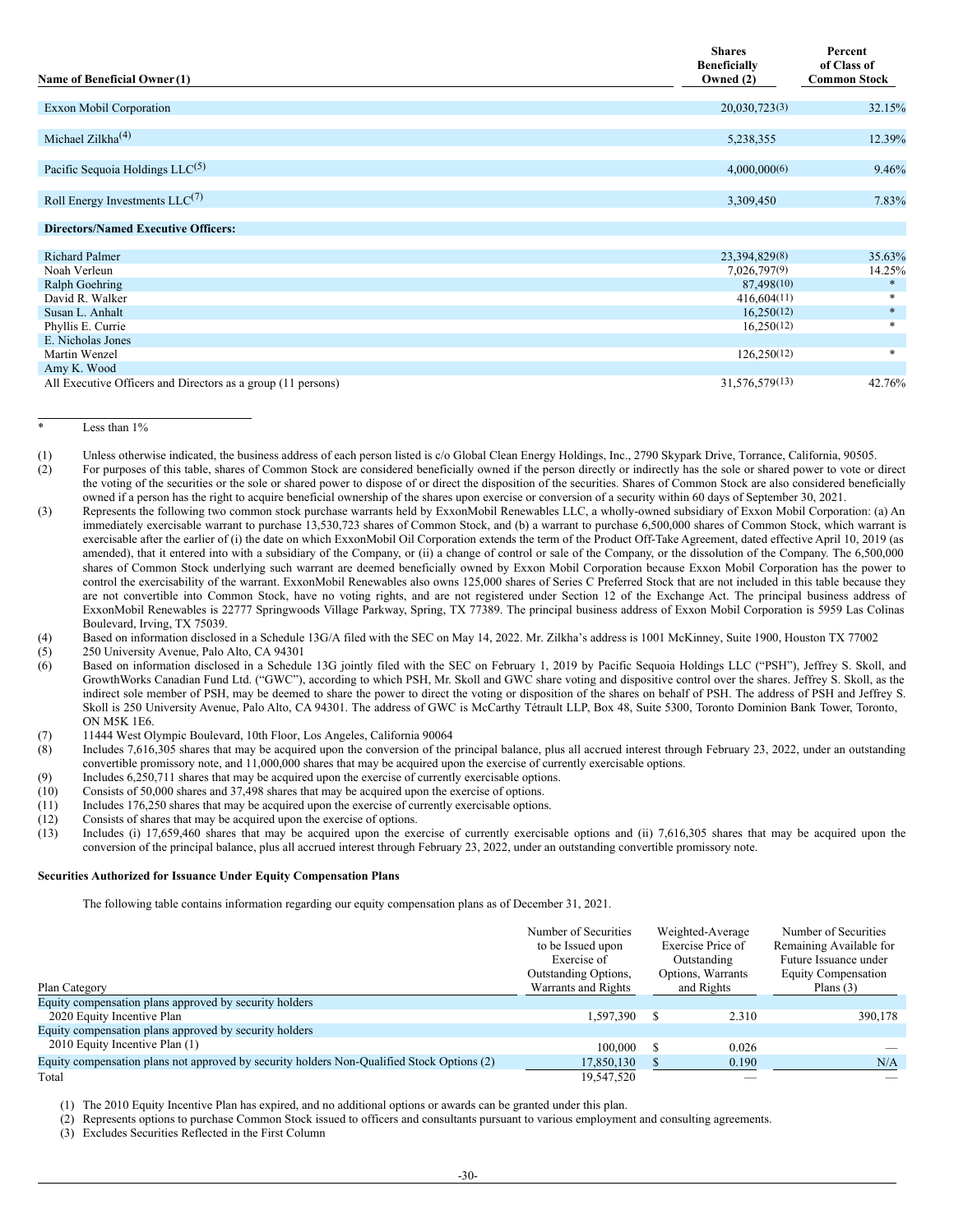| Name of Beneficial Owner (1)                                                | <b>Shares</b><br><b>Beneficially</b><br>Owned (2) | Percent<br>of Class of<br><b>Common Stock</b> |
|-----------------------------------------------------------------------------|---------------------------------------------------|-----------------------------------------------|
| <b>Exxon Mobil Corporation</b>                                              | 20,030,723(3)                                     | 32.15%                                        |
| Michael Zilkha $(4)$                                                        | 5,238,355                                         | 12.39%                                        |
| Pacific Sequoia Holdings LLC <sup>(5)</sup>                                 | 4,000,000(6)                                      | 9.46%                                         |
| Roll Energy Investments $LLC^{(7)}$                                         | 3,309,450                                         | 7.83%                                         |
| <b>Directors/Named Executive Officers:</b>                                  |                                                   |                                               |
| <b>Richard Palmer</b><br>Noah Verleun                                       | 23,394,829(8)<br>7,026,797(9)                     | 35.63%<br>14.25%                              |
| Ralph Goehring<br>David R. Walker                                           | 87,498(10)<br>416,604(11)                         | $\ast$<br>$\ast$                              |
| Susan L. Anhalt<br>Phyllis E. Currie                                        | 16,250(12)<br>16,250(12)                          | $\ast$<br>$\ast$                              |
| E. Nicholas Jones<br>Martin Wenzel                                          | 126,250(12)                                       | $\ast$                                        |
| Amy K. Wood<br>All Executive Officers and Directors as a group (11 persons) | 31,576,579(13)                                    | 42.76%                                        |

Less than  $1\%$ 

- (2) For purposes of this table, shares of Common Stock are considered beneficially owned if the person directly or indirectly has the sole or shared power to vote or direct the voting of the securities or the sole or shared power to dispose of or direct the disposition of the securities. Shares of Common Stock are also considered beneficially owned if a person has the right to acquire beneficial ownership of the shares upon exercise or conversion of a security within 60 days of September 30, 2021.
- (3) Represents the following two common stock purchase warrants held by ExxonMobil Renewables LLC, a wholly-owned subsidiary of Exxon Mobil Corporation: (a) An immediately exercisable warrant to purchase 13,530,723 shares of Common Stock, and (b) a warrant to purchase 6,500,000 shares of Common Stock, which warrant is exercisable after the earlier of (i) the date on which ExxonMobil Oil Corporation extends the term of the Product Off-Take Agreement, dated effective April 10, 2019 (as amended), that it entered into with a subsidiary of the Company, or (ii) a change of control or sale of the Company, or the dissolution of the Company. The 6,500,000 shares of Common Stock underlying such warrant are deemed beneficially owned by Exxon Mobil Corporation because Exxon Mobil Corporation has the power to control the exercisability of the warrant. ExxonMobil Renewables also owns 125,000 shares of Series C Preferred Stock that are not included in this table because they are not convertible into Common Stock, have no voting rights, and are not registered under Section 12 of the Exchange Act. The principal business address of ExxonMobil Renewables is 22777 Springwoods Village Parkway, Spring, TX 77389. The principal business address of Exxon Mobil Corporation is 5959 Las Colinas Boulevard, Irving, TX 75039.
- (4) Based on information disclosed in a Schedule 13G/A filed with the SEC on May 14, 2022. Mr. Zilkha's address is 1001 McKinney, Suite 1900, Houston TX 77002
- (5) 250 University Avenue, Palo Alto, CA 94301<br>(6) Based on information disclosed in a Schedul
- Based on information disclosed in a Schedule 13G jointly filed with the SEC on February 1, 2019 by Pacific Sequoia Holdings LLC ("PSH"), Jeffrey S. Skoll, and GrowthWorks Canadian Fund Ltd. ("GWC"), according to which PSH, Mr. Skoll and GWC share voting and dispositive control over the shares. Jeffrey S. Skoll, as the indirect sole member of PSH, may be deemed to share the power to direct the voting or disposition of the shares on behalf of PSH. The address of PSH and Jeffrey S. Skoll is 250 University Avenue, Palo Alto, CA 94301. The address of GWC is McCarthy Tétrault LLP, Box 48, Suite 5300, Toronto Dominion Bank Tower, Toronto, ON M5K 1E6.
- (7) 11444 West Olympic Boulevard, 10th Floor, Los Angeles, California 90064
- (8) Includes 7,616,305 shares that may be acquired upon the conversion of the principal balance, plus all accrued interest through February 23, 2022, under an outstanding convertible promissory note, and 11,000,000 shares that may be acquired upon the exercise of currently exercisable options.
- (9) Includes 6,250,711 shares that may be acquired upon the exercise of currently exercisable options.
- 
- (10) Consists of 50,000 shares and 37,498 shares that may be acquired upon the exercise of options.<br>(11) Includes 176,250 shares that may be acquired upon the exercise of currently exercisable options. Includes 176,250 shares that may be acquired upon the exercise of currently exercisable options.
- (12) Consists of shares that may be acquired upon the exercise of options.<br>(13) Includes (i) 17,659,460 shares that may be acquired upon the exe
- Includes (i) 17,659,460 shares that may be acquired upon the exercise of currently exercisable options and (ii) 7,616,305 shares that may be acquired upon the conversion of the principal balance, plus all accrued interest through February 23, 2022, under an outstanding convertible promissory note.

#### **Securities Authorized for Issuance Under Equity Compensation Plans**

The following table contains information regarding our equity compensation plans as of December 31, 2021.

|                                                                                            | Number of Securities<br>to be Issued upon<br>Exercise of<br><b>Outstanding Options,</b> |  | Weighted-Average<br>Exercise Price of<br>Outstanding<br>Options, Warrants | Number of Securities<br>Remaining Available for<br>Future Issuance under<br>Equity Compensation |
|--------------------------------------------------------------------------------------------|-----------------------------------------------------------------------------------------|--|---------------------------------------------------------------------------|-------------------------------------------------------------------------------------------------|
| Plan Category                                                                              | Warrants and Rights                                                                     |  | and Rights                                                                | Plans $(3)$                                                                                     |
| Equity compensation plans approved by security holders                                     |                                                                                         |  |                                                                           |                                                                                                 |
| 2020 Equity Incentive Plan                                                                 | 1,597,390                                                                               |  | 2.310                                                                     | 390,178                                                                                         |
| Equity compensation plans approved by security holders                                     |                                                                                         |  |                                                                           |                                                                                                 |
| 2010 Equity Incentive Plan (1)                                                             | 100,000                                                                                 |  | 0.026                                                                     |                                                                                                 |
| Equity compensation plans not approved by security holders Non-Qualified Stock Options (2) | 17,850,130                                                                              |  | 0.190                                                                     | N/A                                                                                             |
| Total                                                                                      | 19.547.520                                                                              |  |                                                                           |                                                                                                 |

(1) The 2010 Equity Incentive Plan has expired, and no additional options or awards can be granted under this plan.

(2) Represents options to purchase Common Stock issued to officers and consultants pursuant to various employment and consulting agreements.

(3) Excludes Securities Reflected in the First Column

<sup>(1)</sup> Unless otherwise indicated, the business address of each person listed is c/o Global Clean Energy Holdings, Inc., 2790 Skypark Drive, Torrance, California, 90505.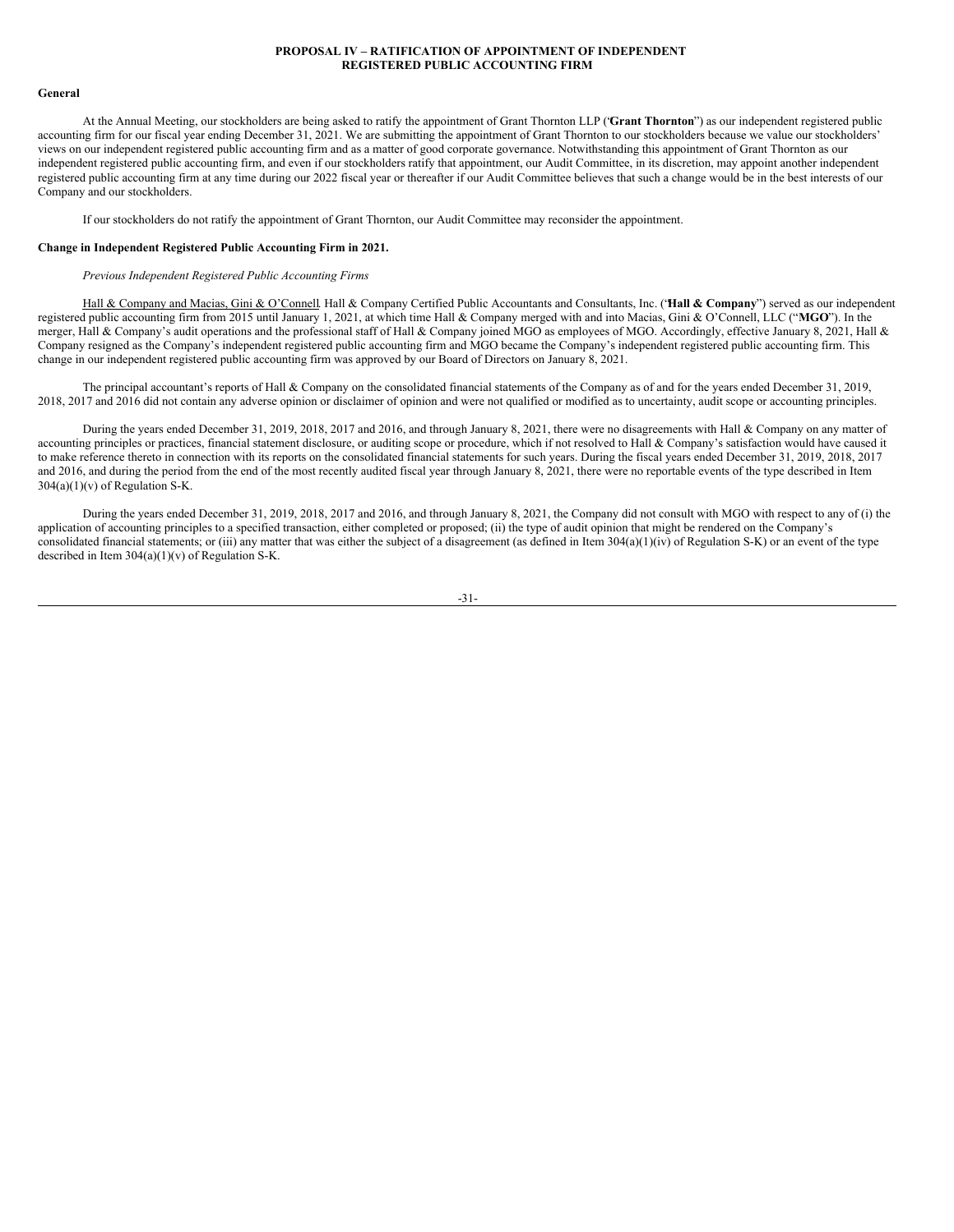### <span id="page-34-0"></span>**PROPOSAL IV – RATIFICATION OF APPOINTMENT OF INDEPENDENT REGISTERED PUBLIC ACCOUNTING FIRM**

#### **General**

At the Annual Meeting, our stockholders are being asked to ratify the appointment of Grant Thornton LLP ("**Grant Thornton**") as our independent registered public accounting firm for our fiscal year ending December 31, 2021. We are submitting the appointment of Grant Thornton to our stockholders because we value our stockholders' views on our independent registered public accounting firm and as a matter of good corporate governance. Notwithstanding this appointment of Grant Thornton as our independent registered public accounting firm, and even if our stockholders ratify that appointment, our Audit Committee, in its discretion, may appoint another independent registered public accounting firm at any time during our 2022 fiscal year or thereafter if our Audit Committee believes that such a change would be in the best interests of our Company and our stockholders.

If our stockholders do not ratify the appointment of Grant Thornton, our Audit Committee may reconsider the appointment.

#### **Change in Independent Registered Public Accounting Firm in 2021.**

### *Previous Independent Registered Public Accounting Firms*

Hall & Company and Macias, Gini & O'Connell. Hall & Company Certified Public Accountants and Consultants, Inc. ("**Hall & Company**") served as our independent registered public accounting firm from 2015 until January 1, 2021, at which time Hall & Company merged with and into Macias, Gini & O'Connell, LLC ("**MGO**"). In the merger, Hall & Company's audit operations and the professional staff of Hall & Company joined MGO as employees of MGO. Accordingly, effective January 8, 2021, Hall & Company resigned as the Company's independent registered public accounting firm and MGO became the Company's independent registered public accounting firm. This change in our independent registered public accounting firm was approved by our Board of Directors on January 8, 2021.

The principal accountant's reports of Hall & Company on the consolidated financial statements of the Company as of and for the years ended December 31, 2019, 2018, 2017 and 2016 did not contain any adverse opinion or disclaimer of opinion and were not qualified or modified as to uncertainty, audit scope or accounting principles.

During the years ended December 31, 2019, 2018, 2017 and 2016, and through January 8, 2021, there were no disagreements with Hall & Company on any matter of accounting principles or practices, financial statement disclosure, or auditing scope or procedure, which if not resolved to Hall & Company's satisfaction would have caused it to make reference thereto in connection with its reports on the consolidated financial statements for such years. During the fiscal years ended December 31, 2019, 2018, 2017 and 2016, and during the period from the end of the most recently audited fiscal year through January 8, 2021, there were no reportable events of the type described in Item  $304(a)(1)(v)$  of Regulation S-K.

During the years ended December 31, 2019, 2018, 2017 and 2016, and through January 8, 2021, the Company did not consult with MGO with respect to any of (i) the application of accounting principles to a specified transaction, either completed or proposed; (ii) the type of audit opinion that might be rendered on the Company's consolidated financial statements; or (iii) any matter that was either the subject of a disagreement (as defined in Item  $304(a)(1)(iv)$  of Regulation S-K) or an event of the type described in Item 304(a)(1)(v) of Regulation S-K.

#### -31-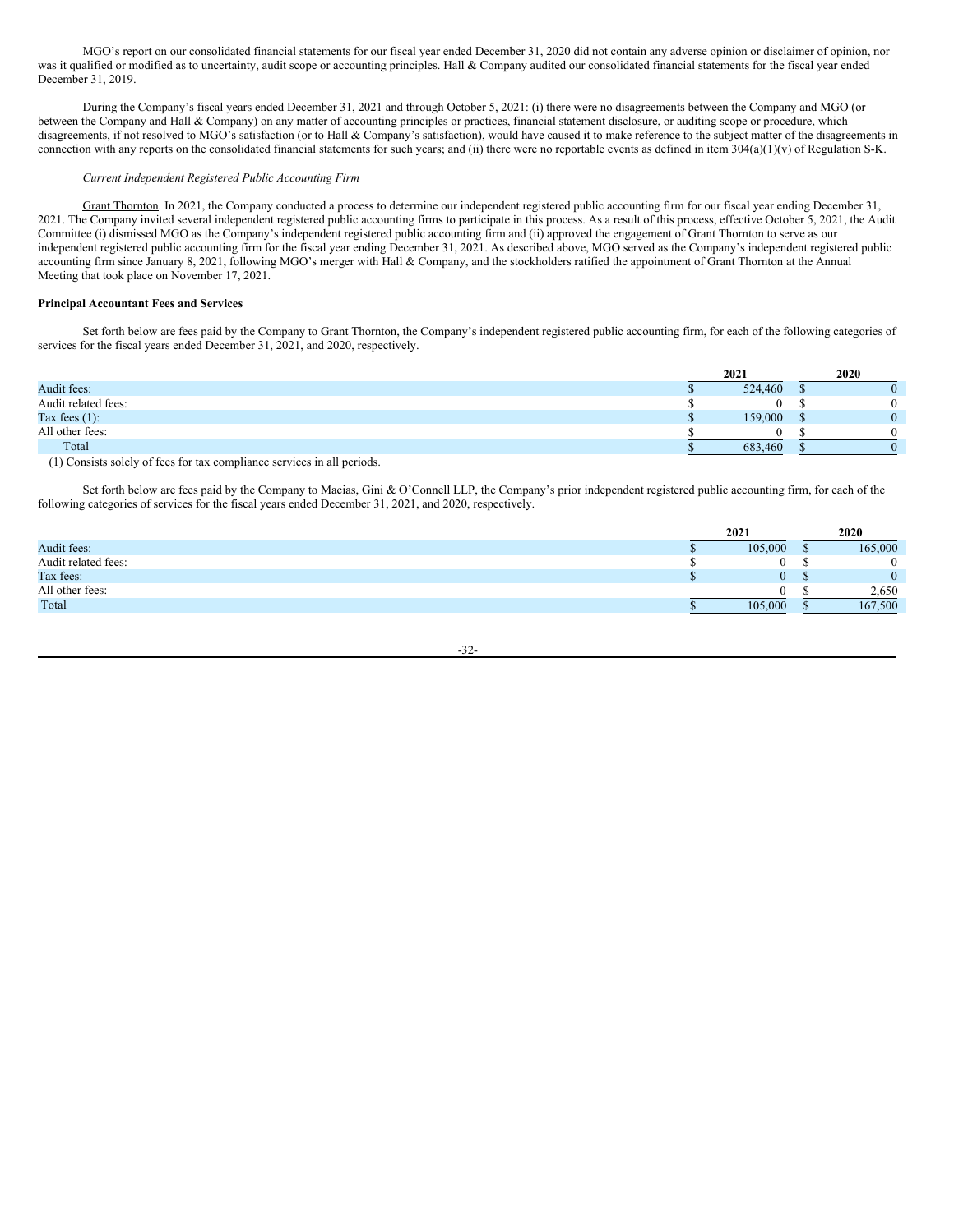MGO's report on our consolidated financial statements for our fiscal year ended December 31, 2020 did not contain any adverse opinion or disclaimer of opinion, nor was it qualified or modified as to uncertainty, audit scope or accounting principles. Hall & Company audited our consolidated financial statements for the fiscal year ended December 31, 2019.

During the Company's fiscal years ended December 31, 2021 and through October 5, 2021: (i) there were no disagreements between the Company and MGO (or between the Company and Hall & Company) on any matter of accounting principles or practices, financial statement disclosure, or auditing scope or procedure, which disagreements, if not resolved to MGO's satisfaction (or to Hall & Company's satisfaction), would have caused it to make reference to the subject matter of the disagreements in connection with any reports on the consolidated financial statements for such years; and (ii) there were no reportable events as defined in item 304(a)(1)(v) of Regulation S-K.

# *Current Independent Registered Public Accounting Firm*

Grant Thornton. In 2021, the Company conducted a process to determine our independent registered public accounting firm for our fiscal year ending December 31, 2021. The Company invited several independent registered public accounting firms to participate in this process. As a result of this process, effective October 5, 2021, the Audit Committee (i) dismissed MGO as the Company's independent registered public accounting firm and (ii) approved the engagement of Grant Thornton to serve as our independent registered public accounting firm for the fiscal year ending December 31, 2021. As described above, MGO served as the Company's independent registered public accounting firm since January 8, 2021, following MGO's merger with Hall & Company, and the stockholders ratified the appointment of Grant Thornton at the Annual Meeting that took place on November 17, 2021.

### **Principal Accountant Fees and Services**

Set forth below are fees paid by the Company to Grant Thornton, the Company's independent registered public accounting firm, for each of the following categories of services for the fiscal years ended December 31, 2021, and 2020, respectively.

|                     |  | 2021    | 2020 |          |  |
|---------------------|--|---------|------|----------|--|
| Audit fees:         |  | 524,460 | ш    |          |  |
| Audit related fees: |  | 0       |      | 0        |  |
| Tax fees $(1)$ :    |  | 159,000 | ш    | $\Omega$ |  |
| All other fees:     |  | 0       |      | 0        |  |
| Total               |  | 683,460 |      |          |  |
| .<br>.              |  |         |      |          |  |

(1) Consists solely of fees for tax compliance services in all periods.

Set forth below are fees paid by the Company to Macias, Gini & O'Connell LLP, the Company's prior independent registered public accounting firm, for each of the following categories of services for the fiscal years ended December 31, 2021, and 2020, respectively.

|                     | 2021    | 2020 |              |  |
|---------------------|---------|------|--------------|--|
| Audit fees:         | 105,000 |      | 165,000      |  |
| Audit related fees: |         |      | $\mathbf{0}$ |  |
| Tax fees:           | 0       |      | $\Omega$     |  |
| All other fees:     |         |      | 2,650        |  |
| Total               | 105,000 |      | 167,500      |  |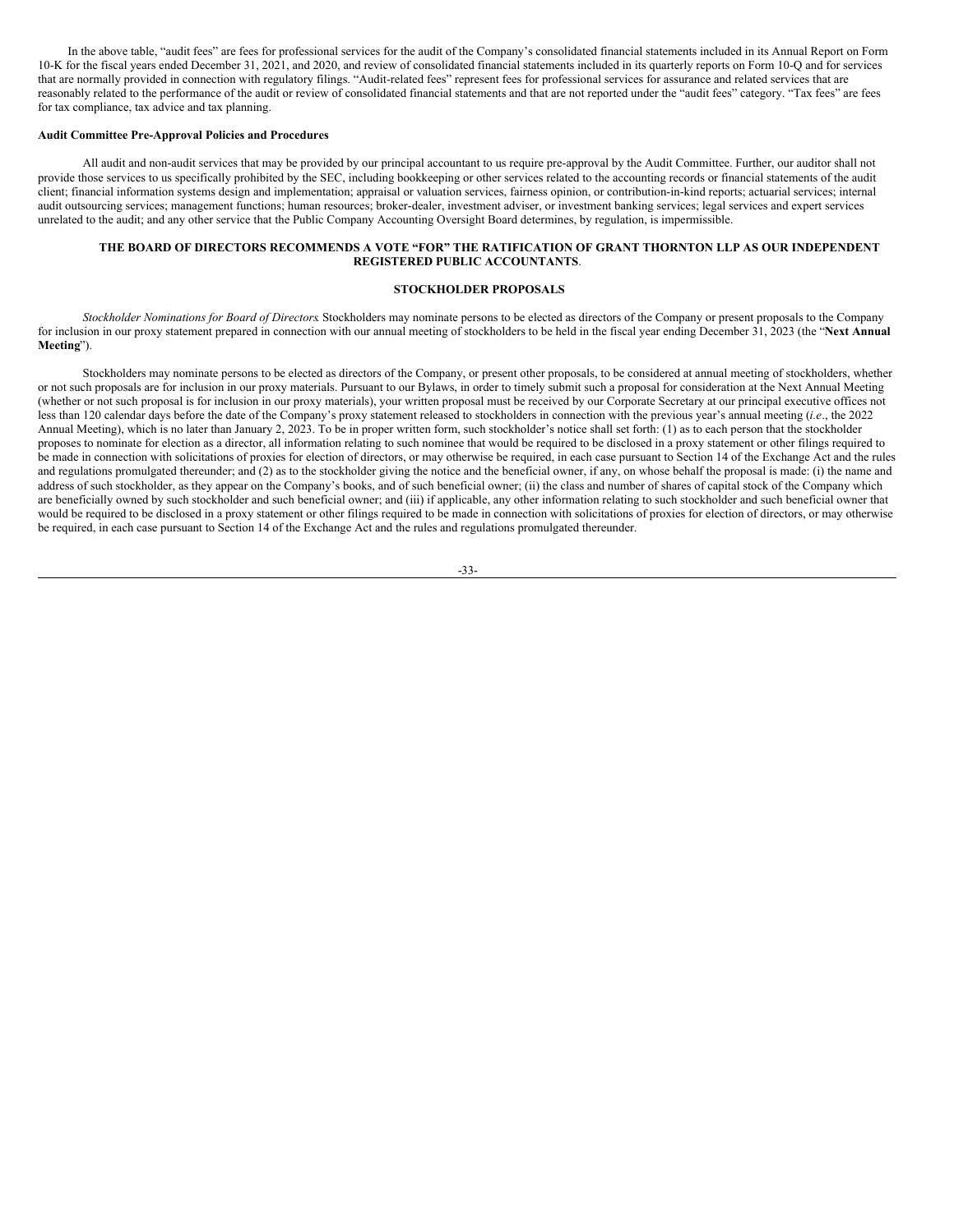In the above table, "audit fees" are fees for professional services for the audit of the Company's consolidated financial statements included in its Annual Report on Form 10-K for the fiscal years ended December 31, 2021, and 2020, and review of consolidated financial statements included in its quarterly reports on Form 10-Q and for services that are normally provided in connection with regulatory filings. "Audit-related fees" represent fees for professional services for assurance and related services that are reasonably related to the performance of the audit or review of consolidated financial statements and that are not reported under the "audit fees" category. "Tax fees" are fees for tax compliance, tax advice and tax planning.

#### **Audit Committee Pre-Approval Policies and Procedures**

All audit and non-audit services that may be provided by our principal accountant to us require pre-approval by the Audit Committee. Further, our auditor shall not provide those services to us specifically prohibited by the SEC, including bookkeeping or other services related to the accounting records or financial statements of the audit client; financial information systems design and implementation; appraisal or valuation services, fairness opinion, or contribution-in-kind reports; actuarial services; internal audit outsourcing services; management functions; human resources; broker-dealer, investment adviser, or investment banking services; legal services and expert services unrelated to the audit; and any other service that the Public Company Accounting Oversight Board determines, by regulation, is impermissible.

### **THE BOARD OF DIRECTORS RECOMMENDS A VOTE "FOR" THE RATIFICATION OF GRANT THORNTON LLP AS OUR INDEPENDENT REGISTERED PUBLIC ACCOUNTANTS**.

#### <span id="page-36-0"></span>**STOCKHOLDER PROPOSALS**

*Stockholder Nominations for Board of Directors*. Stockholders may nominate persons to be elected as directors of the Company or present proposals to the Company for inclusion in our proxy statement prepared in connection with our annual meeting of stockholders to be held in the fiscal year ending December 31, 2023 (the "**Next Annual Meeting**").

Stockholders may nominate persons to be elected as directors of the Company, or present other proposals, to be considered at annual meeting of stockholders, whether or not such proposals are for inclusion in our proxy materials. Pursuant to our Bylaws, in order to timely submit such a proposal for consideration at the Next Annual Meeting (whether or not such proposal is for inclusion in our proxy materials), your written proposal must be received by our Corporate Secretary at our principal executive offices not less than 120 calendar days before the date of the Company's proxy statement released to stockholders in connection with the previous year's annual meeting (*i.e*., the 2022 Annual Meeting), which is no later than January 2, 2023. To be in proper written form, such stockholder's notice shall set forth: (1) as to each person that the stockholder proposes to nominate for election as a director, all information relating to such nominee that would be required to be disclosed in a proxy statement or other filings required to be made in connection with solicitations of proxies for election of directors, or may otherwise be required, in each case pursuant to Section 14 of the Exchange Act and the rules and regulations promulgated thereunder; and (2) as to the stockholder giving the notice and the beneficial owner, if any, on whose behalf the proposal is made: (i) the name and address of such stockholder, as they appear on the Company's books, and of such beneficial owner; (ii) the class and number of shares of capital stock of the Company which are beneficially owned by such stockholder and such beneficial owner; and (iii) if applicable, any other information relating to such stockholder and such beneficial owner that would be required to be disclosed in a proxy statement or other filings required to be made in connection with solicitations of proxies for election of directors, or may otherwise be required, in each case pursuant to Section 14 of the Exchange Act and the rules and regulations promulgated thereunder.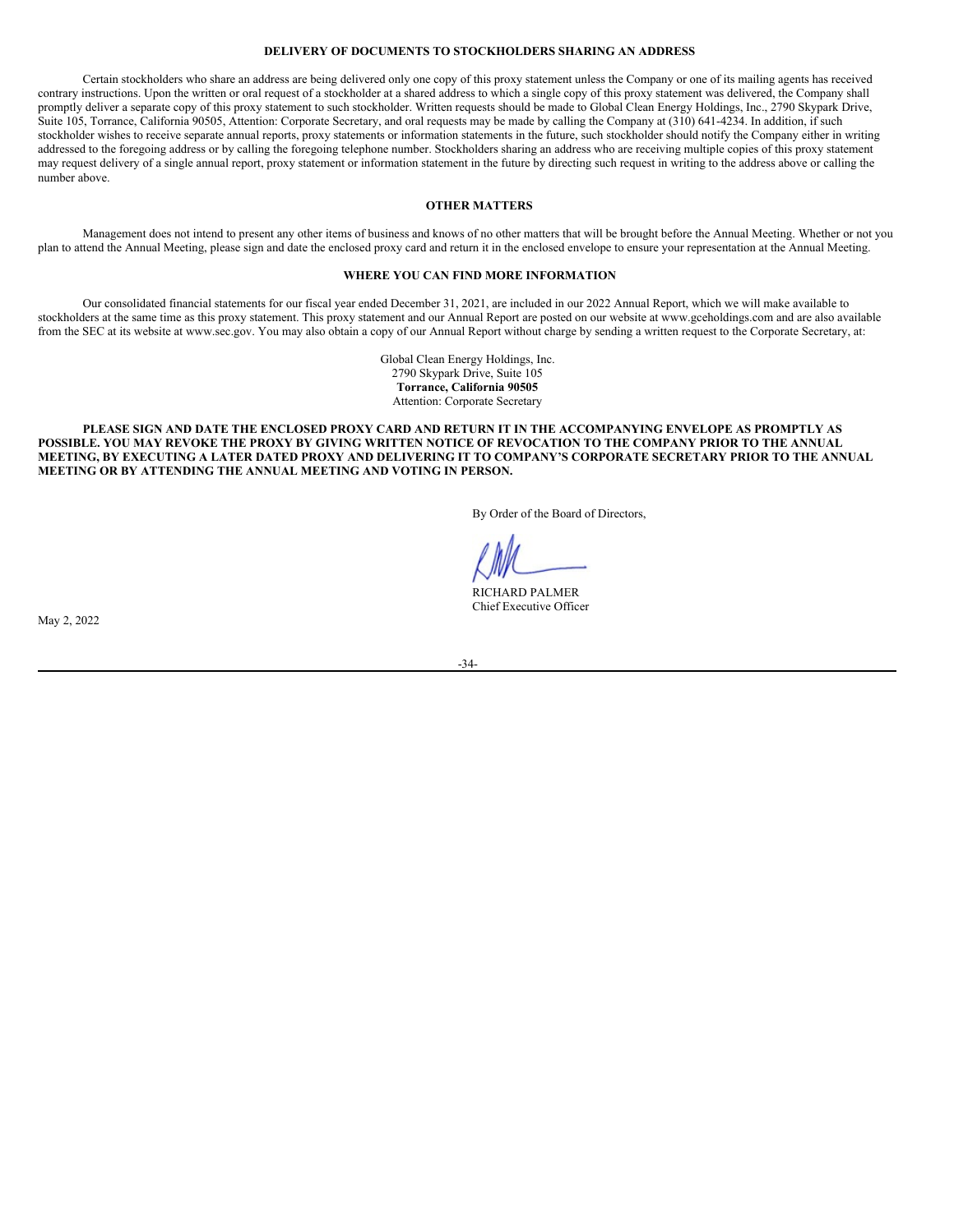### <span id="page-37-0"></span>**DELIVERY OF DOCUMENTS TO STOCKHOLDERS SHARING AN ADDRESS**

Certain stockholders who share an address are being delivered only one copy of this proxy statement unless the Company or one of its mailing agents has received contrary instructions. Upon the written or oral request of a stockholder at a shared address to which a single copy of this proxy statement was delivered, the Company shall promptly deliver a separate copy of this proxy statement to such stockholder. Written requests should be made to Global Clean Energy Holdings, Inc., 2790 Skypark Drive, Suite 105, Torrance, California 90505, Attention: Corporate Secretary, and oral requests may be made by calling the Company at (310) 641-4234. In addition, if such stockholder wishes to receive separate annual reports, proxy statements or information statements in the future, such stockholder should notify the Company either in writing addressed to the foregoing address or by calling the foregoing telephone number. Stockholders sharing an address who are receiving multiple copies of this proxy statement may request delivery of a single annual report, proxy statement or information statement in the future by directing such request in writing to the address above or calling the number above.

### <span id="page-37-1"></span>**OTHER MATTERS**

Management does not intend to present any other items of business and knows of no other matters that will be brought before the Annual Meeting. Whether or not you plan to attend the Annual Meeting, please sign and date the enclosed proxy card and return it in the enclosed envelope to ensure your representation at the Annual Meeting.

### <span id="page-37-2"></span>**WHERE YOU CAN FIND MORE INFORMATION**

Our consolidated financial statements for our fiscal year ended December 31, 2021, are included in our 2022 Annual Report, which we will make available to stockholders at the same time as this proxy statement. This proxy statement and our Annual Report are posted on our website at www.gceholdings.com and are also available from the SEC at its website at www.sec.gov. You may also obtain a copy of our Annual Report without charge by sending a written request to the Corporate Secretary, at:

> Global Clean Energy Holdings, Inc. 2790 Skypark Drive, Suite 105 **Torrance, California 90505** Attention: Corporate Secretary

PLEASE SIGN AND DATE THE ENCLOSED PROXY CARD AND RETURN IT IN THE ACCOMPANYING ENVELOPE AS PROMPTLY AS POSSIBLE. YOU MAY REVOKE THE PROXY BY GIVING WRITTEN NOTICE OF REVOCATION TO THE COMPANY PRIOR TO THE ANNUAL MEETING, BY EXECUTING A LATER DATED PROXY AND DELIVERING IT TO COMPANY'S CORPORATE SECRETARY PRIOR TO THE ANNUAL **MEETING OR BY ATTENDING THE ANNUAL MEETING AND VOTING IN PERSON.**

By Order of the Board of Directors,

RICHARD PALMER Chief Executive Officer

May 2, 2022

-34-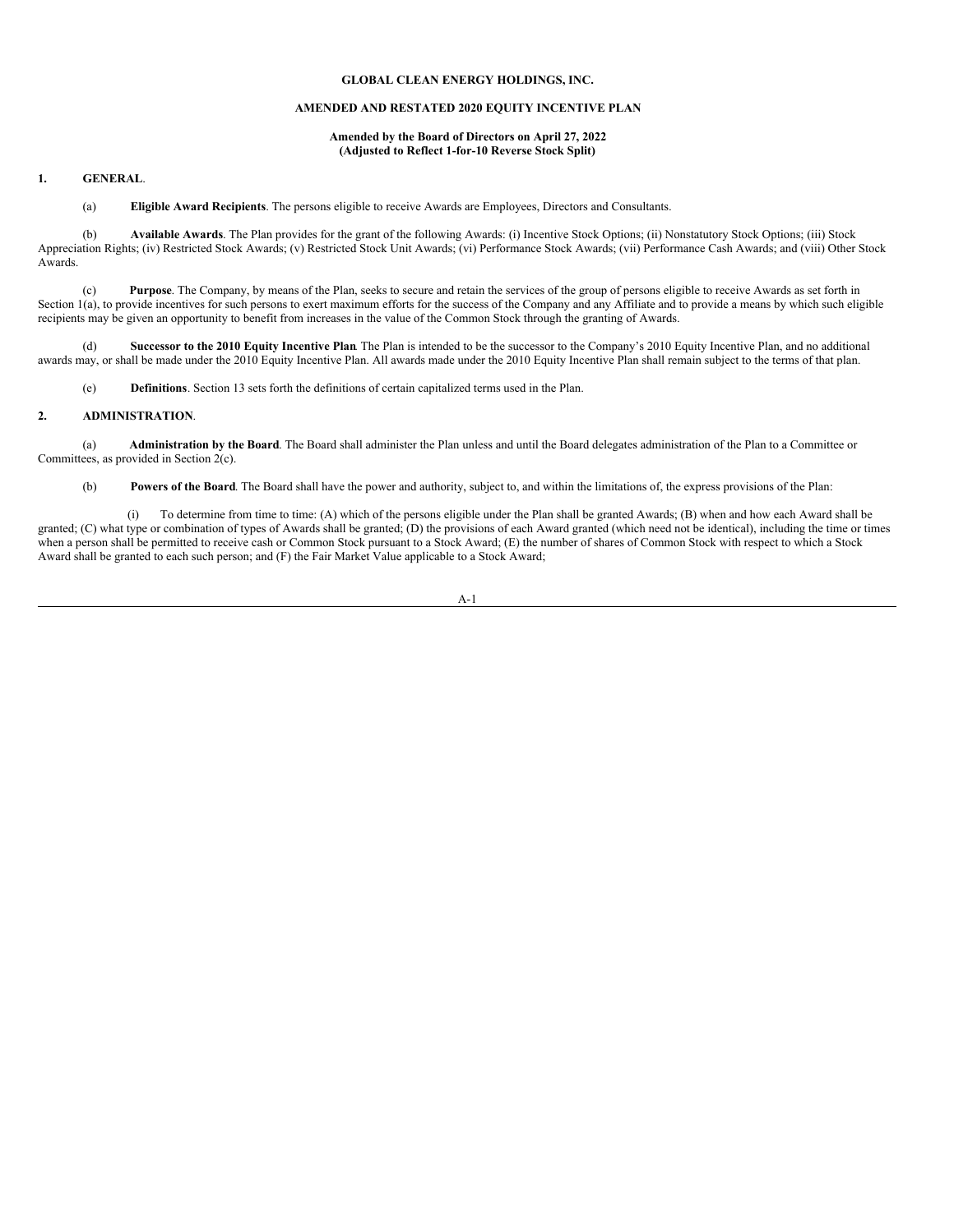#### **GLOBAL CLEAN ENERGY HOLDINGS, INC.**

### **AMENDED AND RESTATED 2020 EQUITY INCENTIVE PLAN**

#### **Amended by the Board of Directors on April 27, 2022 (Adjusted to Reflect 1-for-10 Reverse Stock Split)**

### **1. GENERAL**.

(a) **Eligible Award Recipients**. The persons eligible to receive Awards are Employees, Directors and Consultants.

(b) **Available Awards**. The Plan provides for the grant of the following Awards: (i) Incentive Stock Options; (ii) Nonstatutory Stock Options; (iii) Stock Appreciation Rights; (iv) Restricted Stock Awards; (v) Restricted Stock Unit Awards; (vi) Performance Stock Awards; (vii) Performance Cash Awards; and (viii) Other Stock Awards.

(c) **Purpose**. The Company, by means of the Plan, seeks to secure and retain the services of the group of persons eligible to receive Awards as set forth in Section 1(a), to provide incentives for such persons to exert maximum efforts for the success of the Company and any Affiliate and to provide a means by which such eligible recipients may be given an opportunity to benefit from increases in the value of the Common Stock through the granting of Awards.

(d) **Successor to the 2010 Equity Incentive Plan**. The Plan is intended to be the successor to the Company's 2010 Equity Incentive Plan, and no additional awards may, or shall be made under the 2010 Equity Incentive Plan. All awards made under the 2010 Equity Incentive Plan shall remain subject to the terms of that plan.

(e) **Definitions**. Section 13 sets forth the definitions of certain capitalized terms used in the Plan.

#### **2. ADMINISTRATION**.

(a) **Administration by the Board**. The Board shall administer the Plan unless and until the Board delegates administration of the Plan to a Committee or Committees, as provided in Section 2(c).

(b) **Powers of the Board**. The Board shall have the power and authority, subject to, and within the limitations of, the express provisions of the Plan:

(i) To determine from time to time: (A) which of the persons eligible under the Plan shall be granted Awards; (B) when and how each Award shall be granted; (C) what type or combination of types of Awards shall be granted; (D) the provisions of each Award granted (which need not be identical), including the time or times when a person shall be permitted to receive cash or Common Stock pursuant to a Stock Award; (E) the number of shares of Common Stock with respect to which a Stock Award shall be granted to each such person; and (F) the Fair Market Value applicable to a Stock Award;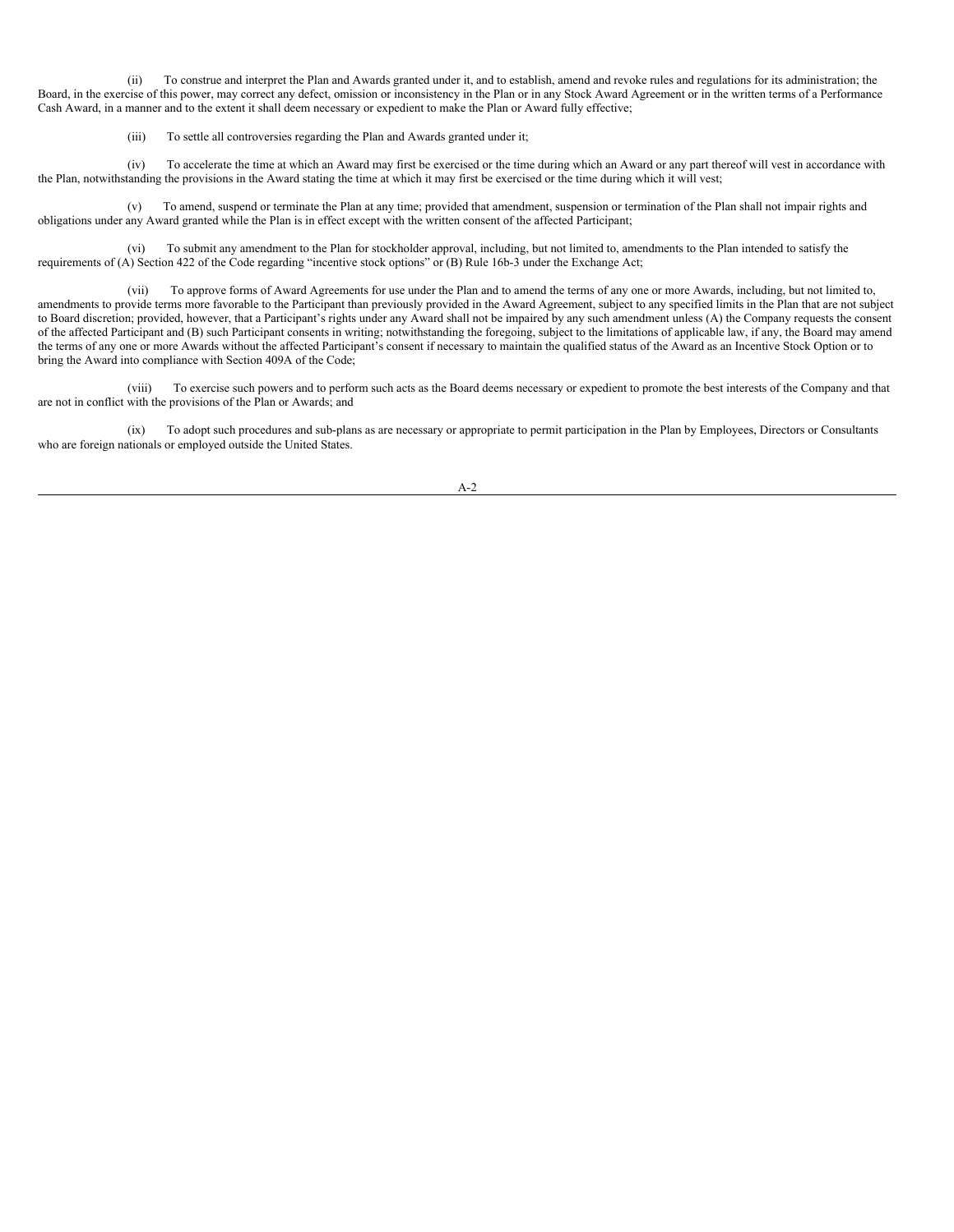(ii) To construe and interpret the Plan and Awards granted under it, and to establish, amend and revoke rules and regulations for its administration; the Board, in the exercise of this power, may correct any defect, omission or inconsistency in the Plan or in any Stock Award Agreement or in the written terms of a Performance Cash Award, in a manner and to the extent it shall deem necessary or expedient to make the Plan or Award fully effective;

(iii) To settle all controversies regarding the Plan and Awards granted under it;

(iv) To accelerate the time at which an Award may first be exercised or the time during which an Award or any part thereof will vest in accordance with the Plan, notwithstanding the provisions in the Award stating the time at which it may first be exercised or the time during which it will vest;

(v) To amend, suspend or terminate the Plan at any time; provided that amendment, suspension or termination of the Plan shall not impair rights and obligations under any Award granted while the Plan is in effect except with the written consent of the affected Participant;

(vi) To submit any amendment to the Plan for stockholder approval, including, but not limited to, amendments to the Plan intended to satisfy the requirements of (A) Section 422 of the Code regarding "incentive stock options" or (B) Rule 16b-3 under the Exchange Act;

(vii) To approve forms of Award Agreements for use under the Plan and to amend the terms of any one or more Awards, including, but not limited to, amendments to provide terms more favorable to the Participant than previously provided in the Award Agreement, subject to any specified limits in the Plan that are not subject to Board discretion; provided, however, that a Participant's rights under any Award shall not be impaired by any such amendment unless (A) the Company requests the consent of the affected Participant and (B) such Participant consents in writing; notwithstanding the foregoing, subject to the limitations of applicable law, if any, the Board may amend the terms of any one or more Awards without the affected Participant's consent if necessary to maintain the qualified status of the Award as an Incentive Stock Option or to bring the Award into compliance with Section 409A of the Code;

(viii) To exercise such powers and to perform such acts as the Board deems necessary or expedient to promote the best interests of the Company and that are not in conflict with the provisions of the Plan or Awards; and

(ix) To adopt such procedures and sub-plans as are necessary or appropriate to permit participation in the Plan by Employees, Directors or Consultants who are foreign nationals or employed outside the United States.

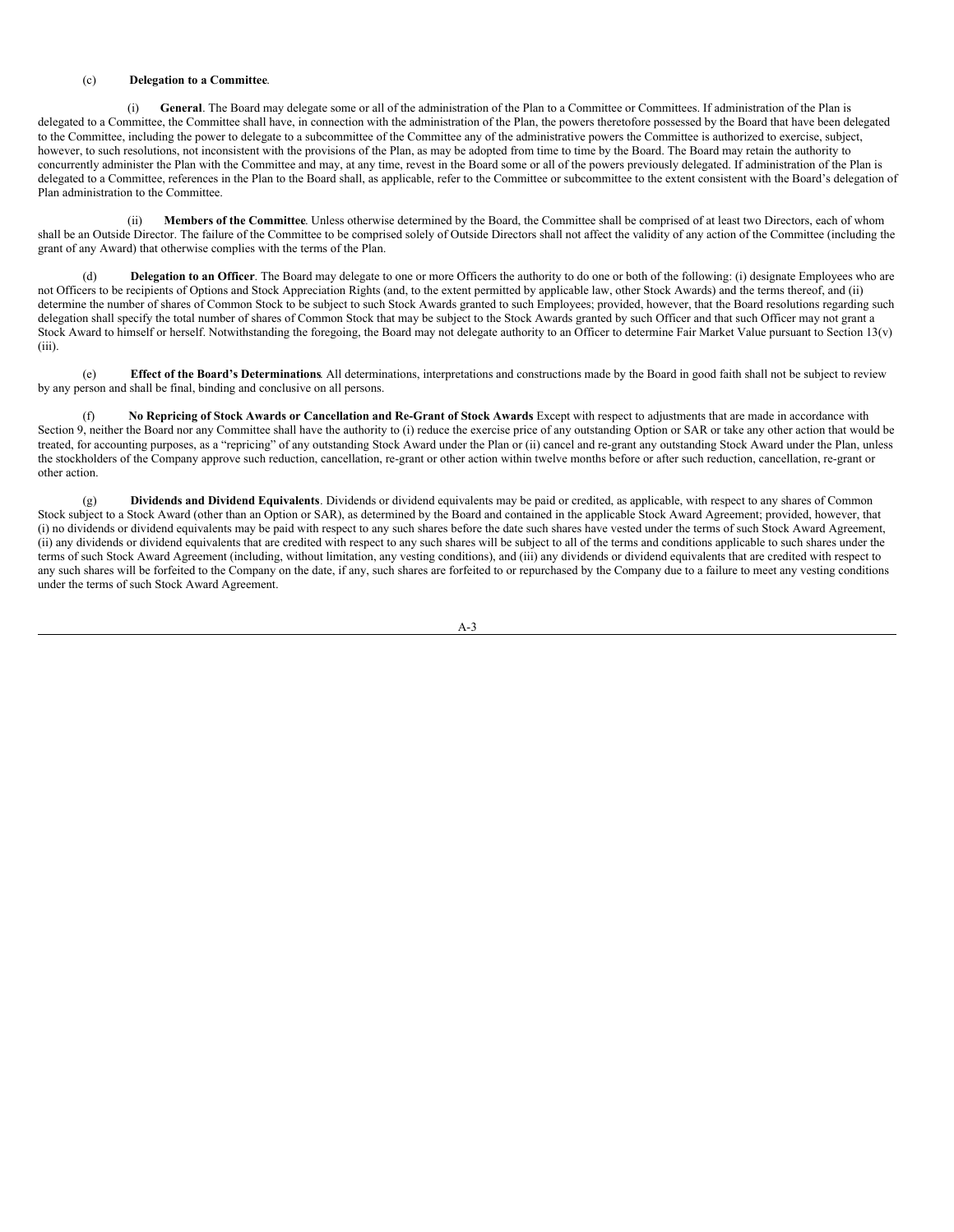#### (c) **Delegation to a Committee**.

(i) **General**. The Board may delegate some or all of the administration of the Plan to a Committee or Committees. If administration of the Plan is delegated to a Committee, the Committee shall have, in connection with the administration of the Plan, the powers theretofore possessed by the Board that have been delegated to the Committee, including the power to delegate to a subcommittee of the Committee any of the administrative powers the Committee is authorized to exercise, subject, however, to such resolutions, not inconsistent with the provisions of the Plan, as may be adopted from time to time by the Board. The Board may retain the authority to concurrently administer the Plan with the Committee and may, at any time, revest in the Board some or all of the powers previously delegated. If administration of the Plan is delegated to a Committee, references in the Plan to the Board shall, as applicable, refer to the Committee or subcommittee to the extent consistent with the Board's delegation of Plan administration to the Committee.

(ii) **Members of the Committee**. Unless otherwise determined by the Board, the Committee shall be comprised of at least two Directors, each of whom shall be an Outside Director. The failure of the Committee to be comprised solely of Outside Directors shall not affect the validity of any action of the Committee (including the grant of any Award) that otherwise complies with the terms of the Plan.

(d) **Delegation to an Officer**. The Board may delegate to one or more Officers the authority to do one or both of the following: (i) designate Employees who are not Officers to be recipients of Options and Stock Appreciation Rights (and, to the extent permitted by applicable law, other Stock Awards) and the terms thereof, and (ii) determine the number of shares of Common Stock to be subject to such Stock Awards granted to such Employees; provided, however, that the Board resolutions regarding such delegation shall specify the total number of shares of Common Stock that may be subject to the Stock Awards granted by such Officer and that such Officer may not grant a Stock Award to himself or herself. Notwithstanding the foregoing, the Board may not delegate authority to an Officer to determine Fair Market Value pursuant to Section 13(v) (iii).

(e) **Effect of the Board's Determinations**. All determinations, interpretations and constructions made by the Board in good faith shall not be subject to review by any person and shall be final, binding and conclusive on all persons.

No Repricing of Stock Awards or Cancellation and Re-Grant of Stock Awards Except with respect to adjustments that are made in accordance with Section 9, neither the Board nor any Committee shall have the authority to (i) reduce the exercise price of any outstanding Option or SAR or take any other action that would be treated, for accounting purposes, as a "repricing" of any outstanding Stock Award under the Plan or (ii) cancel and re-grant any outstanding Stock Award under the Plan, unless the stockholders of the Company approve such reduction, cancellation, re-grant or other action within twelve months before or after such reduction, cancellation, re-grant or other action.

(g) **Dividends and Dividend Equivalents**. Dividends or dividend equivalents may be paid or credited, as applicable, with respect to any shares of Common Stock subject to a Stock Award (other than an Option or SAR), as determined by the Board and contained in the applicable Stock Award Agreement; provided, however, that (i) no dividends or dividend equivalents may be paid with respect to any such shares before the date such shares have vested under the terms of such Stock Award Agreement, (ii) any dividends or dividend equivalents that are credited with respect to any such shares will be subject to all of the terms and conditions applicable to such shares under the terms of such Stock Award Agreement (including, without limitation, any vesting conditions), and (iii) any dividends or dividend equivalents that are credited with respect to any such shares will be forfeited to the Company on the date, if any, such shares are forfeited to or repurchased by the Company due to a failure to meet any vesting conditions under the terms of such Stock Award Agreement.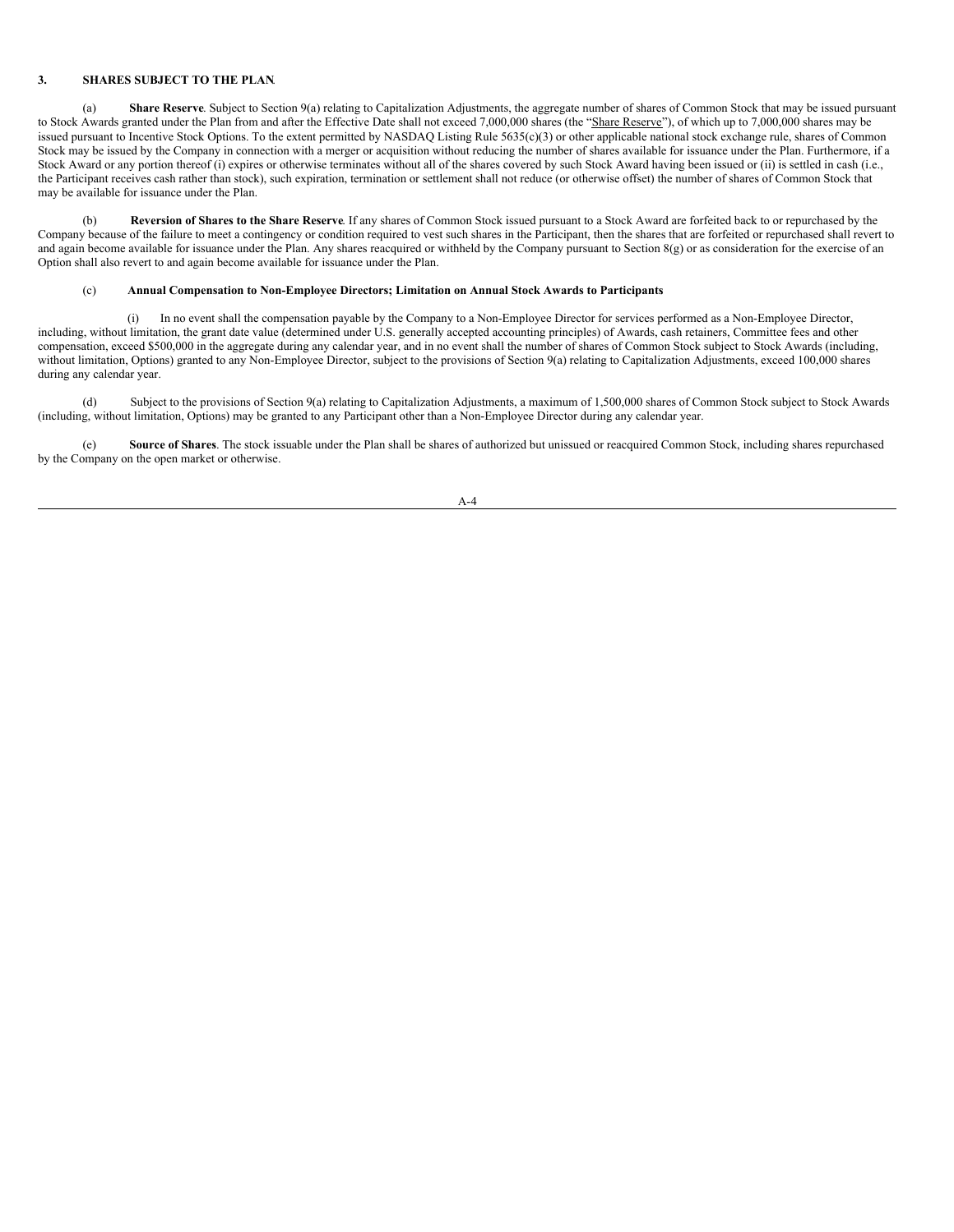### **3. SHARES SUBJECT TO THE PLAN**.

(a) **Share Reserve**. Subject to Section 9(a) relating to Capitalization Adjustments, the aggregate number of shares of Common Stock that may be issued pursuant to Stock Awards granted under the Plan from and after the Effective Date shall not exceed 7,000,000 shares (the "Share Reserve"), of which up to 7,000,000 shares may be issued pursuant to Incentive Stock Options. To the extent permitted by NASDAQ Listing Rule 5635(c)(3) or other applicable national stock exchange rule, shares of Common Stock may be issued by the Company in connection with a merger or acquisition without reducing the number of shares available for issuance under the Plan. Furthermore, if a Stock Award or any portion thereof (i) expires or otherwise terminates without all of the shares covered by such Stock Award having been issued or (ii) is settled in cash (i.e., the Participant receives cash rather than stock), such expiration, termination or settlement shall not reduce (or otherwise offset) the number of shares of Common Stock that may be available for issuance under the Plan.

(b) **Reversion of Shares to the Share Reserve**. If any shares of Common Stock issued pursuant to a Stock Award are forfeited back to or repurchased by the Company because of the failure to meet a contingency or condition required to vest such shares in the Participant, then the shares that are forfeited or repurchased shall revert to and again become available for issuance under the Plan. Any shares reacquired or withheld by the Company pursuant to Section  $8(g)$  or as consideration for the exercise of an Option shall also revert to and again become available for issuance under the Plan.

### (c) **Annual Compensation to Non-Employee Directors; Limitation on Annual Stock Awards to Participants**.

(i) In no event shall the compensation payable by the Company to a Non-Employee Director for services performed as a Non-Employee Director, including, without limitation, the grant date value (determined under U.S. generally accepted accounting principles) of Awards, cash retainers, Committee fees and other compensation, exceed \$500,000 in the aggregate during any calendar year, and in no event shall the number of shares of Common Stock subject to Stock Awards (including, without limitation, Options) granted to any Non-Employee Director, subject to the provisions of Section 9(a) relating to Capitalization Adjustments, exceed 100,000 shares during any calendar year.

(d) Subject to the provisions of Section 9(a) relating to Capitalization Adjustments, a maximum of 1,500,000 shares of Common Stock subject to Stock Awards (including, without limitation, Options) may be granted to any Participant other than a Non-Employee Director during any calendar year.

(e) **Source of Shares**. The stock issuable under the Plan shall be shares of authorized but unissued or reacquired Common Stock, including shares repurchased by the Company on the open market or otherwise.

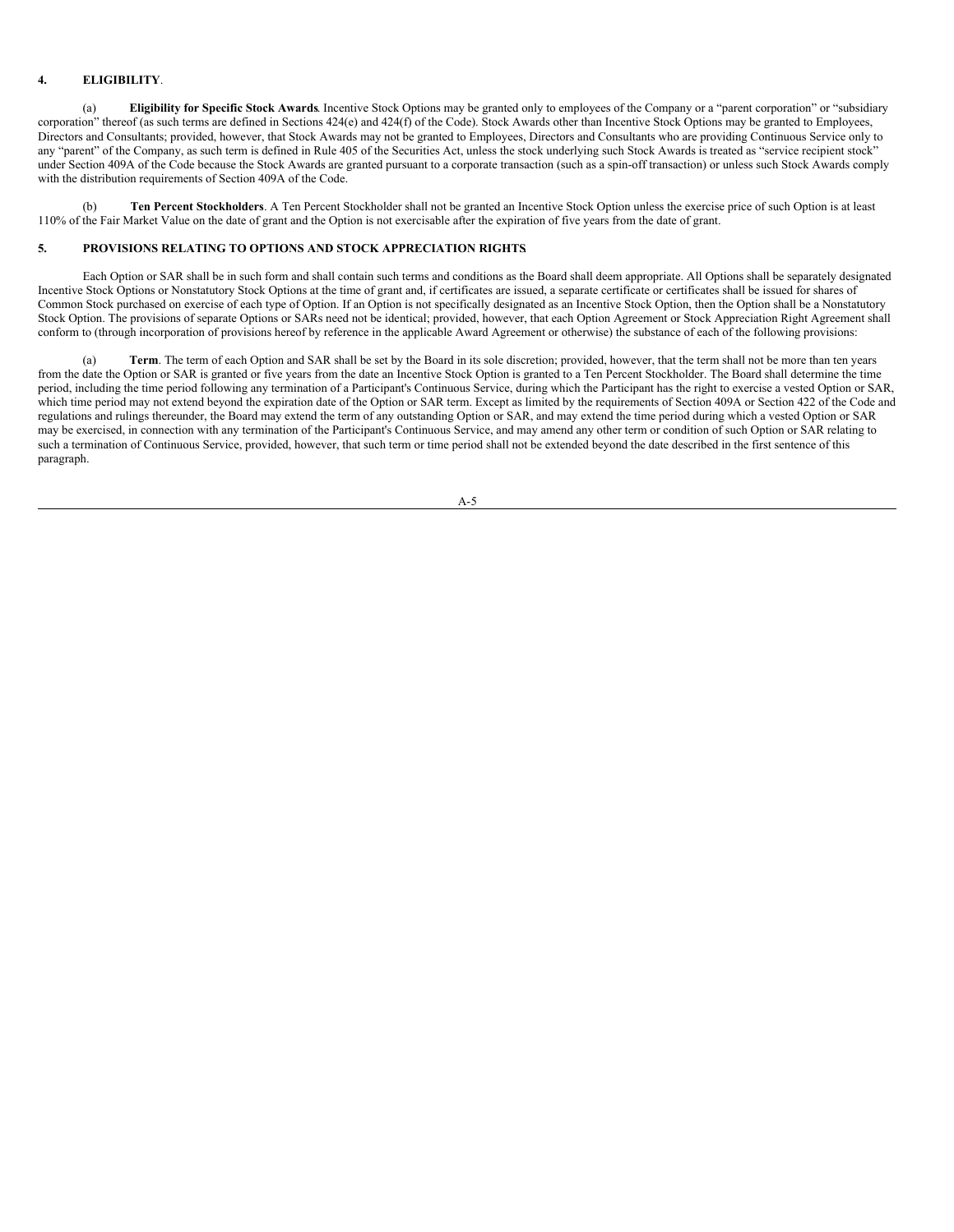### **4. ELIGIBILITY**.

(a) **Eligibility for Specific Stock Awards**. Incentive Stock Options may be granted only to employees of the Company or a "parent corporation" or "subsidiary corporation" thereof (as such terms are defined in Sections 424(e) and 424(f) of the Code). Stock Awards other than Incentive Stock Options may be granted to Employees, Directors and Consultants; provided, however, that Stock Awards may not be granted to Employees, Directors and Consultants who are providing Continuous Service only to any "parent" of the Company, as such term is defined in Rule 405 of the Securities Act, unless the stock underlying such Stock Awards is treated as "service recipient stock" under Section 409A of the Code because the Stock Awards are granted pursuant to a corporate transaction (such as a spin-off transaction) or unless such Stock Awards comply with the distribution requirements of Section 409A of the Code.

(b) **Ten Percent Stockholders**. A Ten Percent Stockholder shall not be granted an Incentive Stock Option unless the exercise price of such Option is at least 110% of the Fair Market Value on the date of grant and the Option is not exercisable after the expiration of five years from the date of grant.

### **5. PROVISIONS RELATING TO OPTIONS AND STOCK APPRECIATION RIGHTS**.

Each Option or SAR shall be in such form and shall contain such terms and conditions as the Board shall deem appropriate. All Options shall be separately designated Incentive Stock Options or Nonstatutory Stock Options at the time of grant and, if certificates are issued, a separate certificate or certificates shall be issued for shares of Common Stock purchased on exercise of each type of Option. If an Option is not specifically designated as an Incentive Stock Option, then the Option shall be a Nonstatutory Stock Option. The provisions of separate Options or SARs need not be identical; provided, however, that each Option Agreement or Stock Appreciation Right Agreement shall conform to (through incorporation of provisions hereof by reference in the applicable Award Agreement or otherwise) the substance of each of the following provisions:

Term. The term of each Option and SAR shall be set by the Board in its sole discretion; provided, however, that the term shall not be more than ten years from the date the Option or SAR is granted or five years from the date an Incentive Stock Option is granted to a Ten Percent Stockholder. The Board shall determine the time period, including the time period following any termination of a Participant's Continuous Service, during which the Participant has the right to exercise a vested Option or SAR, which time period may not extend beyond the expiration date of the Option or SAR term. Except as limited by the requirements of Section 409A or Section 422 of the Code and regulations and rulings thereunder, the Board may extend the term of any outstanding Option or SAR, and may extend the time period during which a vested Option or SAR may be exercised, in connection with any termination of the Participant's Continuous Service, and may amend any other term or condition of such Option or SAR relating to such a termination of Continuous Service, provided, however, that such term or time period shall not be extended beyond the date described in the first sentence of this paragraph.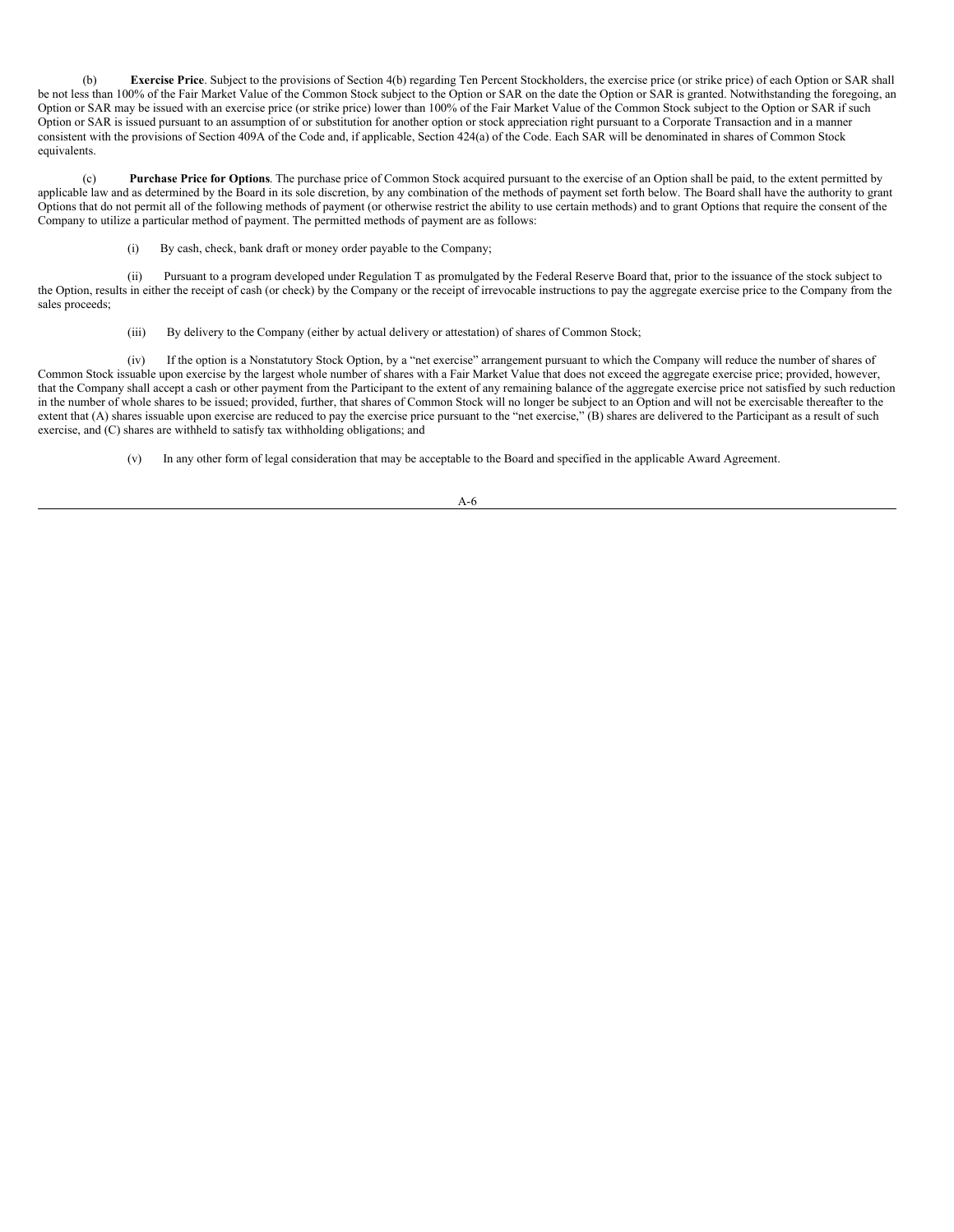(b) **Exercise Price**. Subject to the provisions of Section 4(b) regarding Ten Percent Stockholders, the exercise price (or strike price) of each Option or SAR shall be not less than 100% of the Fair Market Value of the Common Stock subject to the Option or SAR on the date the Option or SAR is granted. Notwithstanding the foregoing, an Option or SAR may be issued with an exercise price (or strike price) lower than 100% of the Fair Market Value of the Common Stock subject to the Option or SAR if such Option or SAR is issued pursuant to an assumption of or substitution for another option or stock appreciation right pursuant to a Corporate Transaction and in a manner consistent with the provisions of Section 409A of the Code and, if applicable, Section 424(a) of the Code. Each SAR will be denominated in shares of Common Stock equivalents.

(c) **Purchase Price for Options**. The purchase price of Common Stock acquired pursuant to the exercise of an Option shall be paid, to the extent permitted by applicable law and as determined by the Board in its sole discretion, by any combination of the methods of payment set forth below. The Board shall have the authority to grant Options that do not permit all of the following methods of payment (or otherwise restrict the ability to use certain methods) and to grant Options that require the consent of the Company to utilize a particular method of payment. The permitted methods of payment are as follows:

(i) By cash, check, bank draft or money order payable to the Company;

(ii) Pursuant to a program developed under Regulation T as promulgated by the Federal Reserve Board that, prior to the issuance of the stock subject to the Option, results in either the receipt of cash (or check) by the Company or the receipt of irrevocable instructions to pay the aggregate exercise price to the Company from the sales proceeds;

(iii) By delivery to the Company (either by actual delivery or attestation) of shares of Common Stock;

(iv) If the option is a Nonstatutory Stock Option, by a "net exercise" arrangement pursuant to which the Company will reduce the number of shares of Common Stock issuable upon exercise by the largest whole number of shares with a Fair Market Value that does not exceed the aggregate exercise price; provided, however, that the Company shall accept a cash or other payment from the Participant to the extent of any remaining balance of the aggregate exercise price not satisfied by such reduction in the number of whole shares to be issued; provided, further, that shares of Common Stock will no longer be subject to an Option and will not be exercisable thereafter to the extent that (A) shares issuable upon exercise are reduced to pay the exercise price pursuant to the "net exercise," (B) shares are delivered to the Participant as a result of such exercise, and (C) shares are withheld to satisfy tax withholding obligations; and

(v) In any other form of legal consideration that may be acceptable to the Board and specified in the applicable Award Agreement.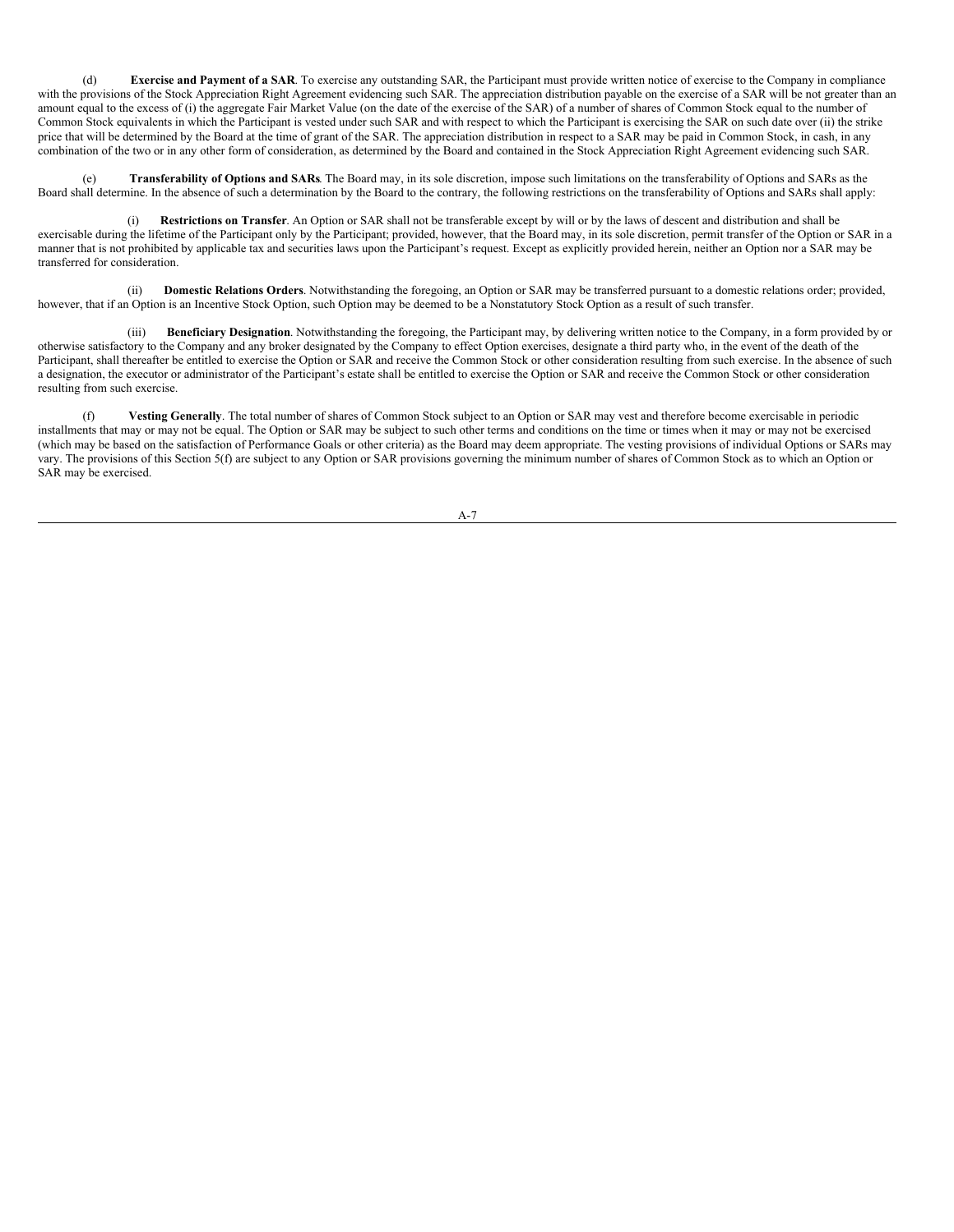(d) **Exercise and Payment of a SAR**. To exercise any outstanding SAR, the Participant must provide written notice of exercise to the Company in compliance with the provisions of the Stock Appreciation Right Agreement evidencing such SAR. The appreciation distribution payable on the exercise of a SAR will be not greater than an amount equal to the excess of (i) the aggregate Fair Market Value (on the date of the exercise of the SAR) of a number of shares of Common Stock equal to the number of Common Stock equivalents in which the Participant is vested under such SAR and with respect to which the Participant is exercising the SAR on such date over (ii) the strike price that will be determined by the Board at the time of grant of the SAR. The appreciation distribution in respect to a SAR may be paid in Common Stock, in cash, in any combination of the two or in any other form of consideration, as determined by the Board and contained in the Stock Appreciation Right Agreement evidencing such SAR.

(e) **Transferability of Options and SARs**. The Board may, in its sole discretion, impose such limitations on the transferability of Options and SARs as the Board shall determine. In the absence of such a determination by the Board to the contrary, the following restrictions on the transferability of Options and SARs shall apply:

(i) **Restrictions on Transfer**. An Option or SAR shall not be transferable except by will or by the laws of descent and distribution and shall be exercisable during the lifetime of the Participant only by the Participant; provided, however, that the Board may, in its sole discretion, permit transfer of the Option or SAR in a manner that is not prohibited by applicable tax and securities laws upon the Participant's request. Except as explicitly provided herein, neither an Option nor a SAR may be transferred for consideration.

(ii) **Domestic Relations Orders**. Notwithstanding the foregoing, an Option or SAR may be transferred pursuant to a domestic relations order; provided, however, that if an Option is an Incentive Stock Option, such Option may be deemed to be a Nonstatutory Stock Option as a result of such transfer.

(iii) **Beneficiary Designation**. Notwithstanding the foregoing, the Participant may, by delivering written notice to the Company, in a form provided by or otherwise satisfactory to the Company and any broker designated by the Company to effect Option exercises, designate a third party who, in the event of the death of the Participant, shall thereafter be entitled to exercise the Option or SAR and receive the Common Stock or other consideration resulting from such exercise. In the absence of such a designation, the executor or administrator of the Participant's estate shall be entitled to exercise the Option or SAR and receive the Common Stock or other consideration resulting from such exercise.

(f) **Vesting Generally**. The total number of shares of Common Stock subject to an Option or SAR may vest and therefore become exercisable in periodic installments that may or may not be equal. The Option or SAR may be subject to such other terms and conditions on the time or times when it may or may not be exercised (which may be based on the satisfaction of Performance Goals or other criteria) as the Board may deem appropriate. The vesting provisions of individual Options or SARs may vary. The provisions of this Section 5(f) are subject to any Option or SAR provisions governing the minimum number of shares of Common Stock as to which an Option or SAR may be exercised.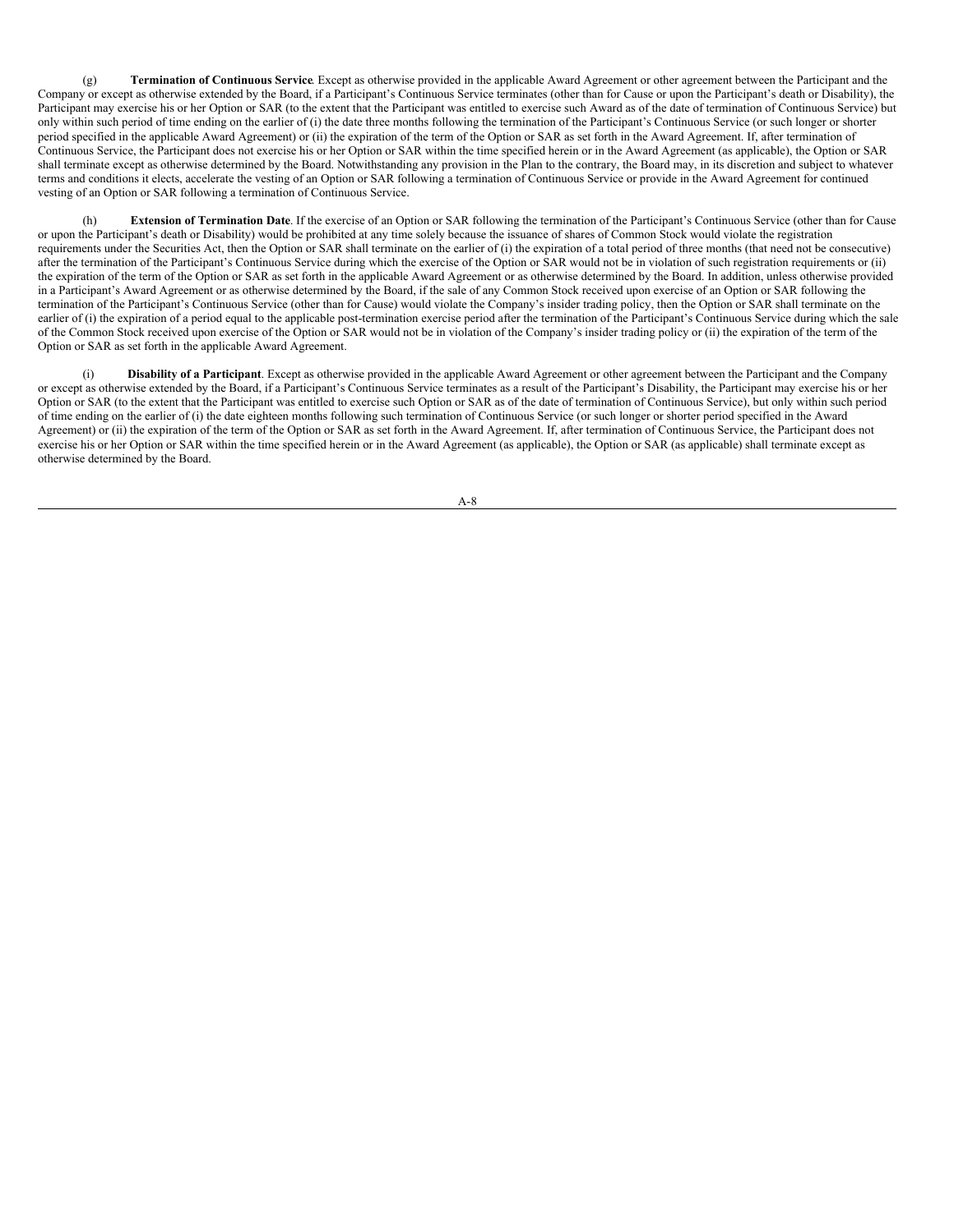(g) **Termination of Continuous Service**. Except as otherwise provided in the applicable Award Agreement or other agreement between the Participant and the Company or except as otherwise extended by the Board, if a Participant's Continuous Service terminates (other than for Cause or upon the Participant's death or Disability), the Participant may exercise his or her Option or SAR (to the extent that the Participant was entitled to exercise such Award as of the date of termination of Continuous Service) but only within such period of time ending on the earlier of (i) the date three months following the termination of the Participant's Continuous Service (or such longer or shorter period specified in the applicable Award Agreement) or (ii) the expiration of the term of the Option or SAR as set forth in the Award Agreement. If, after termination of Continuous Service, the Participant does not exercise his or her Option or SAR within the time specified herein or in the Award Agreement (as applicable), the Option or SAR shall terminate except as otherwise determined by the Board. Notwithstanding any provision in the Plan to the contrary, the Board may, in its discretion and subject to whatever terms and conditions it elects, accelerate the vesting of an Option or SAR following a termination of Continuous Service or provide in the Award Agreement for continued vesting of an Option or SAR following a termination of Continuous Service.

**Extension of Termination Date**. If the exercise of an Option or SAR following the termination of the Participant's Continuous Service (other than for Cause or upon the Participant's death or Disability) would be prohibited at any time solely because the issuance of shares of Common Stock would violate the registration requirements under the Securities Act, then the Option or SAR shall terminate on the earlier of (i) the expiration of a total period of three months (that need not be consecutive) after the termination of the Participant's Continuous Service during which the exercise of the Option or SAR would not be in violation of such registration requirements or (ii) the expiration of the term of the Option or SAR as set forth in the applicable Award Agreement or as otherwise determined by the Board. In addition, unless otherwise provided in a Participant's Award Agreement or as otherwise determined by the Board, if the sale of any Common Stock received upon exercise of an Option or SAR following the termination of the Participant's Continuous Service (other than for Cause) would violate the Company's insider trading policy, then the Option or SAR shall terminate on the earlier of (i) the expiration of a period equal to the applicable post-termination exercise period after the termination of the Participant's Continuous Service during which the sale of the Common Stock received upon exercise of the Option or SAR would not be in violation of the Company's insider trading policy or (ii) the expiration of the term of the Option or SAR as set forth in the applicable Award Agreement.

(i) **Disability of a Participant**. Except as otherwise provided in the applicable Award Agreement or other agreement between the Participant and the Company or except as otherwise extended by the Board, if a Participant's Continuous Service terminates as a result of the Participant's Disability, the Participant may exercise his or her Option or SAR (to the extent that the Participant was entitled to exercise such Option or SAR as of the date of termination of Continuous Service), but only within such period of time ending on the earlier of (i) the date eighteen months following such termination of Continuous Service (or such longer or shorter period specified in the Award Agreement) or (ii) the expiration of the term of the Option or SAR as set forth in the Award Agreement. If, after termination of Continuous Service, the Participant does not exercise his or her Option or SAR within the time specified herein or in the Award Agreement (as applicable), the Option or SAR (as applicable) shall terminate except as otherwise determined by the Board.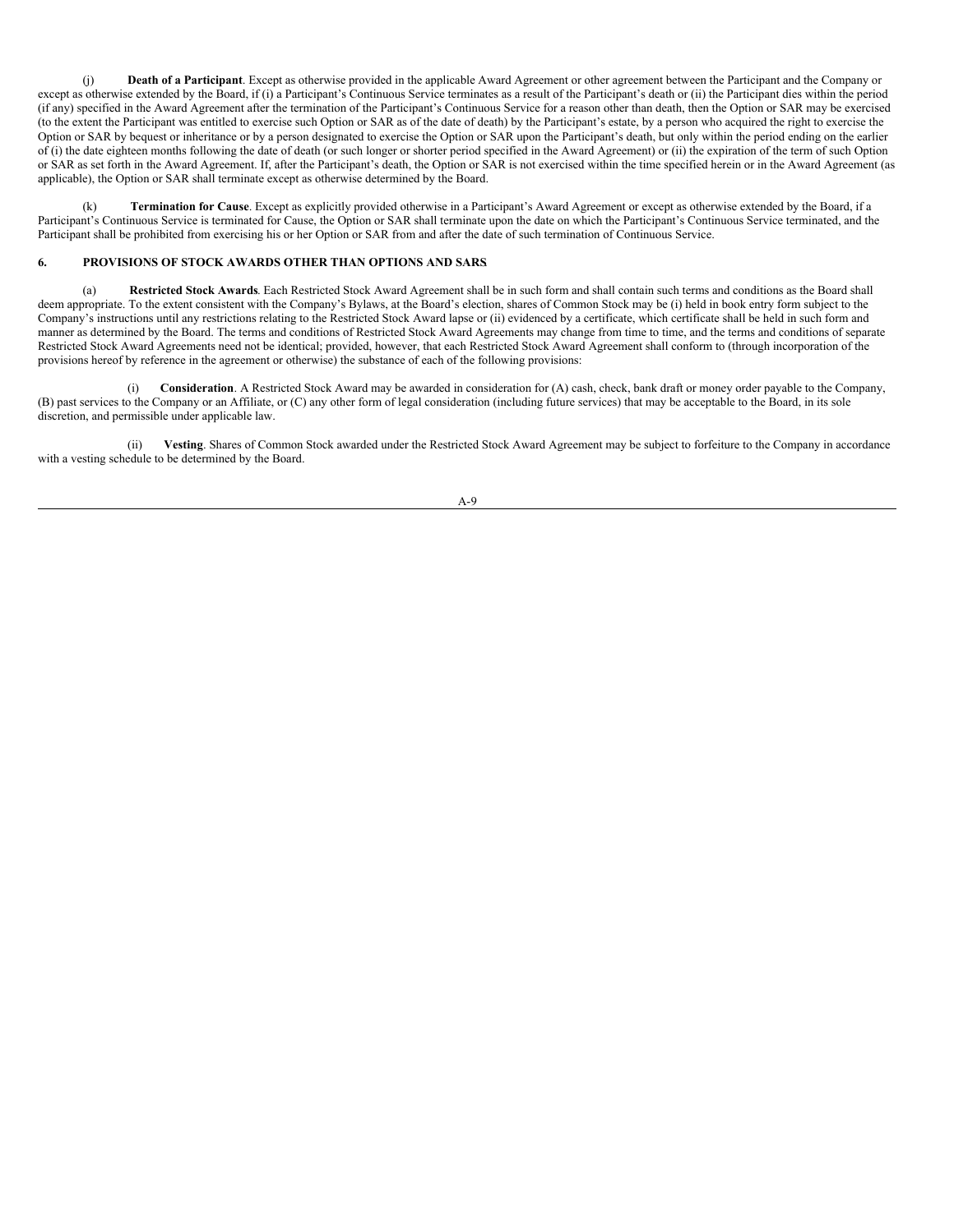(j) **Death of a Participant**. Except as otherwise provided in the applicable Award Agreement or other agreement between the Participant and the Company or except as otherwise extended by the Board, if (i) a Participant's Continuous Service terminates as a result of the Participant's death or (ii) the Participant dies within the period (if any) specified in the Award Agreement after the termination of the Participant's Continuous Service for a reason other than death, then the Option or SAR may be exercised (to the extent the Participant was entitled to exercise such Option or SAR as of the date of death) by the Participant's estate, by a person who acquired the right to exercise the Option or SAR by bequest or inheritance or by a person designated to exercise the Option or SAR upon the Participant's death, but only within the period ending on the earlier  $\hat{\sigma}(i)$  the date eighteen months following the date of death (or such longer or shorter period specified in the Award Agreement) or (ii) the expiration of the term of such Option or SAR as set forth in the Award Agreement. If, after the Participant's death, the Option or SAR is not exercised within the time specified herein or in the Award Agreement (as applicable), the Option or SAR shall terminate except as otherwise determined by the Board.

(k) **Termination for Cause**. Except as explicitly provided otherwise in a Participant's Award Agreement or except as otherwise extended by the Board, if a Participant's Continuous Service is terminated for Cause, the Option or SAR shall terminate upon the date on which the Participant's Continuous Service terminated, and the Participant shall be prohibited from exercising his or her Option or SAR from and after the date of such termination of Continuous Service.

### **6. PROVISIONS OF STOCK AWARDS OTHER THAN OPTIONS AND SARS**.

(a) **Restricted Stock Awards**. Each Restricted Stock Award Agreement shall be in such form and shall contain such terms and conditions as the Board shall deem appropriate. To the extent consistent with the Company's Bylaws, at the Board's election, shares of Common Stock may be (i) held in book entry form subject to the Company's instructions until any restrictions relating to the Restricted Stock Award lapse or (ii) evidenced by a certificate, which certificate shall be held in such form and manner as determined by the Board. The terms and conditions of Restricted Stock Award Agreements may change from time to time, and the terms and conditions of separate Restricted Stock Award Agreements need not be identical; provided, however, that each Restricted Stock Award Agreement shall conform to (through incorporation of the provisions hereof by reference in the agreement or otherwise) the substance of each of the following provisions:

(i) **Consideration**. A Restricted Stock Award may be awarded in consideration for (A) cash, check, bank draft or money order payable to the Company, (B) past services to the Company or an Affiliate, or (C) any other form of legal consideration (including future services) that may be acceptable to the Board, in its sole discretion, and permissible under applicable law.

(ii) **Vesting**. Shares of Common Stock awarded under the Restricted Stock Award Agreement may be subject to forfeiture to the Company in accordance with a vesting schedule to be determined by the Board.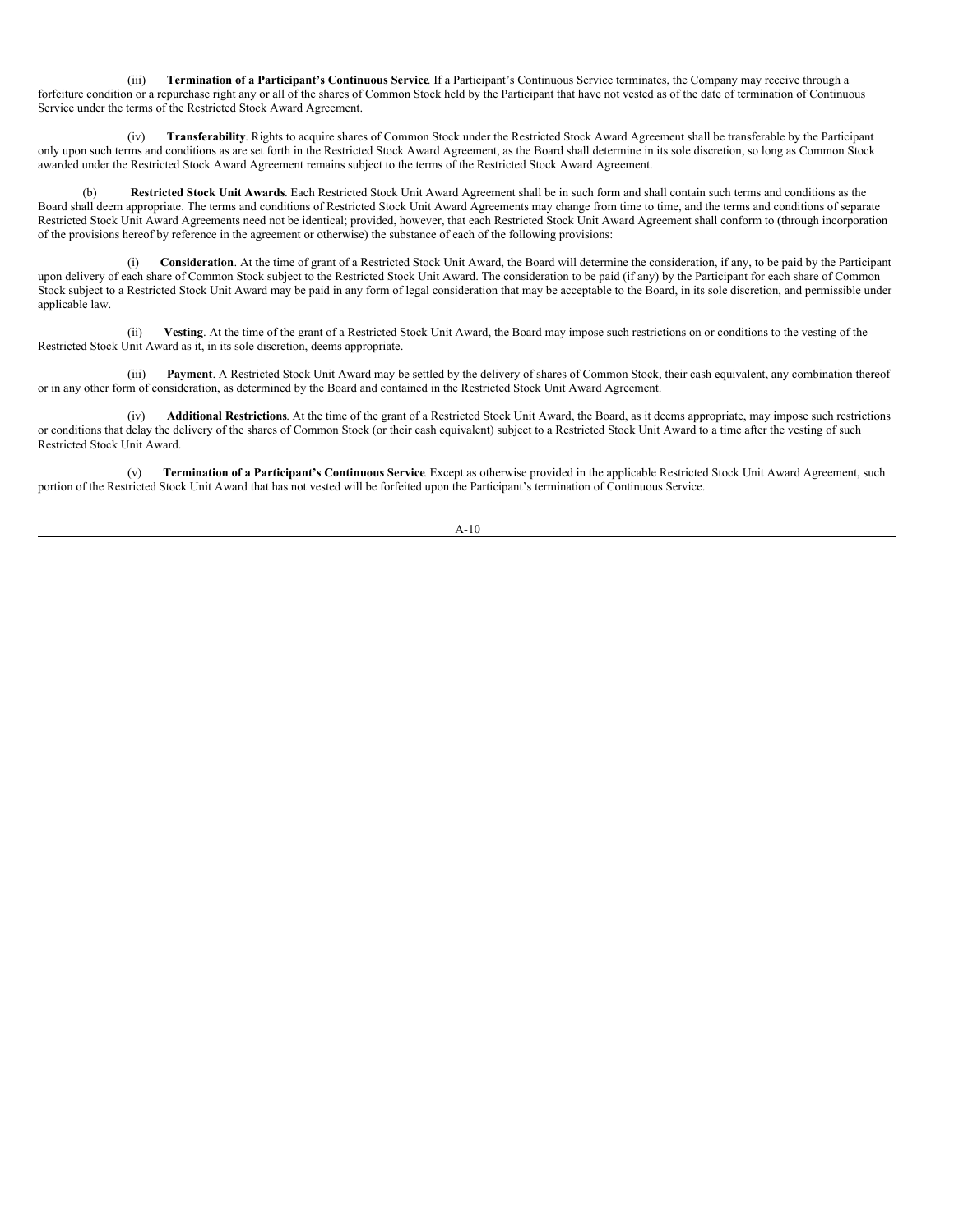(iii) **Termination of a Participant's Continuous Service**. If a Participant's Continuous Service terminates, the Company may receive through a forfeiture condition or a repurchase right any or all of the shares of Common Stock held by the Participant that have not vested as of the date of termination of Continuous Service under the terms of the Restricted Stock Award Agreement.

(iv) **Transferability**. Rights to acquire shares of Common Stock under the Restricted Stock Award Agreement shall be transferable by the Participant only upon such terms and conditions as are set forth in the Restricted Stock Award Agreement, as the Board shall determine in its sole discretion, so long as Common Stock awarded under the Restricted Stock Award Agreement remains subject to the terms of the Restricted Stock Award Agreement.

Restricted Stock Unit Awards. Each Restricted Stock Unit Award Agreement shall be in such form and shall contain such terms and conditions as the Board shall deem appropriate. The terms and conditions of Restricted Stock Unit Award Agreements may change from time to time, and the terms and conditions of separate Restricted Stock Unit Award Agreements need not be identical; provided, however, that each Restricted Stock Unit Award Agreement shall conform to (through incorporation of the provisions hereof by reference in the agreement or otherwise) the substance of each of the following provisions:

Consideration. At the time of grant of a Restricted Stock Unit Award, the Board will determine the consideration, if any, to be paid by the Participant upon delivery of each share of Common Stock subject to the Restricted Stock Unit Award. The consideration to be paid (if any) by the Participant for each share of Common Stock subject to a Restricted Stock Unit Award may be paid in any form of legal consideration that may be acceptable to the Board, in its sole discretion, and permissible under applicable law.

(ii) **Vesting**. At the time of the grant of a Restricted Stock Unit Award, the Board may impose such restrictions on or conditions to the vesting of the Restricted Stock Unit Award as it, in its sole discretion, deems appropriate.

(iii) **Payment**. A Restricted Stock Unit Award may be settled by the delivery of shares of Common Stock, their cash equivalent, any combination thereof or in any other form of consideration, as determined by the Board and contained in the Restricted Stock Unit Award Agreement.

(iv) **Additional Restrictions**. At the time of the grant of a Restricted Stock Unit Award, the Board, as it deems appropriate, may impose such restrictions or conditions that delay the delivery of the shares of Common Stock (or their cash equivalent) subject to a Restricted Stock Unit Award to a time after the vesting of such Restricted Stock Unit Award.

(v) **Termination of a Participant's Continuous Service**. Except as otherwise provided in the applicable Restricted Stock Unit Award Agreement, such portion of the Restricted Stock Unit Award that has not vested will be forfeited upon the Participant's termination of Continuous Service.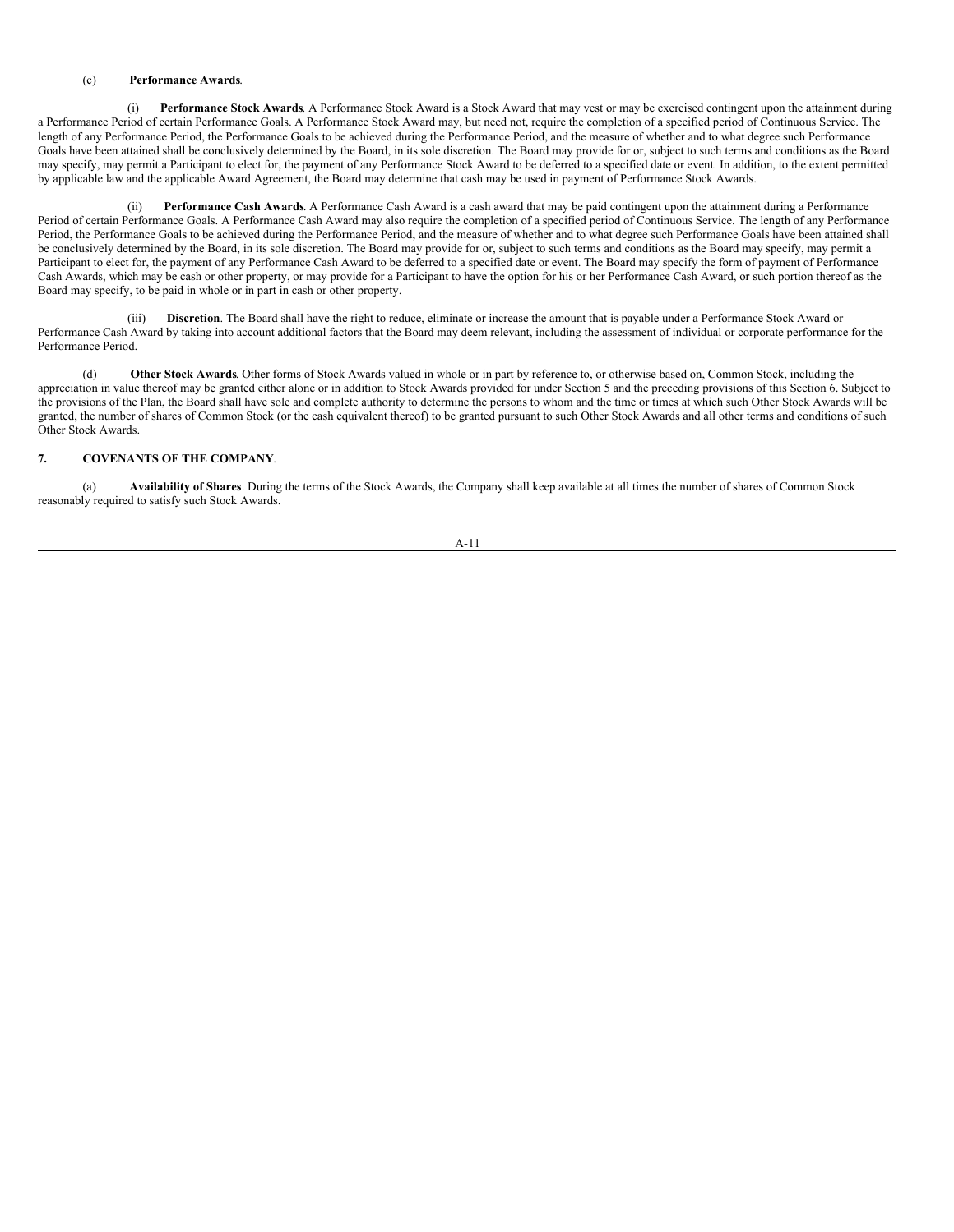#### (c) **Performance Awards**.

(i) **Performance Stock Awards**. A Performance Stock Award is a Stock Award that may vest or may be exercised contingent upon the attainment during a Performance Period of certain Performance Goals. A Performance Stock Award may, but need not, require the completion of a specified period of Continuous Service. The length of any Performance Period, the Performance Goals to be achieved during the Performance Period, and the measure of whether and to what degree such Performance Goals have been attained shall be conclusively determined by the Board, in its sole discretion. The Board may provide for or, subject to such terms and conditions as the Board may specify, may permit a Participant to elect for, the payment of any Performance Stock Award to be deferred to a specified date or event. In addition, to the extent permitted by applicable law and the applicable Award Agreement, the Board may determine that cash may be used in payment of Performance Stock Awards.

(ii) **Performance Cash Awards**. A Performance Cash Award is a cash award that may be paid contingent upon the attainment during a Performance Period of certain Performance Goals. A Performance Cash Award may also require the completion of a specified period of Continuous Service. The length of any Performance Period, the Performance Goals to be achieved during the Performance Period, and the measure of whether and to what degree such Performance Goals have been attained shall be conclusively determined by the Board, in its sole discretion. The Board may provide for or, subject to such terms and conditions as the Board may specify, may permit a Participant to elect for, the payment of any Performance Cash Award to be deferred to a specified date or event. The Board may specify the form of payment of Performance Cash Awards, which may be cash or other property, or may provide for a Participant to have the option for his or her Performance Cash Award, or such portion thereof as the Board may specify, to be paid in whole or in part in cash or other property.

(iii) **Discretion**. The Board shall have the right to reduce, eliminate or increase the amount that is payable under a Performance Stock Award or Performance Cash Award by taking into account additional factors that the Board may deem relevant, including the assessment of individual or corporate performance for the Performance Period.

(d) **Other Stock Awards**. Other forms of Stock Awards valued in whole or in part by reference to, or otherwise based on, Common Stock, including the appreciation in value thereof may be granted either alone or in addition to Stock Awards provided for under Section 5 and the preceding provisions of this Section 6. Subject to the provisions of the Plan, the Board shall have sole and complete authority to determine the persons to whom and the time or times at which such Other Stock Awards will be granted, the number of shares of Common Stock (or the cash equivalent thereof) to be granted pursuant to such Other Stock Awards and all other terms and conditions of such Other Stock Awards.

### **7. COVENANTS OF THE COMPANY**.

(a) **Availability of Shares**. During the terms of the Stock Awards, the Company shall keep available at all times the number of shares of Common Stock reasonably required to satisfy such Stock Awards.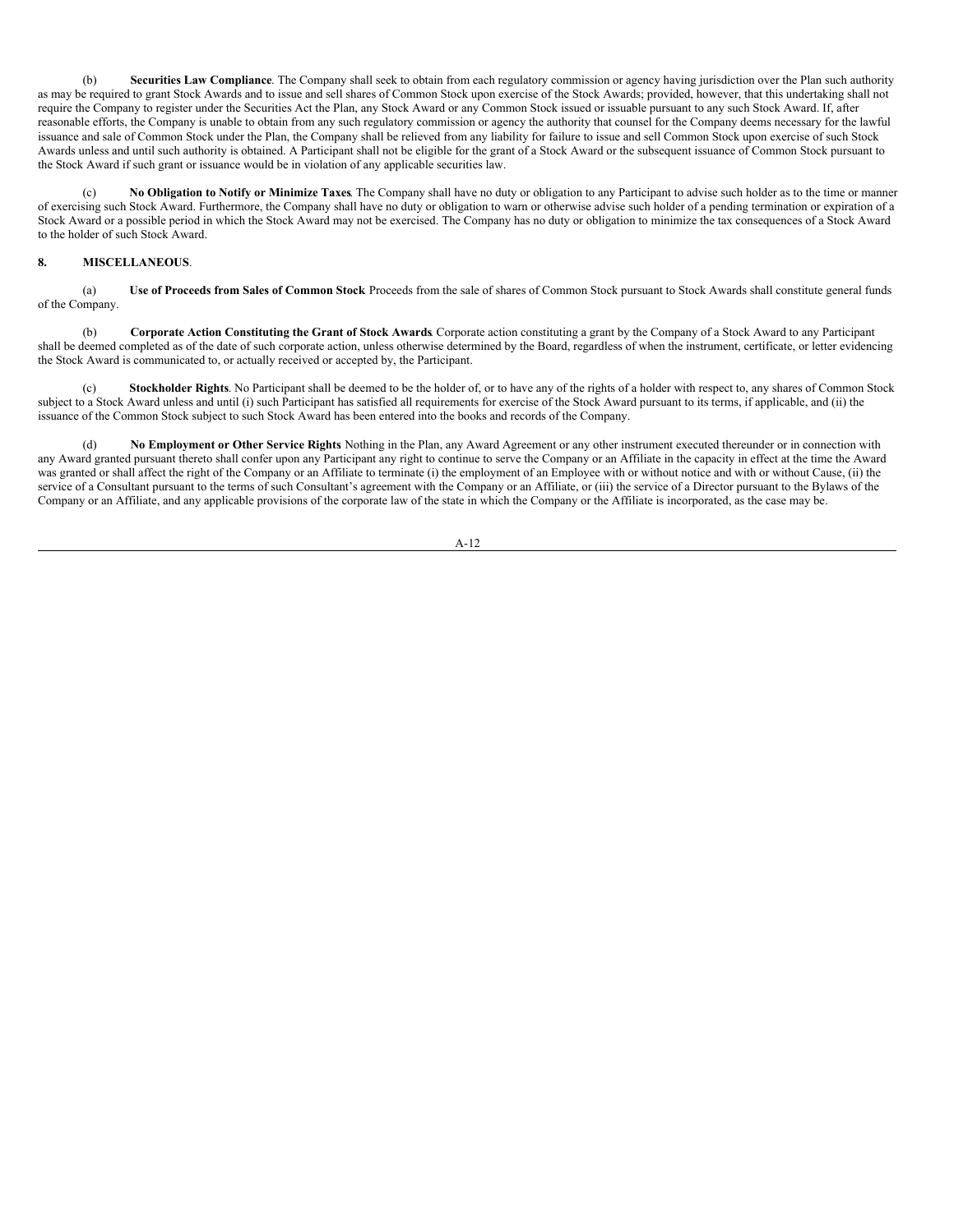(b) **Securities Law Compliance**. The Company shall seek to obtain from each regulatory commission or agency having jurisdiction over the Plan such authority as may be required to grant Stock Awards and to issue and sell shares of Common Stock upon exercise of the Stock Awards; provided, however, that this undertaking shall not require the Company to register under the Securities Act the Plan, any Stock Award or any Common Stock issued or issuable pursuant to any such Stock Award. If, after reasonable efforts, the Company is unable to obtain from any such regulatory commission or agency the authority that counsel for the Company deems necessary for the lawful issuance and sale of Common Stock under the Plan, the Company shall be relieved from any liability for failure to issue and sell Common Stock upon exercise of such Stock Awards unless and until such authority is obtained. A Participant shall not be eligible for the grant of a Stock Award or the subsequent issuance of Common Stock pursuant to the Stock Award if such grant or issuance would be in violation of any applicable securities law.

(c) **No Obligation to Notify or Minimize Taxes**. The Company shall have no duty or obligation to any Participant to advise such holder as to the time or manner of exercising such Stock Award. Furthermore, the Company shall have no duty or obligation to warn or otherwise advise such holder of a pending termination or expiration of a Stock Award or a possible period in which the Stock Award may not be exercised. The Company has no duty or obligation to minimize the tax consequences of a Stock Award to the holder of such Stock Award.

#### **8. MISCELLANEOUS**.

(a) **Use of Proceeds from Sales of Common Stock**. Proceeds from the sale of shares of Common Stock pursuant to Stock Awards shall constitute general funds of the Company.

(b) **Corporate Action Constituting the Grant of Stock Awards**. Corporate action constituting a grant by the Company of a Stock Award to any Participant shall be deemed completed as of the date of such corporate action, unless otherwise determined by the Board, regardless of when the instrument, certificate, or letter evidencing the Stock Award is communicated to, or actually received or accepted by, the Participant.

(c) **Stockholder Rights**. No Participant shall be deemed to be the holder of, or to have any of the rights of a holder with respect to, any shares of Common Stock subject to a Stock Award unless and until (i) such Participant has satisfied all requirements for exercise of the Stock Award pursuant to its terms, if applicable, and (ii) the issuance of the Common Stock subject to such Stock Award has been entered into the books and records of the Company.

(d) **No Employment or Other Service Rights**. Nothing in the Plan, any Award Agreement or any other instrument executed thereunder or in connection with any Award granted pursuant thereto shall confer upon any Participant any right to continue to serve the Company or an Affiliate in the capacity in effect at the time the Award was granted or shall affect the right of the Company or an Affiliate to terminate (i) the employment of an Employee with or without notice and with or without Cause, (ii) the service of a Consultant pursuant to the terms of such Consultant's agreement with the Company or an Affiliate, or (iii) the service of a Director pursuant to the Bylaws of the Company or an Affiliate, and any applicable provisions of the corporate law of the state in which the Company or the Affiliate is incorporated, as the case may be.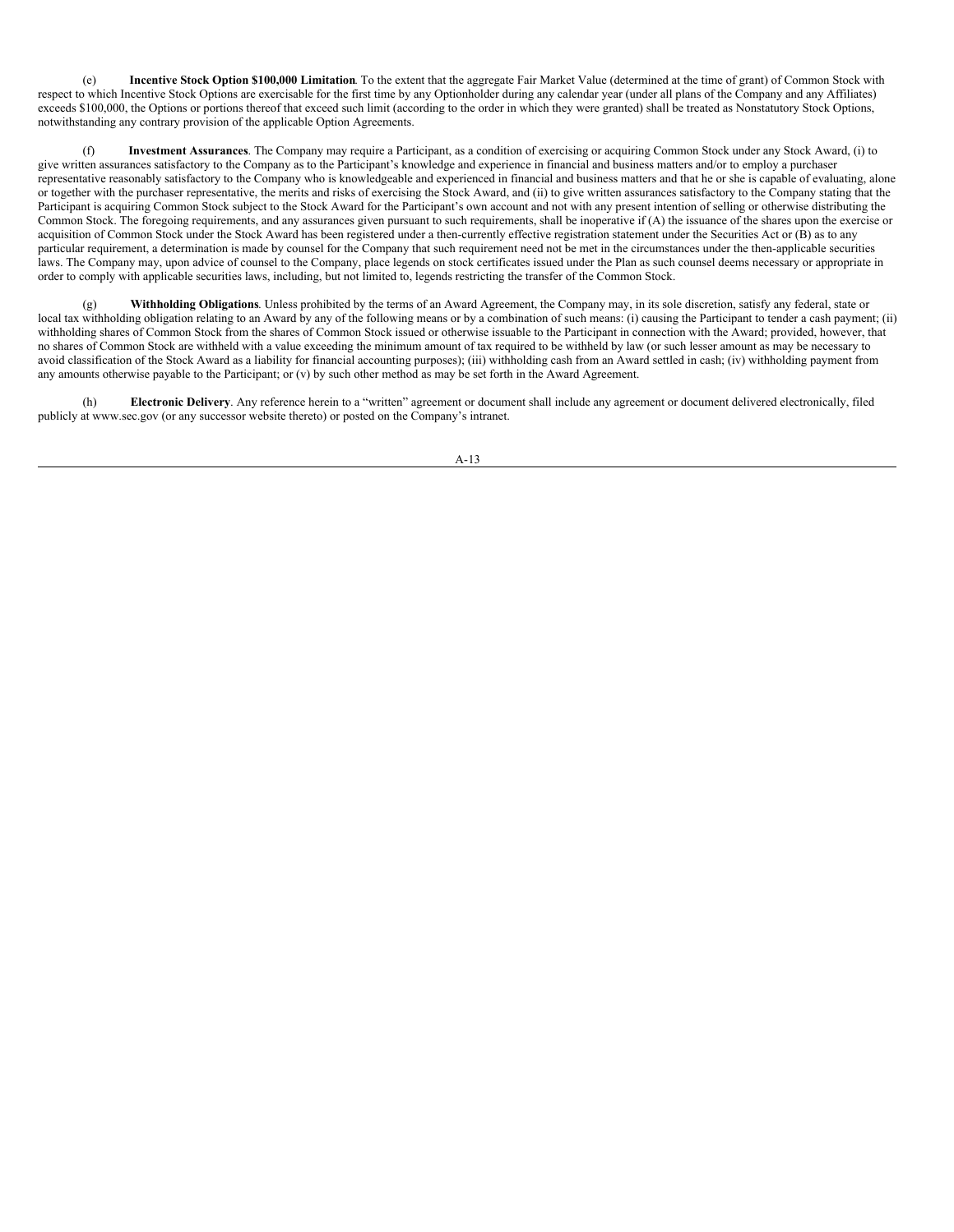(e) **Incentive Stock Option \$100,000 Limitation**. To the extent that the aggregate Fair Market Value (determined at the time of grant) of Common Stock with respect to which Incentive Stock Options are exercisable for the first time by any Optionholder during any calendar year (under all plans of the Company and any Affiliates) exceeds \$100,000, the Options or portions thereof that exceed such limit (according to the order in which they were granted) shall be treated as Nonstatutory Stock Options, notwithstanding any contrary provision of the applicable Option Agreements.

(f) **Investment Assurances**. The Company may require a Participant, as a condition of exercising or acquiring Common Stock under any Stock Award, (i) to give written assurances satisfactory to the Company as to the Participant's knowledge and experience in financial and business matters and/or to employ a purchaser representative reasonably satisfactory to the Company who is knowledgeable and experienced in financial and business matters and that he or she is capable of evaluating, alone or together with the purchaser representative, the merits and risks of exercising the Stock Award, and (ii) to give written assurances satisfactory to the Company stating that the Participant is acquiring Common Stock subject to the Stock Award for the Participant's own account and not with any present intention of selling or otherwise distributing the Common Stock. The foregoing requirements, and any assurances given pursuant to such requirements, shall be inoperative if (A) the issuance of the shares upon the exercise or acquisition of Common Stock under the Stock Award has been registered under a then-currently effective registration statement under the Securities Act or (B) as to any particular requirement, a determination is made by counsel for the Company that such requirement need not be met in the circumstances under the then-applicable securities laws. The Company may, upon advice of counsel to the Company, place legends on stock certificates issued under the Plan as such counsel deems necessary or appropriate in order to comply with applicable securities laws, including, but not limited to, legends restricting the transfer of the Common Stock.

(g) **Withholding Obligations**. Unless prohibited by the terms of an Award Agreement, the Company may, in its sole discretion, satisfy any federal, state or local tax withholding obligation relating to an Award by any of the following means or by a combination of such means: (i) causing the Participant to tender a cash payment; (ii) withholding shares of Common Stock from the shares of Common Stock issued or otherwise issuable to the Participant in connection with the Award; provided, however, that no shares of Common Stock are withheld with a value exceeding the minimum amount of tax required to be withheld by law (or such lesser amount as may be necessary to avoid classification of the Stock Award as a liability for financial accounting purposes); (iii) withholding cash from an Award settled in cash; (iv) withholding payment from any amounts otherwise payable to the Participant; or  $(v)$  by such other method as may be set forth in the Award Agreement.

(h) **Electronic Delivery**. Any reference herein to a "written" agreement or document shall include any agreement or document delivered electronically, filed publicly at www.sec.gov (or any successor website thereto) or posted on the Company's intranet.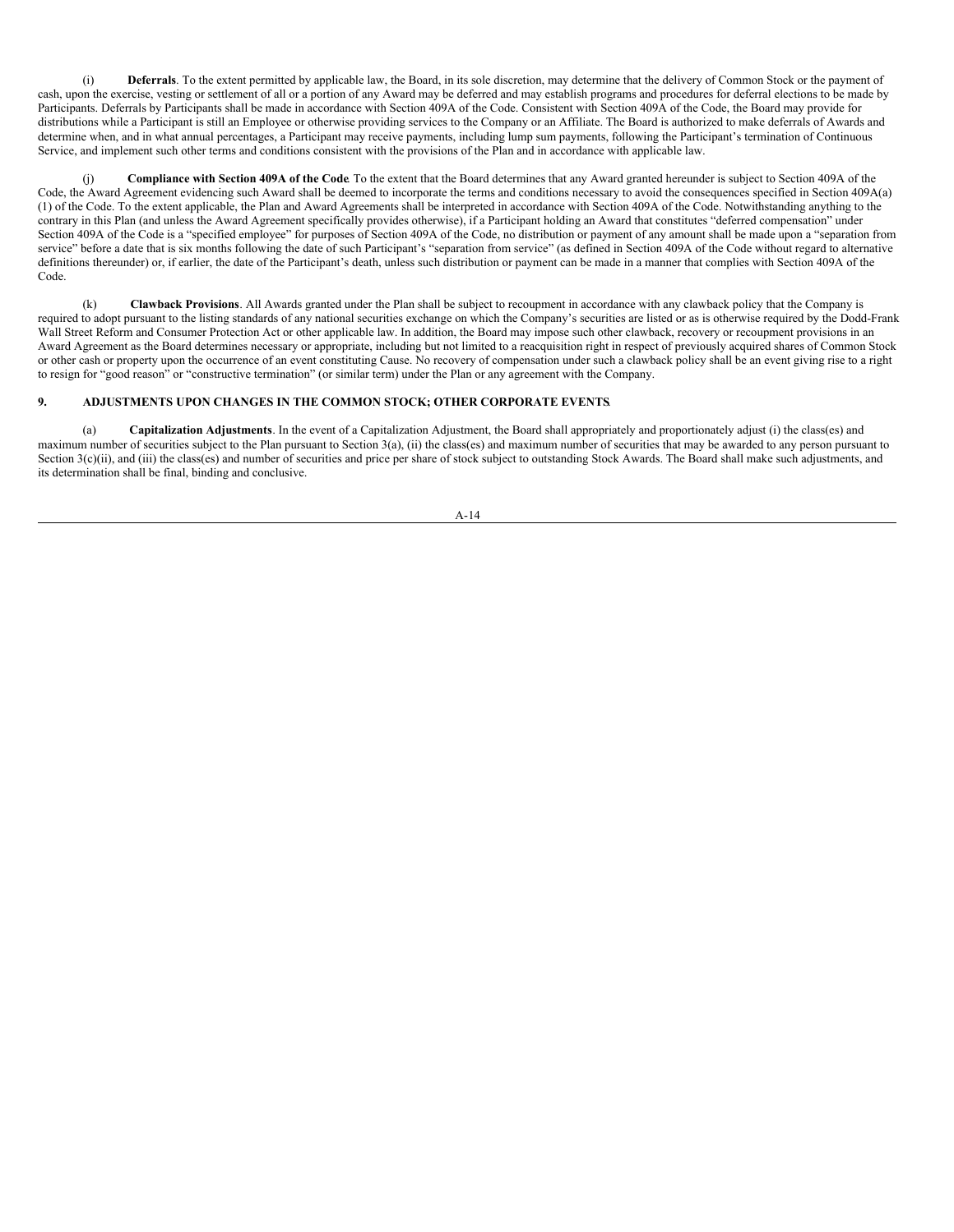(i) **Deferrals**. To the extent permitted by applicable law, the Board, in its sole discretion, may determine that the delivery of Common Stock or the payment of cash, upon the exercise, vesting or settlement of all or a portion of any Award may be deferred and may establish programs and procedures for deferral elections to be made by Participants. Deferrals by Participants shall be made in accordance with Section 409A of the Code. Consistent with Section 409A of the Code, the Board may provide for distributions while a Participant is still an Employee or otherwise providing services to the Company or an Affiliate. The Board is authorized to make deferrals of Awards and determine when, and in what annual percentages, a Participant may receive payments, including lump sum payments, following the Participant's termination of Continuous Service, and implement such other terms and conditions consistent with the provisions of the Plan and in accordance with applicable law.

(j) **Compliance with Section 409A of the Code**. To the extent that the Board determines that any Award granted hereunder is subject to Section 409A of the Code, the Award Agreement evidencing such Award shall be deemed to incorporate the terms and conditions necessary to avoid the consequences specified in Section 409A(a) (1) of the Code. To the extent applicable, the Plan and Award Agreements shall be interpreted in accordance with Section 409A of the Code. Notwithstanding anything to the contrary in this Plan (and unless the Award Agreement specifically provides otherwise), if a Participant holding an Award that constitutes "deferred compensation" under Section 409A of the Code is a "specified employee" for purposes of Section 409A of the Code, no distribution or payment of any amount shall be made upon a "separation from service" before a date that is six months following the date of such Participant's "separation from service" (as defined in Section 409A of the Code without regard to alternative definitions thereunder) or, if earlier, the date of the Participant's death, unless such distribution or payment can be made in a manner that complies with Section 409A of the Code.

(k) **Clawback Provisions**. All Awards granted under the Plan shall be subject to recoupment in accordance with any clawback policy that the Company is required to adopt pursuant to the listing standards of any national securities exchange on which the Company's securities are listed or as is otherwise required by the Dodd-Frank Wall Street Reform and Consumer Protection Act or other applicable law. In addition, the Board may impose such other clawback, recovery or recoupment provisions in an Award Agreement as the Board determines necessary or appropriate, including but not limited to a reacquisition right in respect of previously acquired shares of Common Stock or other cash or property upon the occurrence of an event constituting Cause. No recovery of compensation under such a clawback policy shall be an event giving rise to a right to resign for "good reason" or "constructive termination" (or similar term) under the Plan or any agreement with the Company.

### **9. ADJUSTMENTS UPON CHANGES IN THE COMMON STOCK; OTHER CORPORATE EVENTS**.

(a) **Capitalization Adjustments**. In the event of a Capitalization Adjustment, the Board shall appropriately and proportionately adjust (i) the class(es) and maximum number of securities subject to the Plan pursuant to Section 3(a), (ii) the class(es) and maximum number of securities that may be awarded to any person pursuant to Section 3(c)(ii), and (iii) the class(es) and number of securities and price per share of stock subject to outstanding Stock Awards. The Board shall make such adjustments, and its determination shall be final, binding and conclusive.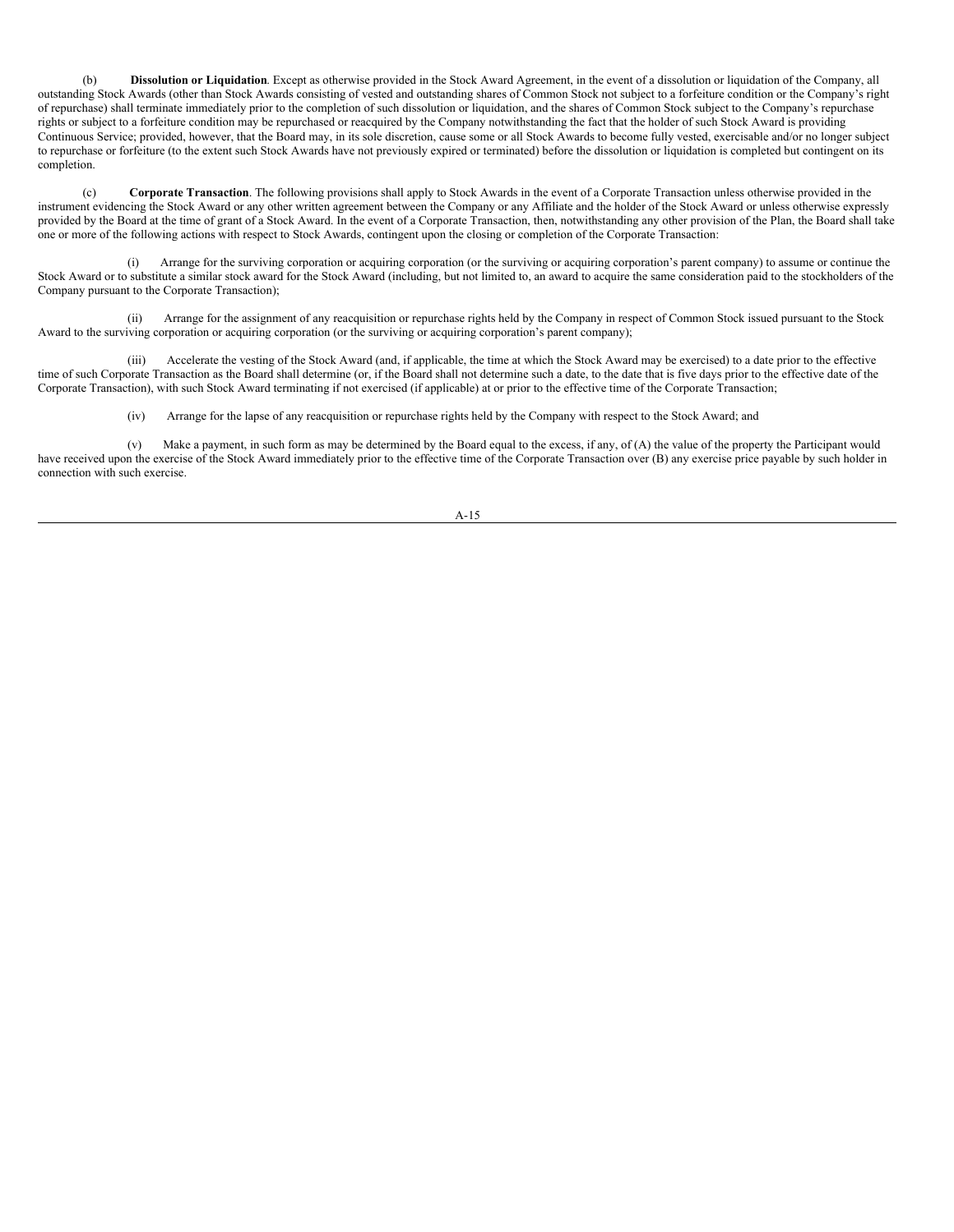(b) **Dissolution or Liquidation**. Except as otherwise provided in the Stock Award Agreement, in the event of a dissolution or liquidation of the Company, all outstanding Stock Awards (other than Stock Awards consisting of vested and outstanding shares of Common Stock not subject to a forfeiture condition or the Company's right of repurchase) shall terminate immediately prior to the completion of such dissolution or liquidation, and the shares of Common Stock subject to the Company's repurchase rights or subject to a forfeiture condition may be repurchased or reacquired by the Company notwithstanding the fact that the holder of such Stock Award is providing Continuous Service; provided, however, that the Board may, in its sole discretion, cause some or all Stock Awards to become fully vested, exercisable and/or no longer subject to repurchase or forfeiture (to the extent such Stock Awards have not previously expired or terminated) before the dissolution or liquidation is completed but contingent on its completion.

(c) **Corporate Transaction**. The following provisions shall apply to Stock Awards in the event of a Corporate Transaction unless otherwise provided in the instrument evidencing the Stock Award or any other written agreement between the Company or any Affiliate and the holder of the Stock Award or unless otherwise expressly provided by the Board at the time of grant of a Stock Award. In the event of a Corporate Transaction, then, notwithstanding any other provision of the Plan, the Board shall take one or more of the following actions with respect to Stock Awards, contingent upon the closing or completion of the Corporate Transaction:

(i) Arrange for the surviving corporation or acquiring corporation (or the surviving or acquiring corporation's parent company) to assume or continue the Stock Award or to substitute a similar stock award for the Stock Award (including, but not limited to, an award to acquire the same consideration paid to the stockholders of the Company pursuant to the Corporate Transaction);

(ii) Arrange for the assignment of any reacquisition or repurchase rights held by the Company in respect of Common Stock issued pursuant to the Stock Award to the surviving corporation or acquiring corporation (or the surviving or acquiring corporation's parent company);

(iii) Accelerate the vesting of the Stock Award (and, if applicable, the time at which the Stock Award may be exercised) to a date prior to the effective time of such Corporate Transaction as the Board shall determine (or, if the Board shall not determine such a date, to the date that is five days prior to the effective date of the Corporate Transaction), with such Stock Award terminating if not exercised (if applicable) at or prior to the effective time of the Corporate Transaction;

(iv) Arrange for the lapse of any reacquisition or repurchase rights held by the Company with respect to the Stock Award; and

(v) Make a payment, in such form as may be determined by the Board equal to the excess, if any, of  $(A)$  the value of the property the Participant would have received upon the exercise of the Stock Award immediately prior to the effective time of the Corporate Transaction over (B) any exercise price payable by such holder in connection with such exercise.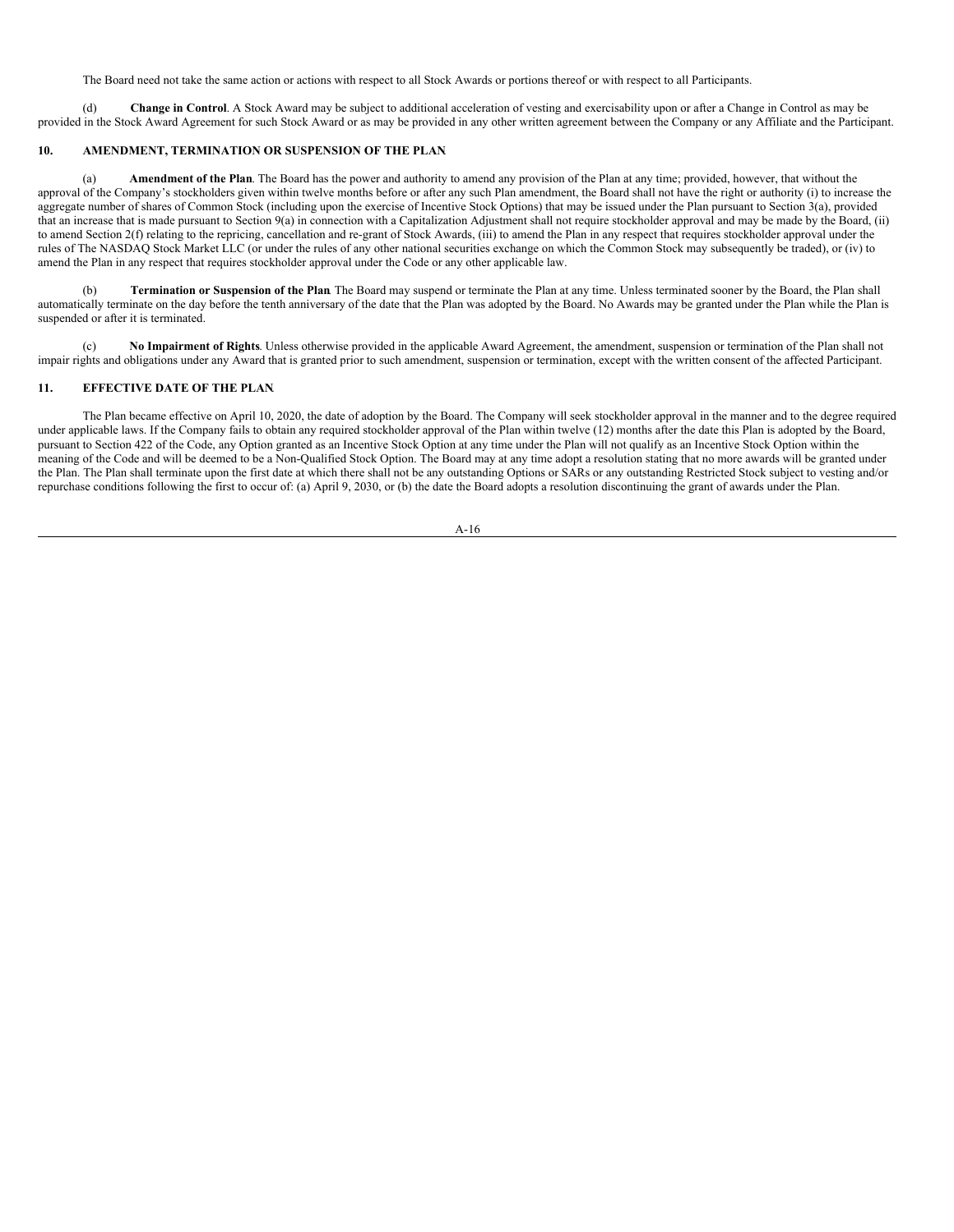The Board need not take the same action or actions with respect to all Stock Awards or portions thereof or with respect to all Participants.

(d) **Change in Control**. A Stock Award may be subject to additional acceleration of vesting and exercisability upon or after a Change in Control as may be provided in the Stock Award Agreement for such Stock Award or as may be provided in any other written agreement between the Company or any Affiliate and the Participant.

#### **10. AMENDMENT, TERMINATION OR SUSPENSION OF THE PLAN**.

(a) **Amendment of the Plan**. The Board has the power and authority to amend any provision of the Plan at any time; provided, however, that without the approval of the Company's stockholders given within twelve months before or after any such Plan amendment, the Board shall not have the right or authority (i) to increase the aggregate number of shares of Common Stock (including upon the exercise of Incentive Stock Options) that may be issued under the Plan pursuant to Section  $\mathfrak{F}(a)$ , provided that an increase that is made pursuant to Section 9(a) in connection with a Capitalization Adjustment shall not require stockholder approval and may be made by the Board, (ii) to amend Section 2(f) relating to the repricing, cancellation and re-grant of Stock Awards, (iii) to amend the Plan in any respect that requires stockholder approval under the rules of The NASDAQ Stock Market LLC (or under the rules of any other national securities exchange on which the Common Stock may subsequently be traded), or (iv) to amend the Plan in any respect that requires stockholder approval under the Code or any other applicable law.

(b) **Termination or Suspension of the Plan**. The Board may suspend or terminate the Plan at any time. Unless terminated sooner by the Board, the Plan shall automatically terminate on the day before the tenth anniversary of the date that the Plan was adopted by the Board. No Awards may be granted under the Plan while the Plan is suspended or after it is terminated.

(c) **No Impairment of Rights**. Unless otherwise provided in the applicable Award Agreement, the amendment, suspension or termination of the Plan shall not impair rights and obligations under any Award that is granted prior to such amendment, suspension or termination, except with the written consent of the affected Participant.

## **11. EFFECTIVE DATE OF THE PLAN**.

The Plan became effective on April 10, 2020, the date of adoption by the Board. The Company will seek stockholder approval in the manner and to the degree required under applicable laws. If the Company fails to obtain any required stockholder approval of the Plan within twelve (12) months after the date this Plan is adopted by the Board, pursuant to Section 422 of the Code, any Option granted as an Incentive Stock Option at any time under the Plan will not qualify as an Incentive Stock Option within the meaning of the Code and will be deemed to be a Non-Qualified Stock Option. The Board may at any time adopt a resolution stating that no more awards will be granted under the Plan. The Plan shall terminate upon the first date at which there shall not be any outstanding Options or SARs or any outstanding Restricted Stock subject to vesting and/or repurchase conditions following the first to occur of: (a) April 9, 2030, or (b) the date the Board adopts a resolution discontinuing the grant of awards under the Plan.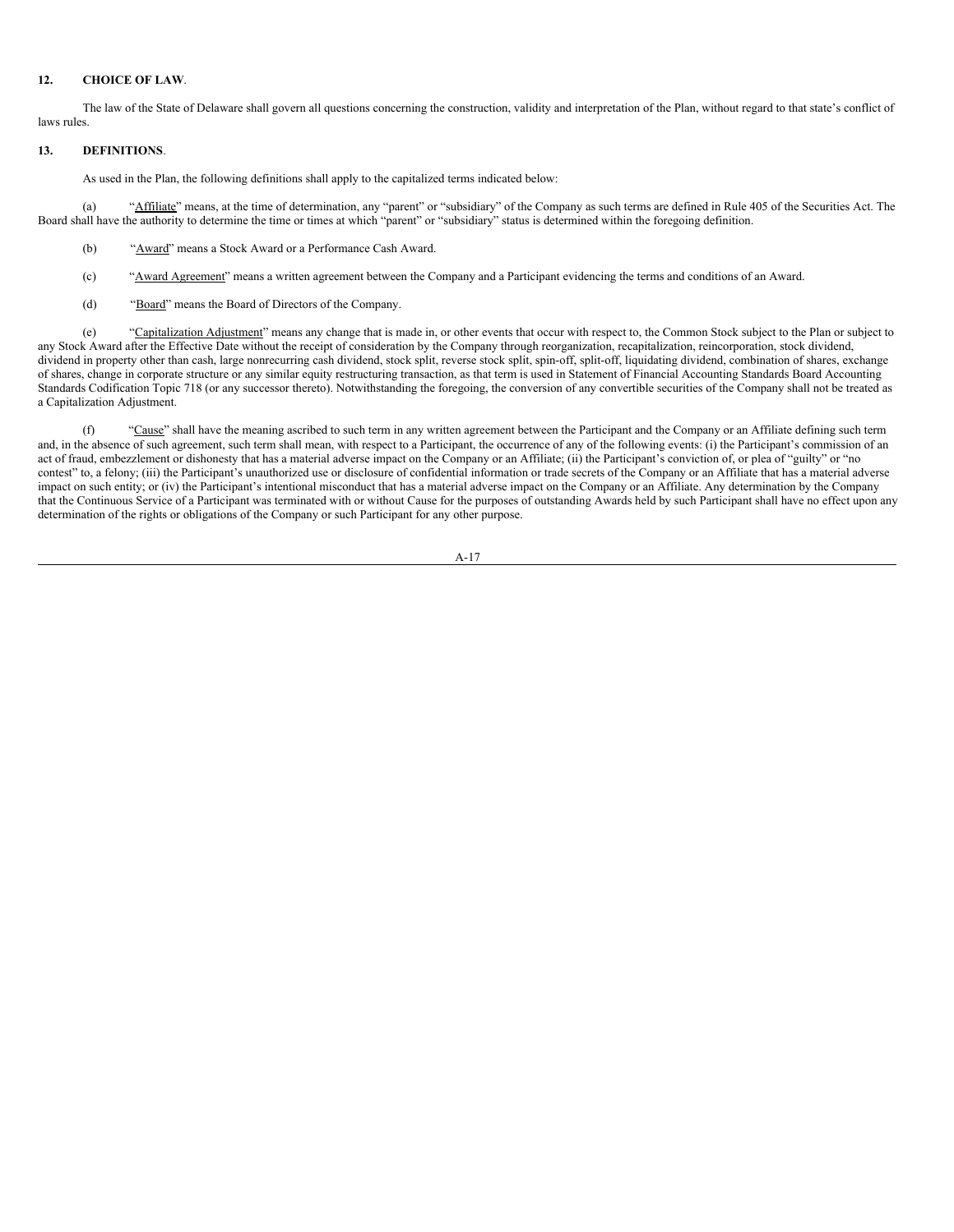## **12. CHOICE OF LAW**.

The law of the State of Delaware shall govern all questions concerning the construction, validity and interpretation of the Plan, without regard to that state's conflict of laws rules.

### **13. DEFINITIONS**.

As used in the Plan, the following definitions shall apply to the capitalized terms indicated below:

(a) "Affiliate" means, at the time of determination, any "parent" or "subsidiary" of the Company as such terms are defined in Rule 405 of the Securities Act. The Board shall have the authority to determine the time or times at which "parent" or "subsidiary" status is determined within the foregoing definition.

- (b) "Award" means a Stock Award or a Performance Cash Award.
- (c) "Award Agreement" means a written agreement between the Company and a Participant evidencing the terms and conditions of an Award.
- (d) "Board" means the Board of Directors of the Company.

(e) "Capitalization Adjustment" means any change that is made in, or other events that occur with respect to, the Common Stock subject to the Plan or subject to any Stock Award after the Effective Date without the receipt of consideration by the Company through reorganization, recapitalization, reincorporation, stock dividend, dividend in property other than cash, large nonrecurring cash dividend, stock split, reverse stock split, spin-off, split-off, liquidating dividend, combination of shares, exchange of shares, change in corporate structure or any similar equity restructuring transaction, as that term is used in Statement of Financial Accounting Standards Board Accounting Standards Codification Topic 718 (or any successor thereto). Notwithstanding the foregoing, the conversion of any convertible securities of the Company shall not be treated as a Capitalization Adjustment.

(f) "Cause" shall have the meaning ascribed to such term in any written agreement between the Participant and the Company or an Affiliate defining such term and, in the absence of such agreement, such term shall mean, with respect to a Participant, the occurrence of any of the following events: (i) the Participant's commission of an act of fraud, embezzlement or dishonesty that has a material adverse impact on the Company or an Affiliate; (ii) the Participant's conviction of, or plea of "guilty" or "no contest" to, a felony; (iii) the Participant's unauthorized use or disclosure of confidential information or trade secrets of the Company or an Affiliate that has a material adverse impact on such entity; or (iv) the Participant's intentional misconduct that has a material adverse impact on the Company or an Affiliate. Any determination by the Company that the Continuous Service of a Participant was terminated with or without Cause for the purposes of outstanding Awards held by such Participant shall have no effect upon any determination of the rights or obligations of the Company or such Participant for any other purpose.

$$
A-17
$$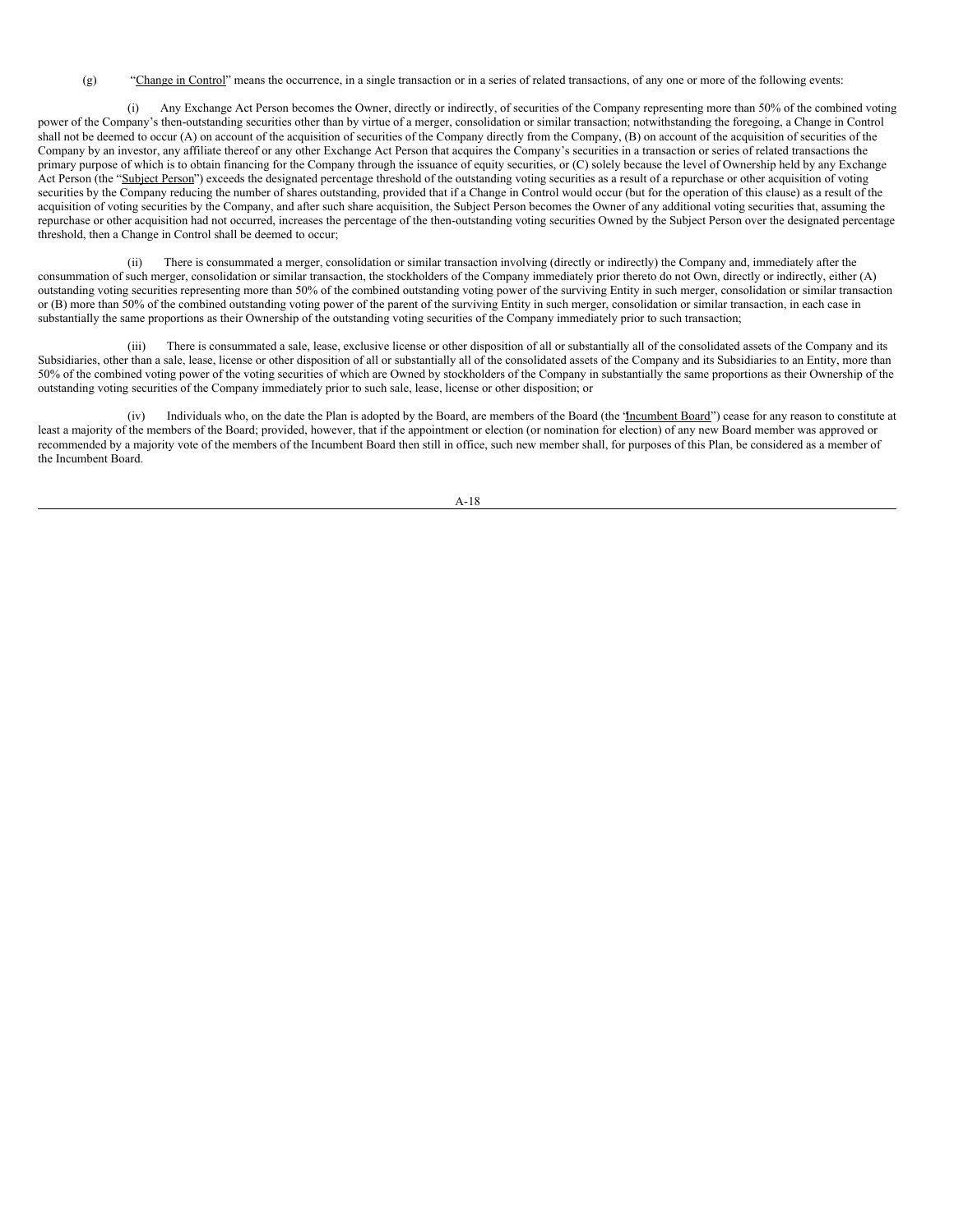(g) "Change in Control" means the occurrence, in a single transaction or in a series of related transactions, of any one or more of the following events:

(i) Any Exchange Act Person becomes the Owner, directly or indirectly, of securities of the Company representing more than 50% of the combined voting power of the Company's then-outstanding securities other than by virtue of a merger, consolidation or similar transaction; notwithstanding the foregoing, a Change in Control shall not be deemed to occur (A) on account of the acquisition of securities of the Company directly from the Company, (B) on account of the acquisition of securities of the Company by an investor, any affiliate thereof or any other Exchange Act Person that acquires the Company's securities in a transaction or series of related transactions the primary purpose of which is to obtain financing for the Company through the issuance of equity securities, or (C) solely because the level of Ownership held by any Exchange Act Person (the "Subject Person") exceeds the designated percentage threshold of the outstanding voting securities as a result of a repurchase or other acquisition of voting securities by the Company reducing the number of shares outstanding, provided that if a Change in Control would occur (but for the operation of this clause) as a result of the acquisition of voting securities by the Company, and after such share acquisition, the Subject Person becomes the Owner of any additional voting securities that, assuming the repurchase or other acquisition had not occurred, increases the percentage of the then-outstanding voting securities Owned by the Subject Person over the designated percentage threshold, then a Change in Control shall be deemed to occur;

There is consummated a merger, consolidation or similar transaction involving (directly or indirectly) the Company and, immediately after the consummation of such merger, consolidation or similar transaction, the stockholders of the Company immediately prior thereto do not Own, directly or indirectly, either (A) outstanding voting securities representing more than 50% of the combined outstanding voting power of the surviving Entity in such merger, consolidation or similar transaction or (B) more than 50% of the combined outstanding voting power of the parent of the surviving Entity in such merger, consolidation or similar transaction, in each case in substantially the same proportions as their Ownership of the outstanding voting securities of the Company immediately prior to such transaction;

(iii) There is consummated a sale, lease, exclusive license or other disposition of all or substantially all of the consolidated assets of the Company and its Subsidiaries, other than a sale, lease, license or other disposition of all or substantially all of the consolidated assets of the Company and its Subsidiaries to an Entity, more than 50% of the combined voting power of the voting securities of which are Owned by stockholders of the Company in substantially the same proportions as their Ownership of the outstanding voting securities of the Company immediately prior to such sale, lease, license or other disposition; or

Individuals who, on the date the Plan is adopted by the Board, are members of the Board (the 'Incumbent Board') cease for any reason to constitute at least a majority of the members of the Board; provided, however, that if the appointment or election (or nomination for election) of any new Board member was approved or recommended by a majority vote of the members of the Incumbent Board then still in office, such new member shall, for purposes of this Plan, be considered as a member of the Incumbent Board.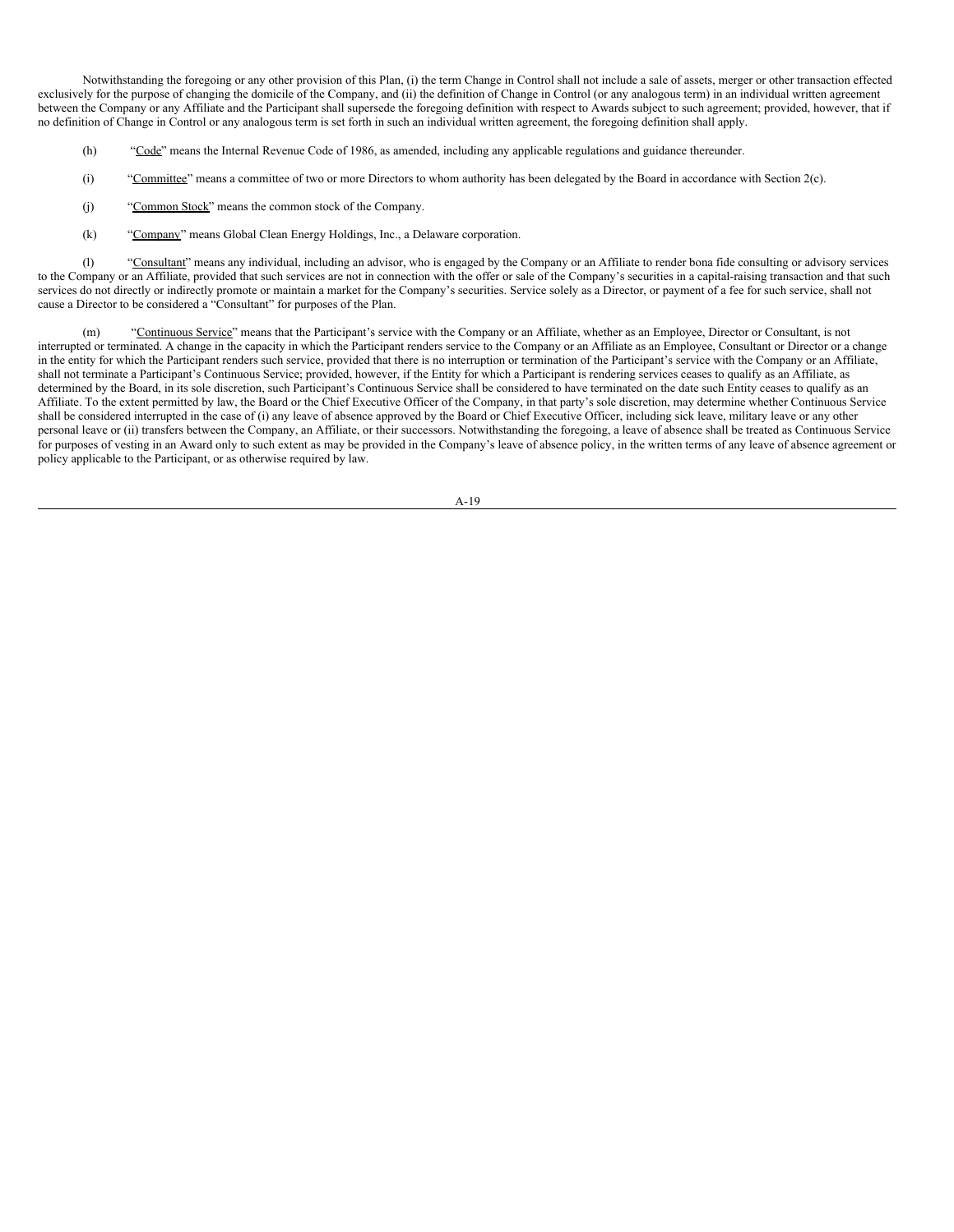Notwithstanding the foregoing or any other provision of this Plan, (i) the term Change in Control shall not include a sale of assets, merger or other transaction effected exclusively for the purpose of changing the domicile of the Company, and (ii) the definition of Change in Control (or any analogous term) in an individual written agreement between the Company or any Affiliate and the Participant shall supersede the foregoing definition with respect to Awards subject to such agreement; provided, however, that if no definition of Change in Control or any analogous term is set forth in such an individual written agreement, the foregoing definition shall apply.

- (h) "Code" means the Internal Revenue Code of 1986, as amended, including any applicable regulations and guidance thereunder.
- (i) "Committee" means a committee of two or more Directors to whom authority has been delegated by the Board in accordance with Section 2(c).
- (j) "Common Stock" means the common stock of the Company.
- (k) "Company" means Global Clean Energy Holdings, Inc., a Delaware corporation.

(l) "Consultant" means any individual, including an advisor, who is engaged by the Company or an Affiliate to render bona fide consulting or advisory services to the Company or an Affiliate, provided that such services are not in connection with the offer or sale of the Company's securities in a capital-raising transaction and that such services do not directly or indirectly promote or maintain a market for the Company's securities. Service solely as a Director, or payment of a fee for such service, shall not cause a Director to be considered a "Consultant" for purposes of the Plan.

(m) "Continuous Service" means that the Participant's service with the Company or an Affiliate, whether as an Employee, Director or Consultant, is not interrupted or terminated. A change in the capacity in which the Participant renders service to the Company or an Affiliate as an Employee, Consultant or Director or a change in the entity for which the Participant renders such service, provided that there is no interruption or termination of the Participant's service with the Company or an Affiliate, shall not terminate a Participant's Continuous Service; provided, however, if the Entity for which a Participant is rendering services ceases to qualify as an Affiliate, as determined by the Board, in its sole discretion, such Participant's Continuous Service shall be considered to have terminated on the date such Entity ceases to qualify as an Affiliate. To the extent permitted by law, the Board or the Chief Executive Officer of the Company, in that party's sole discretion, may determine whether Continuous Service shall be considered interrupted in the case of (i) any leave of absence approved by the Board or Chief Executive Officer, including sick leave, military leave or any other personal leave or (ii) transfers between the Company, an Affiliate, or their successors. Notwithstanding the foregoing, a leave of absence shall be treated as Continuous Service for purposes of vesting in an Award only to such extent as may be provided in the Company's leave of absence policy, in the written terms of any leave of absence agreement or policy applicable to the Participant, or as otherwise required by law.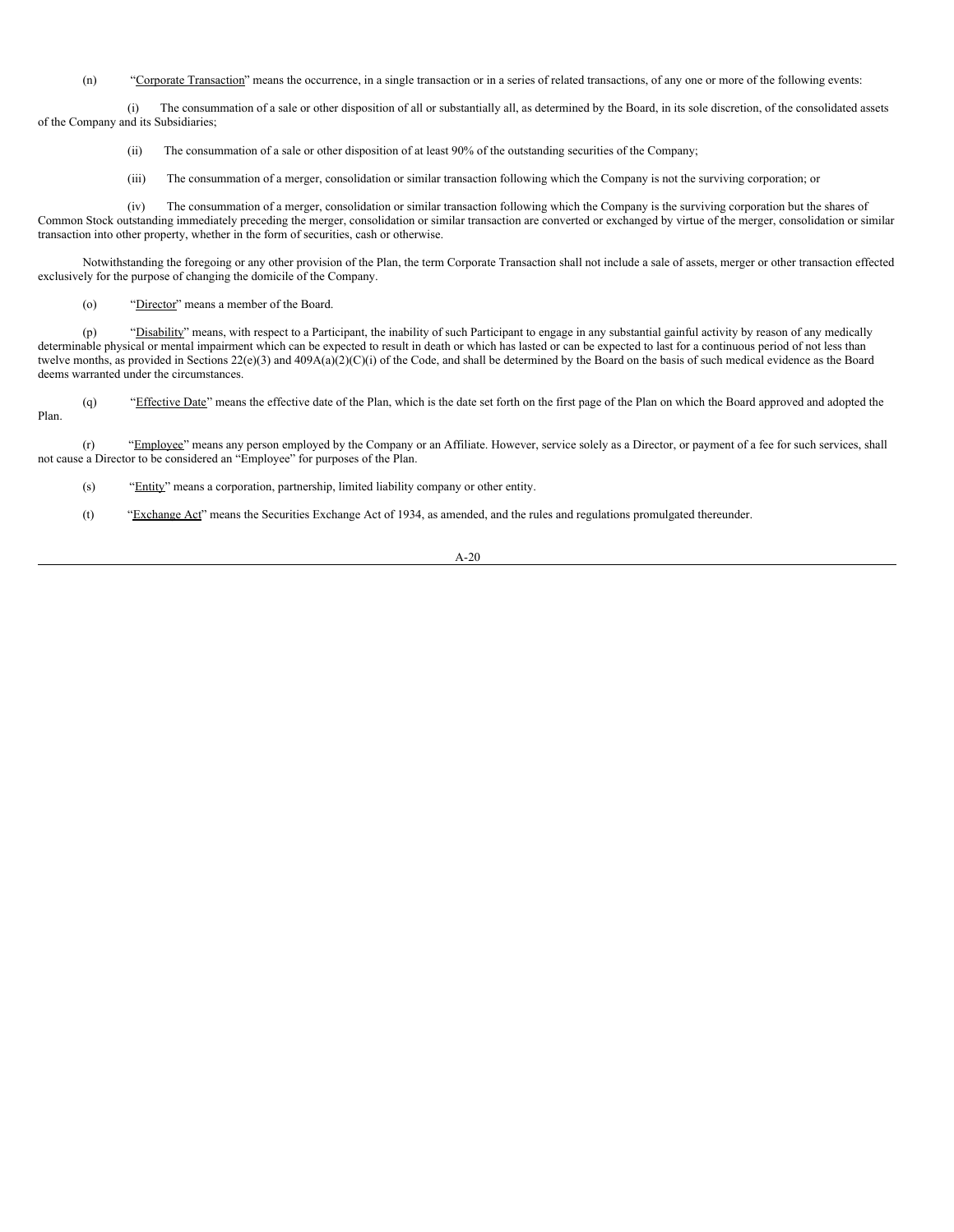(n) "Corporate Transaction" means the occurrence, in a single transaction or in a series of related transactions, of any one or more of the following events:

(i) The consummation of a sale or other disposition of all or substantially all, as determined by the Board, in its sole discretion, of the consolidated assets of the Company and its Subsidiaries;

- (ii) The consummation of a sale or other disposition of at least 90% of the outstanding securities of the Company;
- (iii) The consummation of a merger, consolidation or similar transaction following which the Company is not the surviving corporation; or

(iv) The consummation of a merger, consolidation or similar transaction following which the Company is the surviving corporation but the shares of Common Stock outstanding immediately preceding the merger, consolidation or similar transaction are converted or exchanged by virtue of the merger, consolidation or similar transaction into other property, whether in the form of securities, cash or otherwise.

Notwithstanding the foregoing or any other provision of the Plan, the term Corporate Transaction shall not include a sale of assets, merger or other transaction effected exclusively for the purpose of changing the domicile of the Company.

(o) "Director" means a member of the Board.

(p) "Disability" means, with respect to a Participant, the inability of such Participant to engage in any substantial gainful activity by reason of any medically determinable physical or mental impairment which can be expected to result in death or which has lasted or can be expected to last for a continuous period of not less than twelve months, as provided in Sections 22(e)(3) and 409A(a)(2)(C)(i) of the Code, and shall be determined by the Board on the basis of such medical evidence as the Board deems warranted under the circumstances.

(q) "Effective Date" means the effective date of the Plan, which is the date set forth on the first page of the Plan on which the Board approved and adopted the Plan.

(r) "Employee" means any person employed by the Company or an Affiliate. However, service solely as a Director, or payment of a fee for such services, shall not cause a Director to be considered an "Employee" for purposes of the Plan.

(s) "Entity" means a corporation, partnership, limited liability company or other entity.

(t) "Exchange Act" means the Securities Exchange Act of 1934, as amended, and the rules and regulations promulgated thereunder.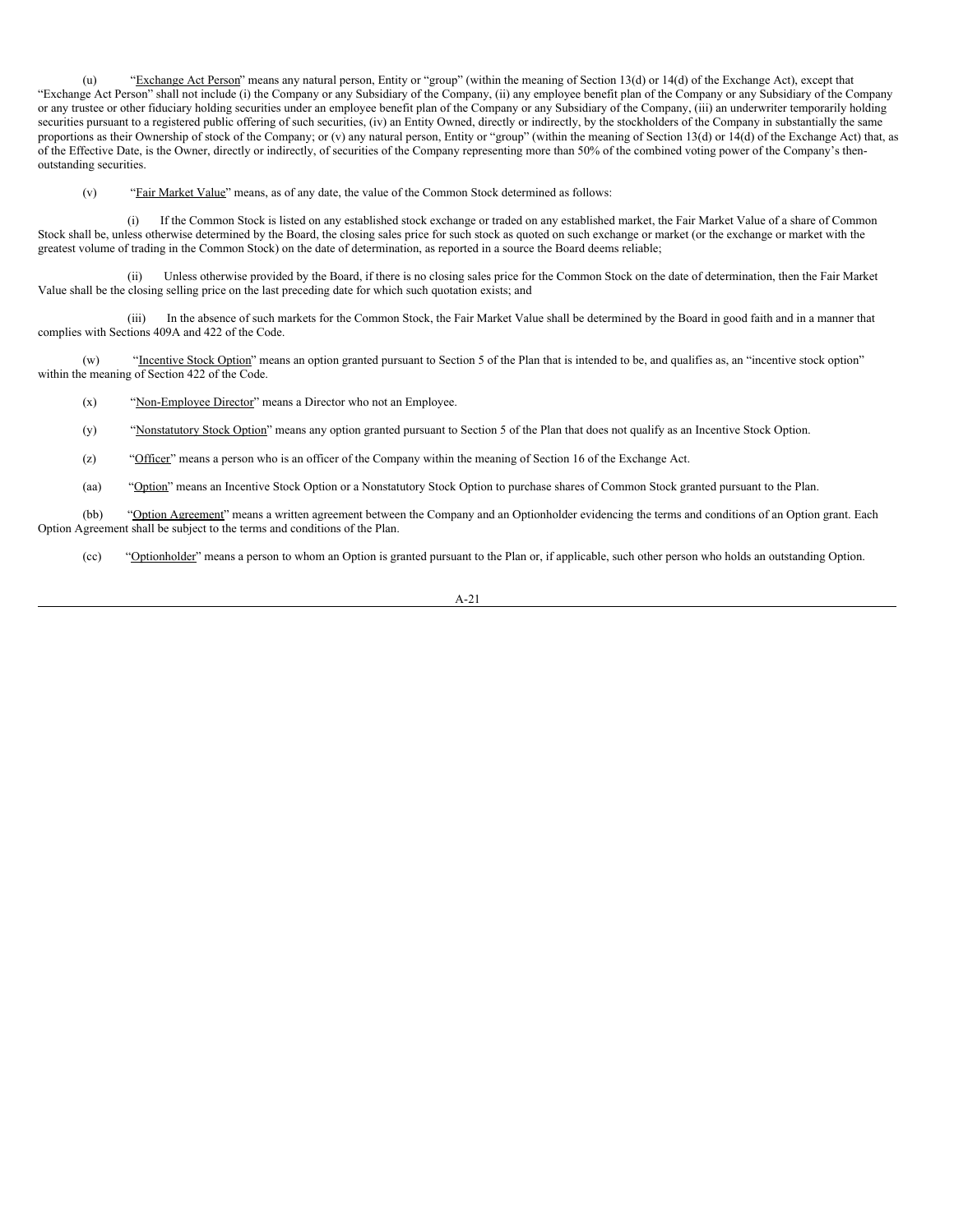(u) "Exchange Act Person" means any natural person, Entity or "group" (within the meaning of Section 13(d) or 14(d) of the Exchange Act), except that "Exchange Act Person" shall not include (i) the Company or any Subsidiary of the Company, (ii) any employee benefit plan of the Company or any Subsidiary of the Company or any trustee or other fiduciary holding securities under an employee benefit plan of the Company or any Subsidiary of the Company, (iii) an underwriter temporarily holding securities pursuant to a registered public offering of such securities, (iv) an Entity Owned, directly or indirectly, by the stockholders of the Company in substantially the same proportions as their Ownership of stock of the Company; or (v) any natural person, Entity or "group" (within the meaning of Section 13(d) or 14(d) of the Exchange Act) that, as of the Effective Date, is the Owner, directly or indirectly, of securities of the Company representing more than 50% of the combined voting power of the Company's thenoutstanding securities.

(v) "Fair Market Value" means, as of any date, the value of the Common Stock determined as follows:

(i) If the Common Stock is listed on any established stock exchange or traded on any established market, the Fair Market Value of a share of Common Stock shall be, unless otherwise determined by the Board, the closing sales price for such stock as quoted on such exchange or market (or the exchange or market with the greatest volume of trading in the Common Stock) on the date of determination, as reported in a source the Board deems reliable;

(ii) Unless otherwise provided by the Board, if there is no closing sales price for the Common Stock on the date of determination, then the Fair Market Value shall be the closing selling price on the last preceding date for which such quotation exists; and

(iii) In the absence of such markets for the Common Stock, the Fair Market Value shall be determined by the Board in good faith and in a manner that complies with Sections 409A and 422 of the Code.

(w) "Incentive Stock Option" means an option granted pursuant to Section 5 of the Plan that is intended to be, and qualifies as, an "incentive stock option" within the meaning of Section 422 of the Code.

(x) "Non-Employee Director" means a Director who not an Employee.

- (y) "Nonstatutory Stock Option" means any option granted pursuant to Section 5 of the Plan that does not qualify as an Incentive Stock Option.
- (z) "Officer" means a person who is an officer of the Company within the meaning of Section 16 of the Exchange Act.
- (aa) "Option" means an Incentive Stock Option or a Nonstatutory Stock Option to purchase shares of Common Stock granted pursuant to the Plan.

(bb) "Option Agreement" means a written agreement between the Company and an Optionholder evidencing the terms and conditions of an Option grant. Each Option Agreement shall be subject to the terms and conditions of the Plan.

(cc) "Optionholder" means a person to whom an Option is granted pursuant to the Plan or, if applicable, such other person who holds an outstanding Option.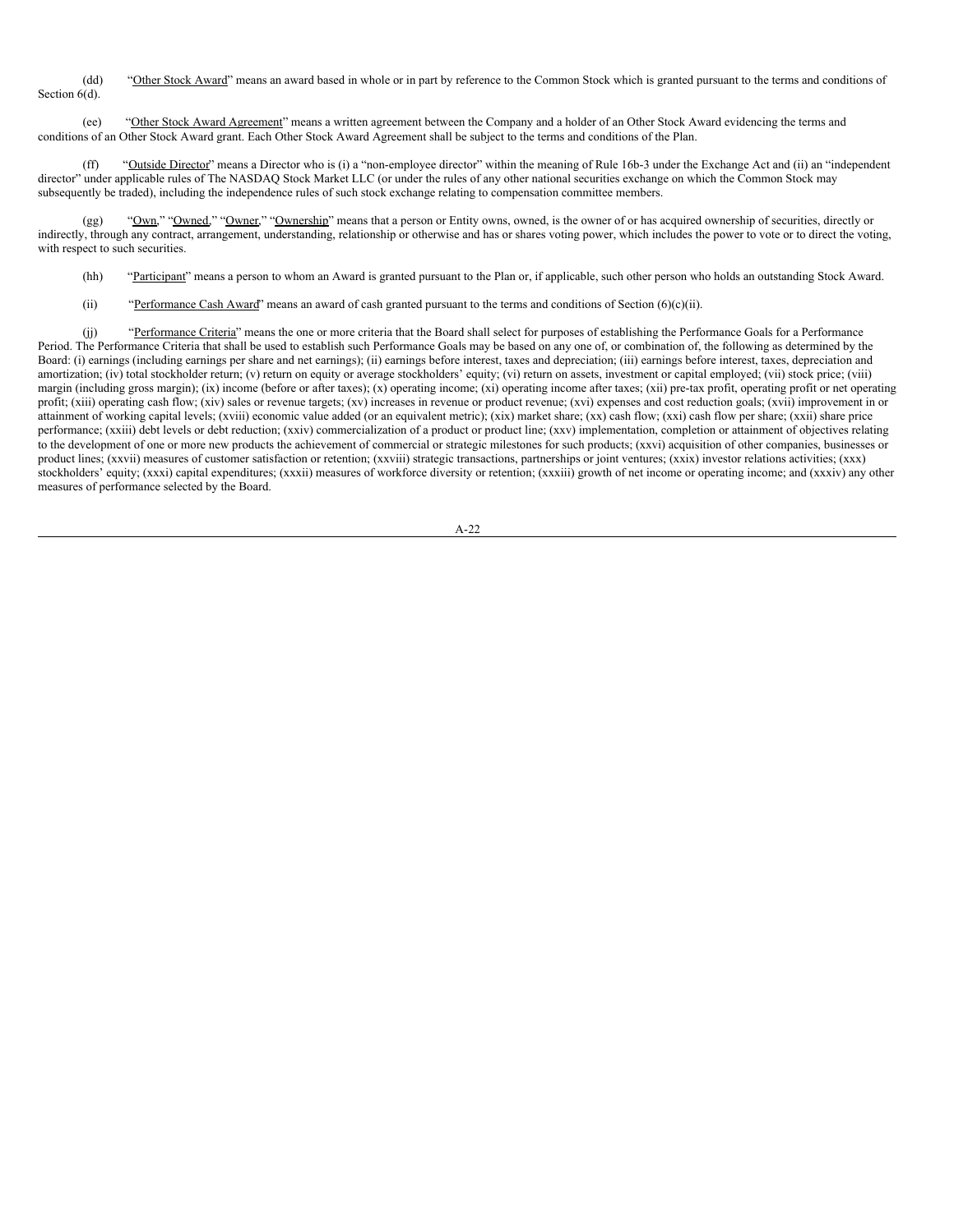(dd) "Other Stock Award" means an award based in whole or in part by reference to the Common Stock which is granted pursuant to the terms and conditions of Section  $6(d)$ .

(ee) "Other Stock Award Agreement" means a written agreement between the Company and a holder of an Other Stock Award evidencing the terms and conditions of an Other Stock Award grant. Each Other Stock Award Agreement shall be subject to the terms and conditions of the Plan.

(ff) "Outside Director" means a Director who is (i) a "non-employee director" within the meaning of Rule 16b-3 under the Exchange Act and (ii) an "independent director" under applicable rules of The NASDAQ Stock Market LLC (or under the rules of any other national securities exchange on which the Common Stock may subsequently be traded), including the independence rules of such stock exchange relating to compensation committee members.

(gg) "Own," "Owned," "Owner," "Ownership" means that a person or Entity owns, owned, is the owner of or has acquired ownership of securities, directly or indirectly, through any contract, arrangement, understanding, relationship or otherwise and has or shares voting power, which includes the power to vote or to direct the voting, with respect to such securities.

- (hh) "Participant" means a person to whom an Award is granted pursuant to the Plan or, if applicable, such other person who holds an outstanding Stock Award.
- (ii) "Performance Cash Award" means an award of cash granted pursuant to the terms and conditions of Section  $(6)(c)(ii)$ .

(j) "Performance Criteria" means the one or more criteria that the Board shall select for purposes of establishing the Performance Goals for a Performance Period. The Performance Criteria that shall be used to establish such Performance Goals may be based on any one of, or combination of, the following as determined by the Board: (i) earnings (including earnings per share and net earnings); (ii) earnings before interest, taxes and depreciation; (iii) earnings before interest, taxes, depreciation and amortization; (iv) total stockholder return; (v) return on equity or average stockholders' equity; (vi) return on assets, investment or capital employed; (vii) stock price; (viii) margin (including gross margin); (ix) income (before or after taxes); (x) operating income; (xi) operating income after taxes; (xii) pre-tax profit, operating profit or net operating profit; (xiii) operating cash flow; (xiv) sales or revenue targets; (xv) increases in revenue or product revenue; (xvi) expenses and cost reduction goals; (xvii) improvement in or attainment of working capital levels; (xviii) economic value added (or an equivalent metric); (xix) market share; (xx) cash flow; (xxi) cash flow per share; (xxii) share price performance; (xxiii) debt levels or debt reduction; (xxiv) commercialization of a product or product line; (xxv) implementation, completion or attainment of objectives relating to the development of one or more new products the achievement of commercial or strategic milestones for such products; (xxvi) acquisition of other companies, businesses or product lines; (xxvii) measures of customer satisfaction or retention; (xxviii) strategic transactions, partnerships or joint ventures; (xxix) investor relations activities; (xxx) stockholders' equity; (xxxi) capital expenditures; (xxxii) measures of workforce diversity or retention; (xxxiii) growth of net income or operating income; and (xxxiv) any other measures of performance selected by the Board.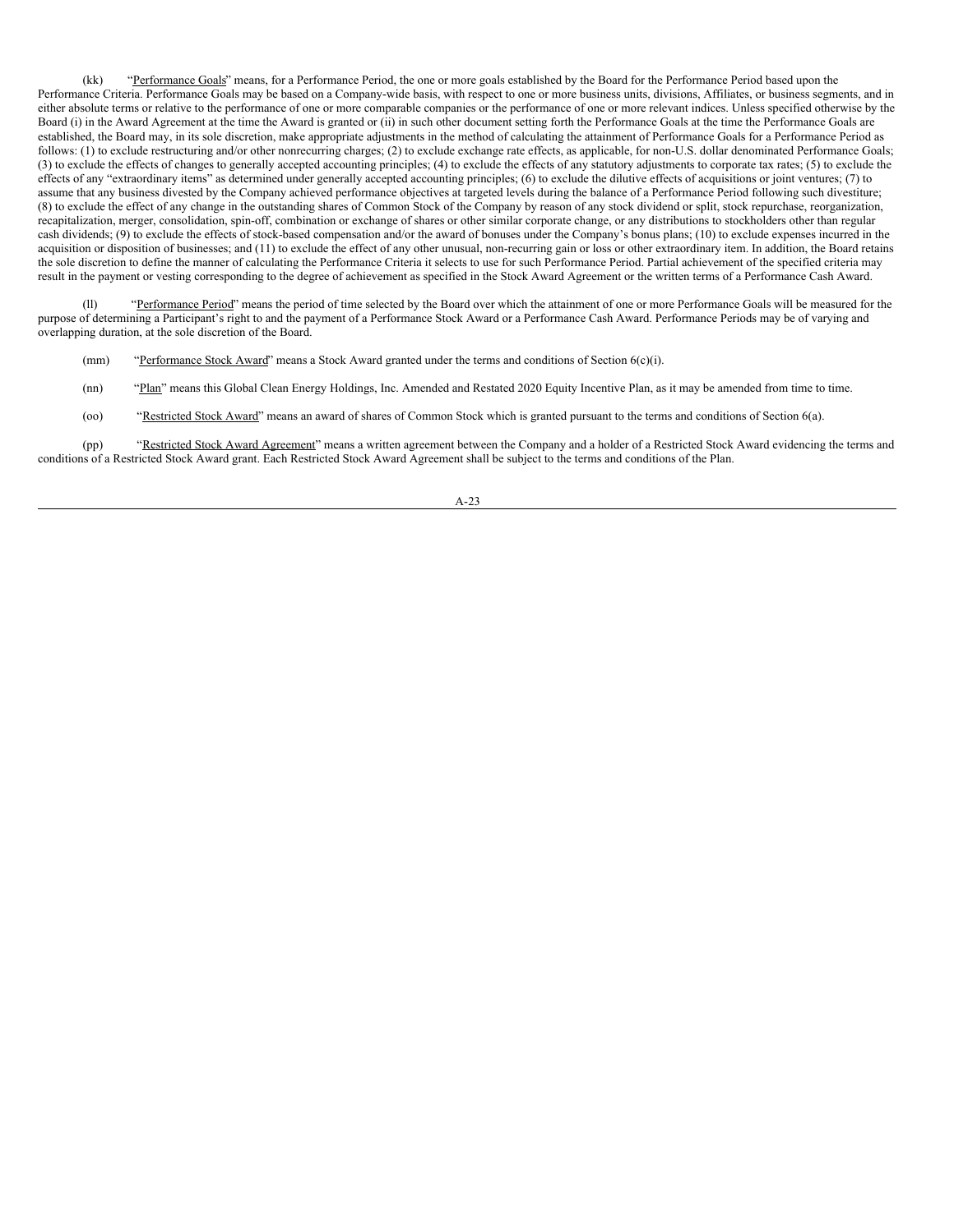(kk) "Performance Goals" means, for a Performance Period, the one or more goals established by the Board for the Performance Period based upon the Performance Criteria. Performance Goals may be based on a Company-wide basis, with respect to one or more business units, divisions, Affiliates, or business segments, and in either absolute terms or relative to the performance of one or more comparable companies or the performance of one or more relevant indices. Unless specified otherwise by the Board (i) in the Award Agreement at the time the Award is granted or (ii) in such other document setting forth the Performance Goals at the time the Performance Goals are established, the Board may, in its sole discretion, make appropriate adjustments in the method of calculating the attainment of Performance Goals for a Performance Period as follows: (1) to exclude restructuring and/or other nonrecurring charges; (2) to exclude exchange rate effects, as applicable, for non-U.S. dollar denominated Performance Goals; (3) to exclude the effects of changes to generally accepted accounting principles; (4) to exclude the effects of any statutory adjustments to corporate tax rates; (5) to exclude the effects of any "extraordinary items" as determined under generally accepted accounting principles; (6) to exclude the dilutive effects of acquisitions or joint ventures; (7) to assume that any business divested by the Company achieved performance objectives at targeted levels during the balance of a Performance Period following such divestiture; (8) to exclude the effect of any change in the outstanding shares of Common Stock of the Company by reason of any stock dividend or split, stock repurchase, reorganization, recapitalization, merger, consolidation, spin-off, combination or exchange of shares or other similar corporate change, or any distributions to stockholders other than regular cash dividends; (9) to exclude the effects of stock-based compensation and/or the award of bonuses under the Company's bonus plans; (10) to exclude expenses incurred in the acquisition or disposition of businesses; and (11) to exclude the effect of any other unusual, non-recurring gain or loss or other extraordinary item. In addition, the Board retains the sole discretion to define the manner of calculating the Performance Criteria it selects to use for such Performance Period. Partial achievement of the specified criteria may result in the payment or vesting corresponding to the degree of achievement as specified in the Stock Award Agreement or the written terms of a Performance Cash Award.

(ll) "Performance Period" means the period of time selected by the Board over which the attainment of one or more Performance Goals will be measured for the purpose of determining a Participant's right to and the payment of a Performance Stock Award or a Performance Cash Award. Performance Periods may be of varying and overlapping duration, at the sole discretion of the Board.

- (mm) "Performance Stock Award" means a Stock Award granted under the terms and conditions of Section 6(c)(i).
- (nn) "Plan" means this Global Clean Energy Holdings, Inc. Amended and Restated 2020 Equity Incentive Plan, as it may be amended from time to time.
- (oo) "Restricted Stock Award" means an award of shares of Common Stock which is granted pursuant to the terms and conditions of Section 6(a).

(pp) "Restricted Stock Award Agreement" means a written agreement between the Company and a holder of a Restricted Stock Award evidencing the terms and conditions of a Restricted Stock Award grant. Each Restricted Stock Award Agreement shall be subject to the terms and conditions of the Plan.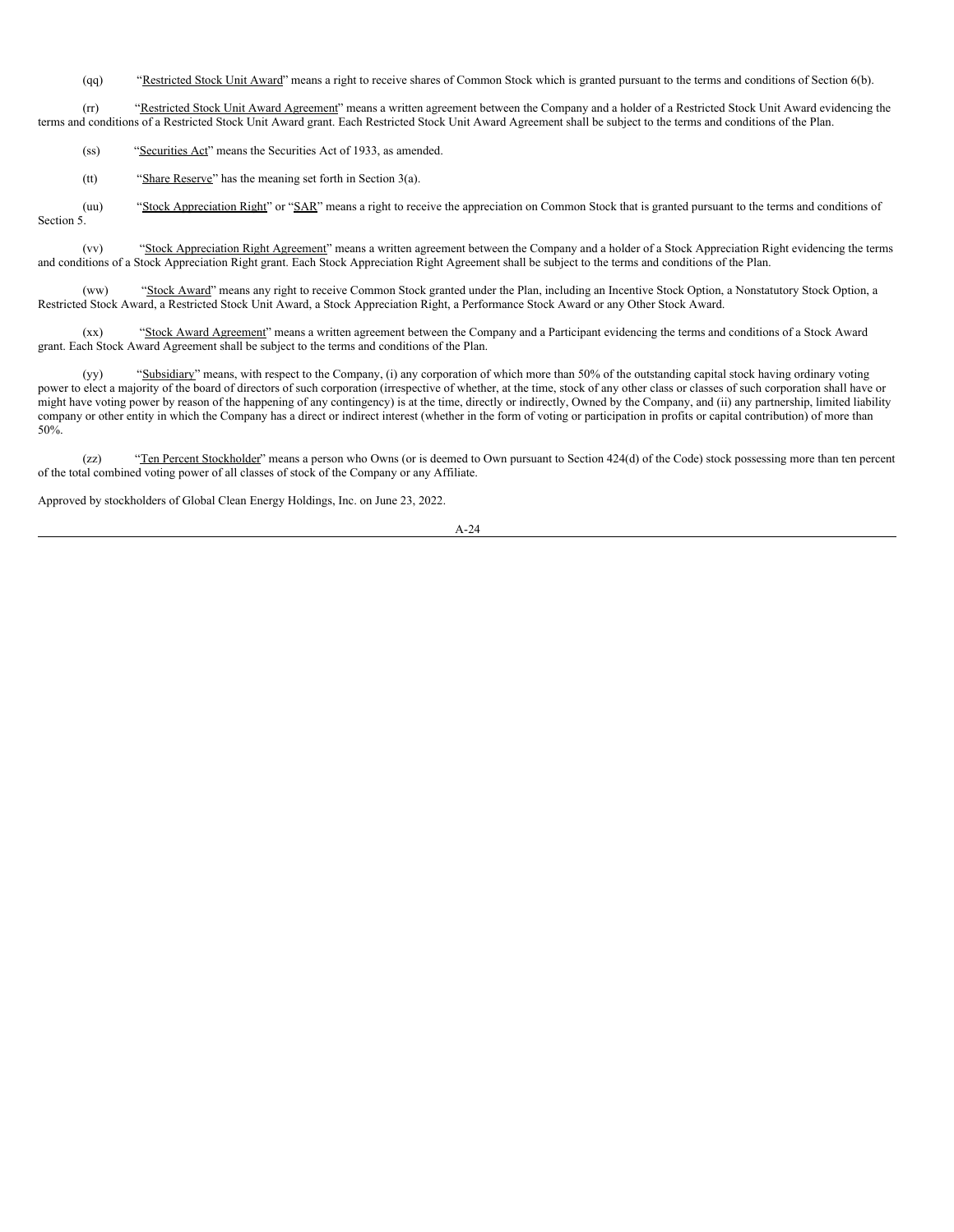(qq) "Restricted Stock Unit Award" means a right to receive shares of Common Stock which is granted pursuant to the terms and conditions of Section 6(b).

(rr) "Restricted Stock Unit Award Agreement" means a written agreement between the Company and a holder of a Restricted Stock Unit Award evidencing the terms and conditions of a Restricted Stock Unit Award grant. Each Restricted Stock Unit Award Agreement shall be subject to the terms and conditions of the Plan.

(ss) "Securities Act" means the Securities Act of 1933, as amended.

(tt) "Share Reserve" has the meaning set forth in Section 3(a).

(uu) "Stock Appreciation Right" or "SAR" means a right to receive the appreciation on Common Stock that is granted pursuant to the terms and conditions of Section 5.

(vv) "Stock Appreciation Right Agreement" means a written agreement between the Company and a holder of a Stock Appreciation Right evidencing the terms and conditions of a Stock Appreciation Right grant. Each Stock Appreciation Right Agreement shall be subject to the terms and conditions of the Plan.

(ww) "Stock Award" means any right to receive Common Stock granted under the Plan, including an Incentive Stock Option, a Nonstatutory Stock Option, a Restricted Stock Award, a Restricted Stock Unit Award, a Stock Appreciation Right, a Performance Stock Award or any Other Stock Award.

(xx) "Stock Award Agreement" means a written agreement between the Company and a Participant evidencing the terms and conditions of a Stock Award grant. Each Stock Award Agreement shall be subject to the terms and conditions of the Plan.

(yy) "Subsidiary" means, with respect to the Company, (i) any corporation of which more than 50% of the outstanding capital stock having ordinary voting power to elect a majority of the board of directors of such corporation (irrespective of whether, at the time, stock of any other class or classes of such corporation shall have or might have voting power by reason of the happening of any contingency) is at the time, directly or indirectly, Owned by the Company, and (ii) any partnership, limited liability company or other entity in which the Company has a direct or indirect interest (whether in the form of voting or participation in profits or capital contribution) of more than 50%.

(zz) "Ten Percent Stockholder" means a person who Owns (or is deemed to Own pursuant to Section 424(d) of the Code) stock possessing more than ten percent of the total combined voting power of all classes of stock of the Company or any Affiliate.

Approved by stockholders of Global Clean Energy Holdings, Inc. on June 23, 2022.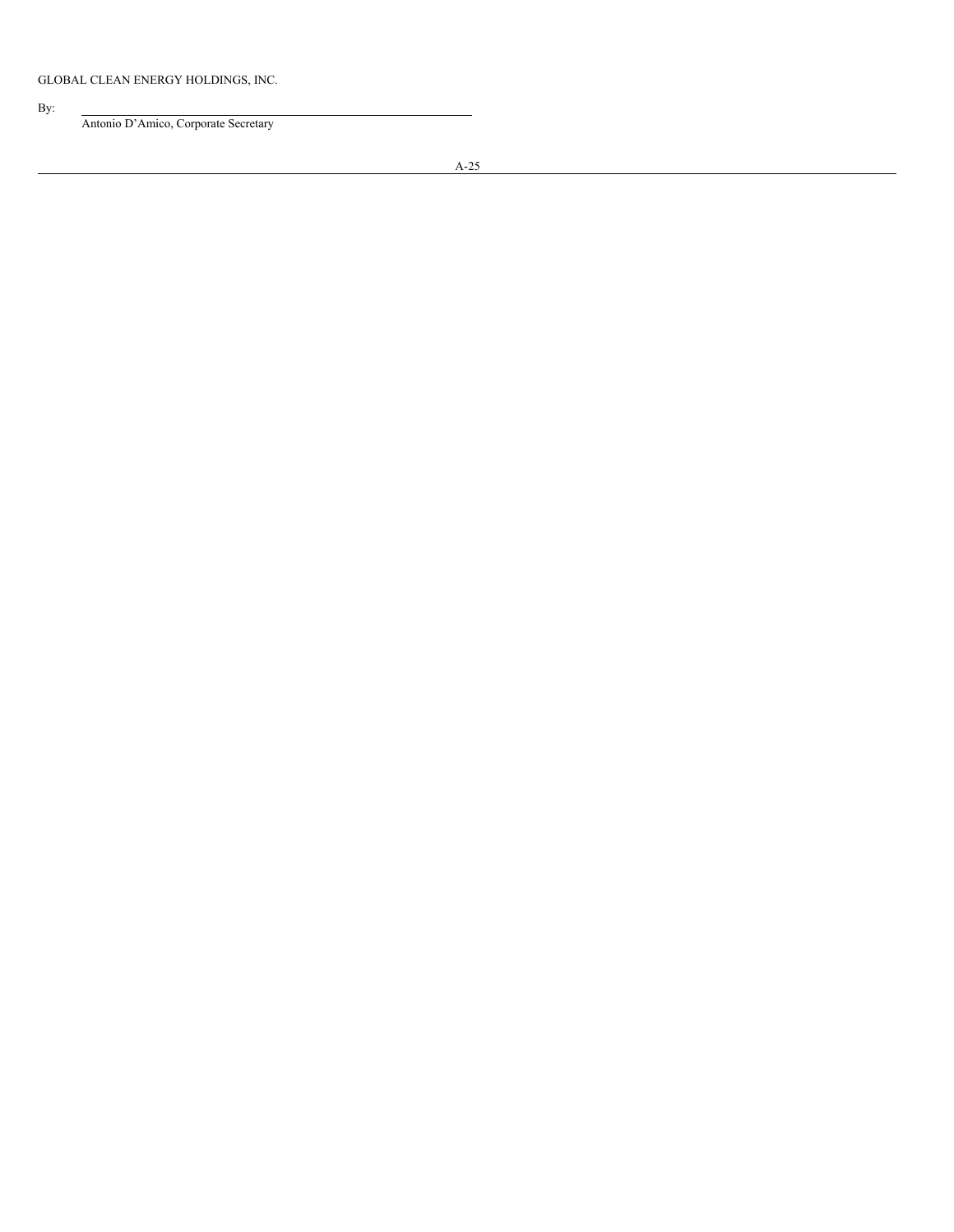# By:

Antonio D'Amico, Corporate Secretary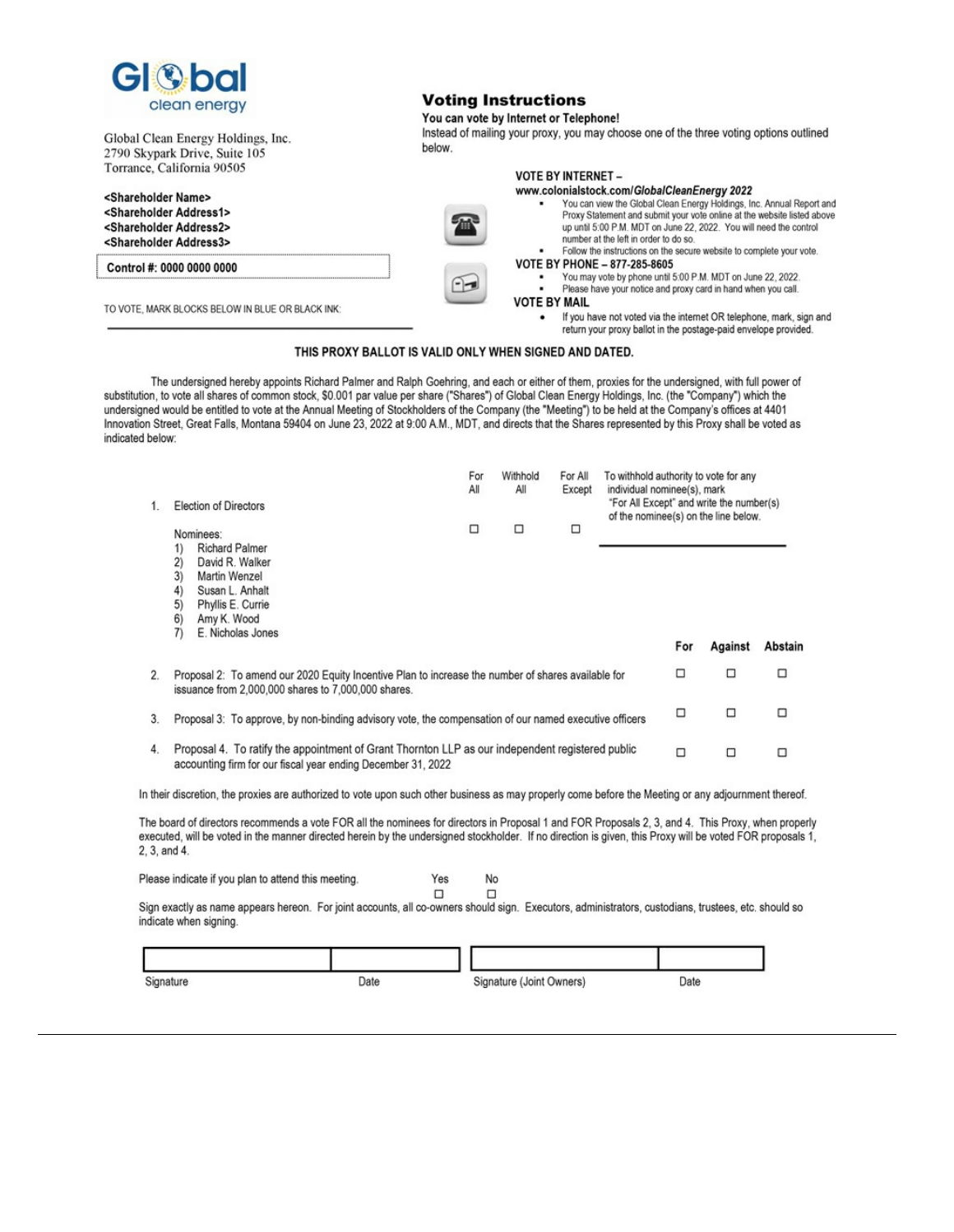

Global Clean Energy Holdings, Inc. 2790 Skypark Drive, Suite 105 Torrance, California 90505

# **Voting Instructions**

# You can vote by Internet or Telephone!

Instead of mailing your proxy, you may choose one of the three voting options outlined below.



# THIS PROXY BALLOT IS VALID ONLY WHEN SIGNED AND DATED.

The undersigned hereby appoints Richard Palmer and Ralph Goehring, and each or either of them, proxies for the undersigned, with full power of substitution, to vote all shares of common stock, \$0.001 par value per share ("Shares") of Global Clean Energy Holdings, Inc. (the "Company") which the undersigned would be entitled to vote at the Annual Meeting of Stockholders of the Company (the "Meeting") to be held at the Company's offices at 4401 Innovation Street, Great Falls, Montana 59404 on June 23, 2022 at 9:00 A.M., MDT, and directs that the Shares represented by this Proxy shall be voted as indicated below:

|    | <b>Election of Directors</b>                                                                                                                                                                 | Withhold<br>All | For All<br>Except | To withhold authority to vote for any<br>individual nominee(s), mark<br>"For All Except" and write the number(s)<br>of the nominee(s) on the line below. |   |     |         |         |
|----|----------------------------------------------------------------------------------------------------------------------------------------------------------------------------------------------|-----------------|-------------------|----------------------------------------------------------------------------------------------------------------------------------------------------------|---|-----|---------|---------|
|    | Nominees:<br><b>Richard Palmer</b><br>1)<br>2)<br>David R. Walker<br>3)<br>Martin Wenzel<br>4)<br>Susan L. Anhalt<br>5)<br>Phyllis E. Currie<br>6)<br>Amy K. Wood<br>7)<br>E. Nicholas Jones | □               | □                 | □                                                                                                                                                        |   |     |         |         |
|    |                                                                                                                                                                                              |                 |                   |                                                                                                                                                          |   | For | Against | Abstain |
| 2. | Proposal 2: To amend our 2020 Equity Incentive Plan to increase the number of shares available for<br>issuance from 2,000,000 shares to 7,000,000 shares.                                    |                 |                   |                                                                                                                                                          |   | □   | □       | □       |
| 3. | Proposal 3: To approve, by non-binding advisory vote, the compensation of our named executive officers                                                                                       |                 |                   |                                                                                                                                                          | □ | □   | □       |         |
| 4. | Proposal 4. To ratify the appointment of Grant Thornton LLP as our independent registered public<br>accounting firm for our fiscal year ending December 31, 2022                             |                 |                   | □                                                                                                                                                        | □ | □   |         |         |
|    | In their discretion, the proxies are authorized to vote upon such other business as may properly come before the Meeting or any adjournment thereof.                                         |                 |                   |                                                                                                                                                          |   |     |         |         |

The board of directors recommends a vote FOR all the nominees for directors in Proposal 1 and FOR Proposals 2, 3, and 4. This Proxy, when properly executed, will be voted in the manner directed herein by the undersigned stockholder. If no direction is given, this Proxy will be voted FOR proposals 1, 2, 3, and 4.

Please indicate if you plan to attend this meeting.

| YAR | N٥ |  |  |
|-----|----|--|--|
|     |    |  |  |

Sign exactly as name appears hereon. For joint accounts, all co-owners should sign. Executors, administrators, custodians, trustees, etc. should so indicate when signing.

| Signature | Date | Signature (Joint Owners) | Date |
|-----------|------|--------------------------|------|